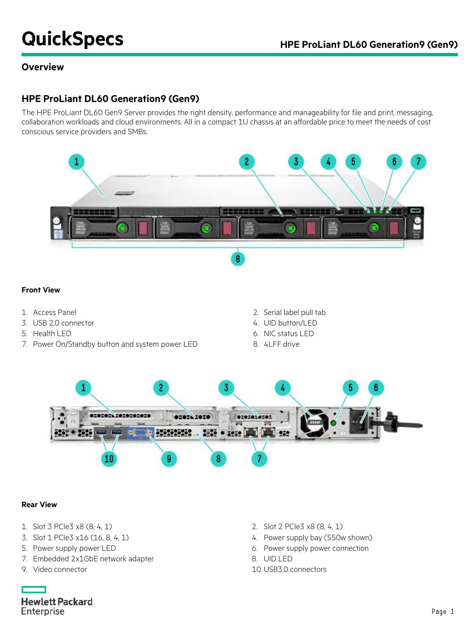# **QuickSpecs HPE ProLiant DL60 Generation9 (Gen9)**

## **Overview**

## **HPE ProLiant DL60 Generation9 (Gen9)**

The HPE ProLiant DL60 Gen9 Server provides the right density, performance and manageability for file and print, messaging, collaboration workloads and cloud environments. All in a compact 1U chassis at an affordable price to meet the needs of cost conscious service providers and SMBs.



#### **Front View**

- 
- 3. USB 2.0 connector 4. UID button/LED
- 
- 7. Power On/Standby button and system power LED 8. 4LFF drive
- 1. Access Panel 2. Serial label pull tab
	-
- 5. Health LED 6. NIC status LED
	-



#### **Rear View**

- 1. Slot 3 PCIe3 x8 (8, 4, 1) 2. Slot 2 PCIe3 x8 (8, 4, 1)
- 3. Slot 1 PCIe3 x16 (16, 8, 4, 1) 4. Power supply bay (550w shown)
- 5. Power supply power LED 6. Power supply power connection
- 7. Embedded 2x1GbE network adapter 8. UID LED
- 

**Hewlett Packard** Enterprise

- 
- 
- 
- 
- 9. Video connector 10. USB3.0 connectors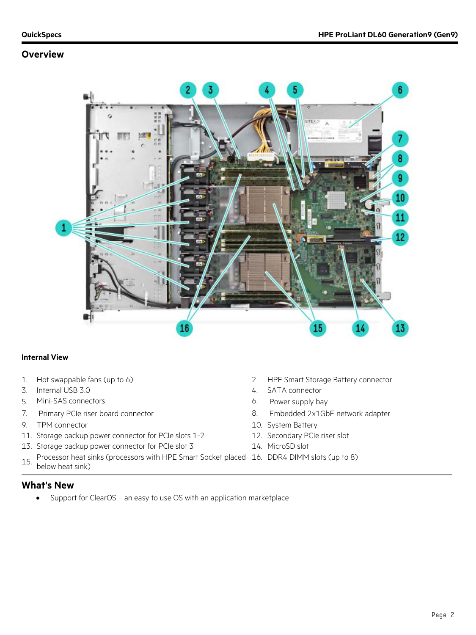## **Overview**



#### **Internal View**

- 
- 3. Internal USB 3.0 4. SATA connector
- 5. Mini-SAS connectors 6. Power supply bay
- 
- 9. TPM connector 10. System Battery
- 11. Storage backup power connector for PCIe slots 1-2 12. Secondary PCIe riser slot
- 13. Storage backup power connector for PCIe slot 3 14. MicroSD slot
- 15. Processor heat sinks (processors with HPE Smart Socket placed 16. DDR4 DIMM slots (up to 8) below heat sink)
- 1. Hot swappable fans (up to 6) 2. HPE Smart Storage Battery connector
	-
	-
- 7. Primary PCIe riser board connector 8. Embedded 2x1GbE network adapter
	-
	-
	-
	-

#### **What's New**

• Support for ClearOS – an easy to use OS with an application marketplace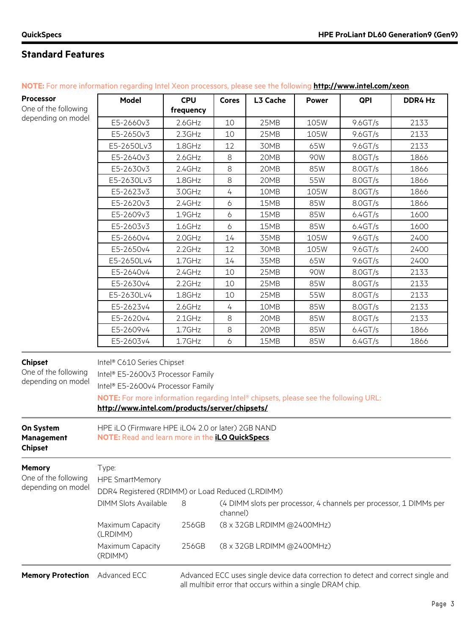| <b>Processor</b>                                             | <b>Model</b>                                                                                                                                                                                                                                  | <b>CPU</b> | <b>Cores</b> | L3 Cache                   | <b>Power</b> | QPI        | DDR4 Hz                                                            |
|--------------------------------------------------------------|-----------------------------------------------------------------------------------------------------------------------------------------------------------------------------------------------------------------------------------------------|------------|--------------|----------------------------|--------------|------------|--------------------------------------------------------------------|
| One of the following                                         |                                                                                                                                                                                                                                               | frequency  |              |                            |              |            |                                                                    |
| depending on model                                           | E5-2660v3                                                                                                                                                                                                                                     | $2.6$ GHz  | 10           | 25MB                       | 105W         | 9.6GT/s    | 2133                                                               |
|                                                              | E5-2650v3                                                                                                                                                                                                                                     | $2.3$ GHz  | 10           | 25MB                       | 105W         | $9.6$ GT/s | 2133                                                               |
|                                                              | E5-2650Lv3                                                                                                                                                                                                                                    | 1.8GHz     | 12           | 30MB                       | 65W          | $9.6$ GT/s | 2133                                                               |
|                                                              | E5-2640v3                                                                                                                                                                                                                                     | $2.6$ GHz  | 8            | 20MB                       | 90W          | 8.0GT/s    | 1866                                                               |
|                                                              | E5-2630v3                                                                                                                                                                                                                                     | 2.4GHz     | $\,8\,$      | 20MB                       | 85W          | 8.0GT/s    | 1866                                                               |
|                                                              | E5-2630Lv3                                                                                                                                                                                                                                    | 1.8GHz     | 8            | 20MB                       | 55W          | 8.0GT/s    | 1866                                                               |
|                                                              | E5-2623v3                                                                                                                                                                                                                                     | 3.0GHz     | 4            | 10MB                       | 105W         | 8.0GT/s    | 1866                                                               |
|                                                              | E5-2620v3                                                                                                                                                                                                                                     | 2.4GHz     | 6            | 15MB                       | 85W          | 8.0GT/s    | 1866                                                               |
|                                                              | E5-2609v3                                                                                                                                                                                                                                     | 1.9GHz     | 6            | 15MB                       | 85W          | 6.4GT/s    | 1600                                                               |
|                                                              | E5-2603v3                                                                                                                                                                                                                                     | 1.6GHz     | 6            | 15MB                       | 85W          | 6.4GT/s    | 1600                                                               |
|                                                              | E5-2660v4                                                                                                                                                                                                                                     | 2.0GHz     | 14           | 35MB                       | 105W         | $9.6$ GT/s | 2400                                                               |
|                                                              | E5-2650v4                                                                                                                                                                                                                                     | $2.2$ GHz  | 12           | 30MB                       | 105W         | 9.6GT/s    | 2400                                                               |
|                                                              | E5-2650Lv4                                                                                                                                                                                                                                    | $1.7$ GHz  | 14           | 35MB                       | 65W          | $9.6$ GT/s | 2400                                                               |
|                                                              | E5-2640v4                                                                                                                                                                                                                                     | $2.4$ GHz  | 10           | 25MB                       | 90W          | 8.0GT/s    | 2133                                                               |
|                                                              | E5-2630v4                                                                                                                                                                                                                                     | $2.2$ GHz  | 10           | 25MB                       | 85W          | 8.0GT/s    | 2133                                                               |
|                                                              | E5-2630Lv4                                                                                                                                                                                                                                    | 1.8GHz     | 10           | 25MB                       | 55W          | 8.0GT/s    | 2133                                                               |
|                                                              | E5-2623v4                                                                                                                                                                                                                                     | 2.6GHz     | 4            | 10MB                       | 85W          | 8.0GT/s    | 2133                                                               |
|                                                              | E5-2620v4                                                                                                                                                                                                                                     | $2.1$ GHz  | 8            | 20MB                       | 85W          | 8.0GT/s    | 2133                                                               |
|                                                              | E5-2609v4                                                                                                                                                                                                                                     | 1.7GHz     | 8            | 20MB                       | 85W          | 6.4GT/s    | 1866                                                               |
|                                                              | E5-2603v4                                                                                                                                                                                                                                     | 1.7GHz     | 6            | 15MB                       | 85W          | 6.4GT/s    | 1866                                                               |
| <b>Chipset</b><br>One of the following<br>depending on model | Intel® C610 Series Chipset<br>Intel® E5-2600v3 Processor Family<br>Intel® E5-2600v4 Processor Family<br>NOTE: For more information regarding Intel® chipsets, please see the following URL:<br>http://www.intel.com/products/server/chipsets/ |            |              |                            |              |            |                                                                    |
| On System<br>Management<br><b>Chipset</b>                    | HPE iLO (Firmware HPE iLO4 2.0 or later) 2GB NAND<br>NOTE: Read and learn more in the <i>iLO QuickSpecs</i> .                                                                                                                                 |            |              |                            |              |            |                                                                    |
| <b>Memory</b><br>One of the following<br>depending on model  | Type:<br><b>HPE SmartMemory</b><br>DDR4 Registered (RDIMM) or Load Reduced (LRDIMM)                                                                                                                                                           |            |              |                            |              |            |                                                                    |
|                                                              | <b>DIMM Slots Available</b>                                                                                                                                                                                                                   | 8          | channel)     |                            |              |            | (4 DIMM slots per processor, 4 channels per processor, 1 DIMMs per |
|                                                              | Maximum Capacity<br>(LRDIMM)                                                                                                                                                                                                                  | 256GB      |              | (8 x 32GB LRDIMM @2400MHz) |              |            |                                                                    |
|                                                              | Maximum Capacity<br>(RDIMM)                                                                                                                                                                                                                   | 256GB      |              | (8 x 32GB LRDIMM @2400MHz) |              |            |                                                                    |

**NOTE:** For more information regarding Intel Xeon processors, please see the following **<http://www.intel.com/xeon>**.

Memory Protection Advanced ECC Advanced ECC uses single device data correction to detect and correct single and all multibit error that occurs within a single DRAM chip.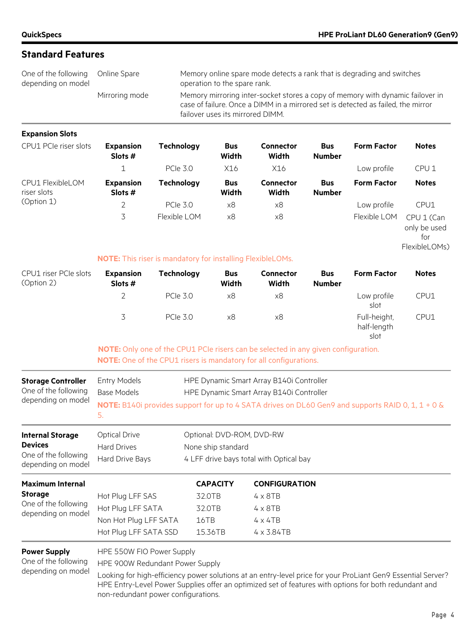of memory with dynamic failover in

## **Standard Features**

| One of the following Online Spare<br>depending on model |                | Memory online spare mode defects a rank that is degrading and switches<br>operation to the spare rank.                                                         |
|---------------------------------------------------------|----------------|----------------------------------------------------------------------------------------------------------------------------------------------------------------|
|                                                         | Mirroring mode | Memory mirroring inter-socket stores a copy of memory with dynamic failove<br>case of failure. Once a DIMM in a mirrored set is detected as failed, the mirror |

**Expansion Slots**

| CPU1 PCIe riser slots           | <b>Expansion</b><br>Slots $#$ | <b>Technology</b> | <b>Bus</b><br>Width | <b>Connector</b><br>Width | <b>Bus</b><br><b>Number</b> | <b>Form Factor</b> | <b>Notes</b>                                       |
|---------------------------------|-------------------------------|-------------------|---------------------|---------------------------|-----------------------------|--------------------|----------------------------------------------------|
|                                 |                               | <b>PCIe 3.0</b>   | X16                 | X16                       |                             | Low profile        | CPU <sub>1</sub>                                   |
| CPU1 FlexibleLOM<br>riser slots | <b>Expansion</b><br>Slots $#$ | Technology        | <b>Bus</b><br>Width | <b>Connector</b><br>Width | <b>Bus</b><br><b>Number</b> | <b>Form Factor</b> | <b>Notes</b>                                       |
| (Option 1)                      | 2                             | <b>PCIe 3.0</b>   | x8                  | x8                        |                             | Low profile        | CPU1                                               |
|                                 | 3.                            | Flexible LOM      | x8                  | x8                        |                             | Flexible LOM       | CPU 1 (Can<br>only be used<br>for<br>FlexibleLOMs) |

failover uses its mirrored DIMM.

#### **NOTE:** This riser is mandatory for installing FlexibleLOMs.

| CPU1 riser PCIe slots<br>(Option 2) | <b>Expansion</b><br>Slots # | Technology      | <b>Bus</b><br>Width | <b>Connector</b><br>Width | <b>Bus</b><br><b>Number</b> | <b>Form Factor</b>          | <b>Notes</b> |
|-------------------------------------|-----------------------------|-----------------|---------------------|---------------------------|-----------------------------|-----------------------------|--------------|
|                                     |                             | <b>PCIe 3.0</b> | х8                  | x8                        |                             | Low profile<br>slot         | CPU1         |
|                                     | ス                           | <b>PCIe 3.0</b> | x8                  | x8                        |                             | Full-height,<br>half-length | CPU1         |

slot **NOTE:** Only one of the CPU1 PCIe risers can be selected in any given configuration.

| NOTE: One of the CPU1 risers is mandatory for all configurations. |  |
|-------------------------------------------------------------------|--|
|-------------------------------------------------------------------|--|

| <b>Storage Controller</b><br>One of the following<br>depending on model                 | <b>Entry Models</b><br>Base Models<br>5.                                                | HPE Dynamic Smart Array B140i Controller<br>HPE Dynamic Smart Array B140i Controller<br>NOTE: B140i provides support for up to 4 SATA drives on DL60 Gen9 and supports RAID 0, 1, 1 + 0 & |                                                                                                    |  |  |  |
|-----------------------------------------------------------------------------------------|-----------------------------------------------------------------------------------------|-------------------------------------------------------------------------------------------------------------------------------------------------------------------------------------------|----------------------------------------------------------------------------------------------------|--|--|--|
| <b>Internal Storage</b><br><b>Devices</b><br>One of the following<br>depending on model | <b>Optical Drive</b><br><b>Hard Drives</b><br>Hard Drive Bays                           | Optional: DVD-ROM, DVD-RW<br>None ship standard<br>4 LFF drive bays total with Optical bay                                                                                                |                                                                                                    |  |  |  |
| <b>Maximum Internal</b><br><b>Storage</b><br>One of the following<br>depending on model | Hot Plug LFF SAS<br>Hot Plug LFF SATA<br>Non Hot Plug LFF SATA<br>Hot Plug LFF SATA SSD | <b>CAPACITY</b><br>32.0TB<br>32.0TB<br>16TB<br>15.36TB                                                                                                                                    | <b>CONFIGURATION</b><br>$4 \times 8$ TB<br>$4 \times 8$ TB<br>$4 \times 4TB$<br>$4 \times 3.84$ TB |  |  |  |

#### **Power Supply**

HPE 550W FIO Power Supply

One of the following depending on model HPE 900W Redundant Power Supply

Looking for high-efficiency power solutions at an entry-level price for your ProLiant Gen9 Essential Server? HPE Entry-Level Power Supplies offer an optimized set of features with options for both redundant and non-redundant power configurations.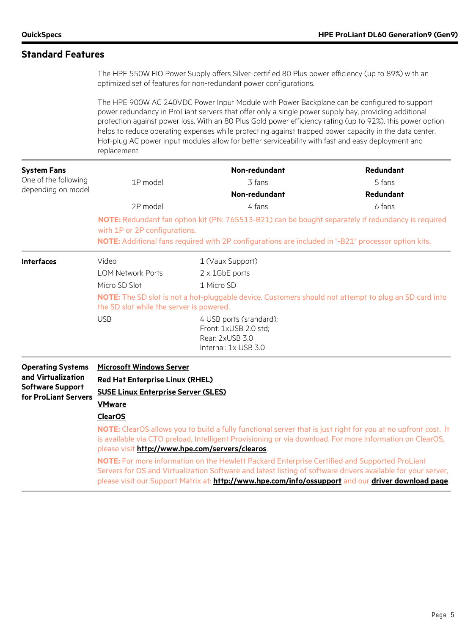The HPE 550W FIO Power Supply offers Silver-certified 80 Plus power efficiency (up to 89%) with an optimized set of features for non-redundant power configurations.

The HPE 900W AC 240VDC Power Input Module with Power Backplane can be configured to support power redundancy in ProLiant servers that offer only a single power supply bay, providing additional protection against power loss. With an 80 Plus Gold power efficiency rating (up to 92%), this power option helps to reduce operating expenses while protecting against trapped power capacity in the data center. Hot-plug AC power input modules allow for better serviceability with fast and easy deployment and replacement.

| <b>System Fans</b><br>One of the following<br>depending on model                                  | 1P model<br>2P model<br>with 1P or 2P configurations.                                                                                                                                                          | Non-redundant<br>3 fans<br>Non-redundant<br>4 fans<br>NOTE: Redundant fan option kit (PN: 765513-B21) can be bought separately if redundancy is required<br>NOTE: Additional fans required with 2P configurations are included in "-B21" processor option kits.                                                                                                                                                                                                                                                                                   | <b>Redundant</b><br>5 fans<br><b>Redundant</b><br>6 fans |  |  |
|---------------------------------------------------------------------------------------------------|----------------------------------------------------------------------------------------------------------------------------------------------------------------------------------------------------------------|---------------------------------------------------------------------------------------------------------------------------------------------------------------------------------------------------------------------------------------------------------------------------------------------------------------------------------------------------------------------------------------------------------------------------------------------------------------------------------------------------------------------------------------------------|----------------------------------------------------------|--|--|
| <b>Interfaces</b>                                                                                 | Video<br><b>LOM Network Ports</b><br>Micro SD Slot<br>the SD slot while the server is powered.<br><b>USB</b>                                                                                                   | 1 (Vaux Support)<br>$2 \times 1$ GbE ports<br>1 Micro SD<br><b>NOTE:</b> The SD slot is not a hot-pluggable device. Customers should not attempt to plug an SD card into<br>4 USB ports (standard);<br>Front: 1xUSB 2.0 std;<br>Rear: 2xUSB 3.0<br>Internal: 1x USB 3.0                                                                                                                                                                                                                                                                           |                                                          |  |  |
| <b>Operating Systems</b><br>and Virtualization<br><b>Software Support</b><br>for ProLiant Servers | <b>Microsoft Windows Server</b><br><b>Red Hat Enterprise Linux (RHEL)</b><br><b>SUSE Linux Enterprise Server (SLES)</b><br><b>VMware</b><br><b>ClearOS</b><br>please visit http://www.hpe.com/servers/clearos. | NOTE: ClearOS allows you to build a fully functional server that is just right for you at no upfront cost. It<br>is available via CTO preload, Intelligent Provisioning or via download. For more information on ClearOS,<br>NOTE: For more information on the Hewlett Packard Enterprise Certified and Supported ProLiant<br>Servers for OS and Virtualization Software and latest listing of software drivers available for your server,<br>please visit our Support Matrix at: http://www.hpe.com/info/ossupport and our driver download page. |                                                          |  |  |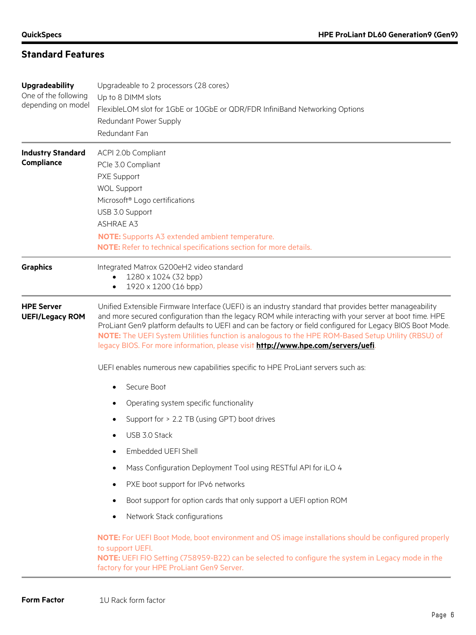| <b>Upgradeability</b><br>One of the following<br>depending on model | Upgradeable to 2 processors (28 cores)<br>Up to 8 DIMM slots<br>FlexibleLOM slot for 1GbE or 10GbE or QDR/FDR InfiniBand Networking Options<br>Redundant Power Supply<br>Redundant Fan                                                                                                                                                                                                                                                                                                                                    |  |  |  |  |
|---------------------------------------------------------------------|---------------------------------------------------------------------------------------------------------------------------------------------------------------------------------------------------------------------------------------------------------------------------------------------------------------------------------------------------------------------------------------------------------------------------------------------------------------------------------------------------------------------------|--|--|--|--|
| <b>Industry Standard</b><br>Compliance                              | ACPI 2.0b Compliant<br>PCIe 3.0 Compliant<br>PXE Support<br><b>WOL Support</b><br>Microsoft® Logo certifications<br>USB 3.0 Support<br><b>ASHRAE A3</b><br><b>NOTE:</b> Supports A3 extended ambient temperature.<br>NOTE: Refer to technical specifications section for more details.                                                                                                                                                                                                                                    |  |  |  |  |
| <b>Graphics</b>                                                     | Integrated Matrox G200eH2 video standard<br>1280 x 1024 (32 bpp)<br>1920 x 1200 (16 bpp)                                                                                                                                                                                                                                                                                                                                                                                                                                  |  |  |  |  |
| <b>HPE Server</b><br><b>UEFI/Legacy ROM</b>                         | Unified Extensible Firmware Interface (UEFI) is an industry standard that provides better manageability<br>and more secured configuration than the legacy ROM while interacting with your server at boot time. HPE<br>ProLiant Gen9 platform defaults to UEFI and can be factory or field configured for Legacy BIOS Boot Mode.<br>NOTE: The UEFI System Utilities function is analogous to the HPE ROM-Based Setup Utility (RBSU) of<br>legacy BIOS. For more information, please visit http://www.hpe.com/servers/uefi. |  |  |  |  |
|                                                                     | UEFI enables numerous new capabilities specific to HPE ProLiant servers such as:                                                                                                                                                                                                                                                                                                                                                                                                                                          |  |  |  |  |
|                                                                     | Secure Boot<br>$\bullet$                                                                                                                                                                                                                                                                                                                                                                                                                                                                                                  |  |  |  |  |
|                                                                     | Operating system specific functionality<br>٠                                                                                                                                                                                                                                                                                                                                                                                                                                                                              |  |  |  |  |
|                                                                     | Support for > 2.2 TB (using GPT) boot drives<br>٠                                                                                                                                                                                                                                                                                                                                                                                                                                                                         |  |  |  |  |
|                                                                     | USB 3.0 Stack<br>$\bullet$                                                                                                                                                                                                                                                                                                                                                                                                                                                                                                |  |  |  |  |
|                                                                     | Embedded UEFI Shell                                                                                                                                                                                                                                                                                                                                                                                                                                                                                                       |  |  |  |  |
|                                                                     | Mass Configuration Deployment Tool using RESTful API for iLO 4<br>٠                                                                                                                                                                                                                                                                                                                                                                                                                                                       |  |  |  |  |
|                                                                     | PXE boot support for IPv6 networks<br>٠                                                                                                                                                                                                                                                                                                                                                                                                                                                                                   |  |  |  |  |
|                                                                     | Boot support for option cards that only support a UEFI option ROM<br>٠                                                                                                                                                                                                                                                                                                                                                                                                                                                    |  |  |  |  |
|                                                                     | Network Stack configurations<br>٠                                                                                                                                                                                                                                                                                                                                                                                                                                                                                         |  |  |  |  |
|                                                                     | NOTE: For UEFI Boot Mode, boot environment and OS image installations should be configured properly<br>to support UEFI.<br>NOTE: UEFI FIO Setting (758959-B22) can be selected to configure the system in Legacy mode in the<br>factory for your HPE ProLiant Gen9 Server.                                                                                                                                                                                                                                                |  |  |  |  |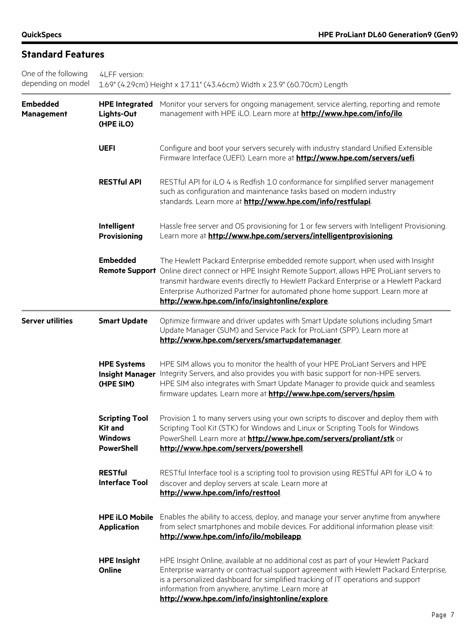| One of the following<br>depending on model | 4LFF version:<br>1.69" (4.29cm) Height x 17.11" (43.46cm) Width x 23.9" (60.70cm) Length |                                                                                                                                                                                                                                                                                                                                                                                                                 |  |  |  |
|--------------------------------------------|------------------------------------------------------------------------------------------|-----------------------------------------------------------------------------------------------------------------------------------------------------------------------------------------------------------------------------------------------------------------------------------------------------------------------------------------------------------------------------------------------------------------|--|--|--|
| <b>Embedded</b><br><b>Management</b>       | <b>HPE Integrated</b><br>Lights-Out<br>(HPE iLO)                                         | Monitor your servers for ongoing management, service alerting, reporting and remote<br>management with HPE iLO. Learn more at http://www.hpe.com/info/ilo.                                                                                                                                                                                                                                                      |  |  |  |
|                                            | <b>UEFI</b>                                                                              | Configure and boot your servers securely with industry standard Unified Extensible<br>Firmware Interface (UEFI). Learn more at http://www.hpe.com/servers/uefi.                                                                                                                                                                                                                                                 |  |  |  |
|                                            | <b>RESTful API</b>                                                                       | RESTful API for iLO 4 is Redfish 1.0 conformance for simplified server management<br>such as configuration and maintenance tasks based on modern industry<br>standards. Learn more at http://www.hpe.com/info/restfulapi.                                                                                                                                                                                       |  |  |  |
|                                            | Intelligent<br><b>Provisioning</b>                                                       | Hassle free server and OS provisioning for 1 or few servers with Intelligent Provisioning.<br>Learn more at http://www.hpe.com/servers/intelligentprovisioning.                                                                                                                                                                                                                                                 |  |  |  |
|                                            | <b>Embedded</b>                                                                          | The Hewlett Packard Enterprise embedded remote support, when used with Insight<br>Remote Support Online direct connect or HPE Insight Remote Support, allows HPE ProLiant servers to<br>transmit hardware events directly to Hewlett Packard Enterprise or a Hewlett Packard<br>Enterprise Authorized Partner for automated phone home support. Learn more at<br>http://www.hpe.com/info/insightonline/explore. |  |  |  |
| <b>Server utilities</b>                    | <b>Smart Update</b>                                                                      | Optimize firmware and driver updates with Smart Update solutions including Smart<br>Update Manager (SUM) and Service Pack for ProLiant (SPP). Learn more at<br>http://www.hpe.com/servers/smartupdatemanager.                                                                                                                                                                                                   |  |  |  |
|                                            | <b>HPE Systems</b><br><b>Insight Manager</b><br>(HPE SIM)                                | HPE SIM allows you to monitor the health of your HPE ProLiant Servers and HPE<br>Integrity Servers, and also provides you with basic support for non-HPE servers.<br>HPE SIM also integrates with Smart Update Manager to provide quick and seamless<br>firmware updates. Learn more at <b>http://www.hpe.com/servers/hpsim</b> .                                                                               |  |  |  |
|                                            | <b>Scripting Tool</b><br>Kit and<br><b>Windows</b><br><b>PowerShell</b>                  | Provision 1 to many servers using your own scripts to discover and deploy them with<br>Scripting Tool Kit (STK) for Windows and Linux or Scripting Tools for Windows<br>PowerShell. Learn more at <b>http://www.hpe.com/servers/proliant/stk</b> or<br>http://www.hpe.com/servers/powershell.                                                                                                                   |  |  |  |
|                                            | <b>RESTful</b><br><b>Interface Tool</b>                                                  | RESTful Interface tool is a scripting tool to provision using RESTful API for iLO 4 to<br>discover and deploy servers at scale. Learn more at<br>http://www.hpe.com/info/resttool                                                                                                                                                                                                                               |  |  |  |
|                                            | <b>HPE iLO Mobile</b><br><b>Application</b>                                              | Enables the ability to access, deploy, and manage your server anytime from anywhere<br>from select smartphones and mobile devices. For additional information please visit:<br>http://www.hpe.com/info/ilo/mobileapp.                                                                                                                                                                                           |  |  |  |
|                                            | <b>HPE Insight</b><br>Online                                                             | HPE Insight Online, available at no additional cost as part of your Hewlett Packard<br>Enterprise warranty or contractual support agreement with Hewlett Packard Enterprise,<br>is a personalized dashboard for simplified tracking of IT operations and support<br>information from anywhere, anytime. Learn more at<br>http://www.hpe.com/info/insightonline/explore.                                         |  |  |  |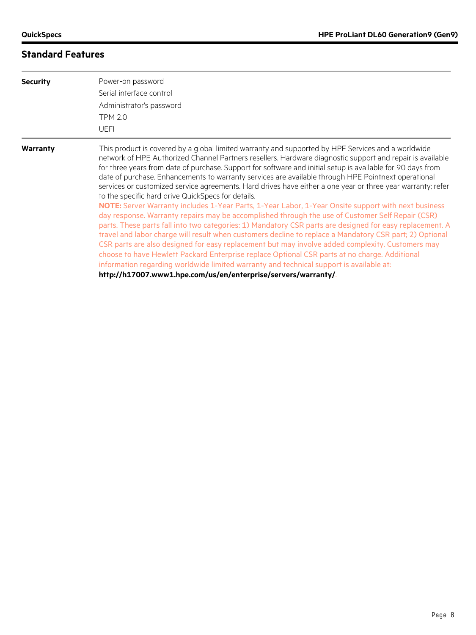| <b>Security</b> | Power-on password<br>Serial interface control<br>Administrator's password<br><b>TPM 2.0</b><br><b>UEFI</b>                                                                                                                                                                                                                                                                                                                                                                                                                                                                                                                                                                                                                                                                                                                                                                                                                                                                                                                                                                                                                                                                                                                                                                                                                                                                                                    |
|-----------------|---------------------------------------------------------------------------------------------------------------------------------------------------------------------------------------------------------------------------------------------------------------------------------------------------------------------------------------------------------------------------------------------------------------------------------------------------------------------------------------------------------------------------------------------------------------------------------------------------------------------------------------------------------------------------------------------------------------------------------------------------------------------------------------------------------------------------------------------------------------------------------------------------------------------------------------------------------------------------------------------------------------------------------------------------------------------------------------------------------------------------------------------------------------------------------------------------------------------------------------------------------------------------------------------------------------------------------------------------------------------------------------------------------------|
| Warranty        | This product is covered by a global limited warranty and supported by HPE Services and a worldwide<br>network of HPE Authorized Channel Partners resellers. Hardware diagnostic support and repair is available<br>for three years from date of purchase. Support for software and initial setup is available for 90 days from<br>date of purchase. Enhancements to warranty services are available through HPE Pointnext operational<br>services or customized service agreements. Hard drives have either a one year or three year warranty; refer<br>to the specific hard drive QuickSpecs for details.<br>NOTE: Server Warranty includes 1-Year Parts, 1-Year Labor, 1-Year Onsite support with next business<br>day response. Warranty repairs may be accomplished through the use of Customer Self Repair (CSR)<br>parts. These parts fall into two categories: 1) Mandatory CSR parts are designed for easy replacement. A<br>travel and labor charge will result when customers decline to replace a Mandatory CSR part; 2) Optional<br>CSR parts are also designed for easy replacement but may involve added complexity. Customers may<br>choose to have Hewlett Packard Enterprise replace Optional CSR parts at no charge. Additional<br>information regarding worldwide limited warranty and technical support is available at:<br>http://h17007.www1.hpe.com/us/en/enterprise/servers/warranty/ |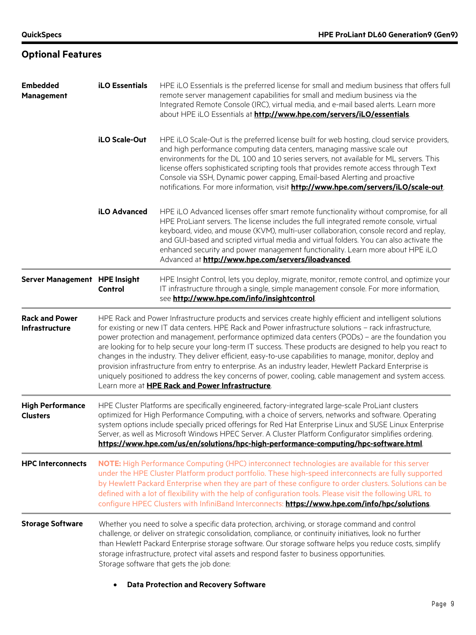**Optional Features**

| <b>Embedded</b><br><b>Management</b>           | <b>iLO Essentials</b>                                                                                                                                                                                                                                                                                                                                                                                                                                                                                                                                                                                                                                                                                                                                                                                                                  | HPE iLO Essentials is the preferred license for small and medium business that offers full<br>remote server management capabilities for small and medium business via the<br>Integrated Remote Console (IRC), virtual media, and e-mail based alerts. Learn more<br>about HPE iLO Essentials at http://www.hpe.com/servers/iLO/essentials.                                                                                                                                                                                            |  |  |  |
|------------------------------------------------|----------------------------------------------------------------------------------------------------------------------------------------------------------------------------------------------------------------------------------------------------------------------------------------------------------------------------------------------------------------------------------------------------------------------------------------------------------------------------------------------------------------------------------------------------------------------------------------------------------------------------------------------------------------------------------------------------------------------------------------------------------------------------------------------------------------------------------------|---------------------------------------------------------------------------------------------------------------------------------------------------------------------------------------------------------------------------------------------------------------------------------------------------------------------------------------------------------------------------------------------------------------------------------------------------------------------------------------------------------------------------------------|--|--|--|
|                                                | iLO Scale-Out                                                                                                                                                                                                                                                                                                                                                                                                                                                                                                                                                                                                                                                                                                                                                                                                                          | HPE iLO Scale-Out is the preferred license built for web hosting, cloud service providers,<br>and high performance computing data centers, managing massive scale out<br>environments for the DL 100 and 10 series servers, not available for ML servers. This<br>license offers sophisticated scripting tools that provides remote access through Text<br>Console via SSH, Dynamic power capping, Email-based Alerting and proactive<br>notifications. For more information, visit <b>http://www.hpe.com/servers/iLO/scale-out</b> . |  |  |  |
|                                                | iLO Advanced                                                                                                                                                                                                                                                                                                                                                                                                                                                                                                                                                                                                                                                                                                                                                                                                                           | HPE iLO Advanced licenses offer smart remote functionality without compromise, for all<br>HPE ProLiant servers. The license includes the full integrated remote console, virtual<br>keyboard, video, and mouse (KVM), multi-user collaboration, console record and replay,<br>and GUI-based and scripted virtual media and virtual folders. You can also activate the<br>enhanced security and power management functionality. Learn more about HPE iLO<br>Advanced at http://www.hpe.com/servers/iloadvanced.                        |  |  |  |
| Server Management HPE Insight                  | Control                                                                                                                                                                                                                                                                                                                                                                                                                                                                                                                                                                                                                                                                                                                                                                                                                                | HPE Insight Control, lets you deploy, migrate, monitor, remote control, and optimize your<br>IT infrastructure through a single, simple management console. For more information,<br>see http://www.hpe.com/info/insightcontrol.                                                                                                                                                                                                                                                                                                      |  |  |  |
| <b>Rack and Power</b><br><b>Infrastructure</b> | HPE Rack and Power Infrastructure products and services create highly efficient and intelligent solutions<br>for existing or new IT data centers. HPE Rack and Power infrastructure solutions - rack infrastructure,<br>power protection and management, performance optimized data centers (PODs) - are the foundation you<br>are looking for to help secure your long-term IT success. These products are designed to help you react to<br>changes in the industry. They deliver efficient, easy-to-use capabilities to manage, monitor, deploy and<br>provision infrastructure from entry to enterprise. As an industry leader, Hewlett Packard Enterprise is<br>uniquely positioned to address the key concerns of power, cooling, cable management and system access.<br>Learn more at <b>HPE Rack and Power Infrastructure</b> . |                                                                                                                                                                                                                                                                                                                                                                                                                                                                                                                                       |  |  |  |
| <b>High Performance</b><br><b>Clusters</b>     | HPE Cluster Platforms are specifically engineered, factory-integrated large-scale ProLiant clusters<br>optimized for High Performance Computing, with a choice of servers, networks and software. Operating<br>system options include specially priced offerings for Red Hat Enterprise Linux and SUSE Linux Enterprise<br>Server, as well as Microsoft Windows HPEC Server. A Cluster Platform Configurator simplifies ordering.<br>https://www.hpe.com/us/en/solutions/hpc-high-performance-computing/hpc-software.html                                                                                                                                                                                                                                                                                                              |                                                                                                                                                                                                                                                                                                                                                                                                                                                                                                                                       |  |  |  |
| <b>HPC Interconnects</b>                       |                                                                                                                                                                                                                                                                                                                                                                                                                                                                                                                                                                                                                                                                                                                                                                                                                                        | NOTE: High Performance Computing (HPC) interconnect technologies are available for this server<br>under the HPE Cluster Platform product portfolio. These high-speed interconnects are fully supported<br>by Hewlett Packard Enterprise when they are part of these configure to order clusters. Solutions can be<br>defined with a lot of flexibility with the help of configuration tools. Please visit the following URL to<br>configure HPEC Clusters with InfiniBand Interconnects: https://www.hpe.com/info/hpc/solutions       |  |  |  |
| <b>Storage Software</b>                        |                                                                                                                                                                                                                                                                                                                                                                                                                                                                                                                                                                                                                                                                                                                                                                                                                                        | Whether you need to solve a specific data protection, archiving, or storage command and control<br>challenge, or deliver on strategic consolidation, compliance, or continuity initiatives, look no further<br>than Hewlett Packard Enterprise storage software. Our storage software helps you reduce costs, simplify<br>storage infrastructure, protect vital assets and respond faster to business opportunities.<br>Storage software that gets the job done:                                                                      |  |  |  |

• **Data Protection and Recovery Software**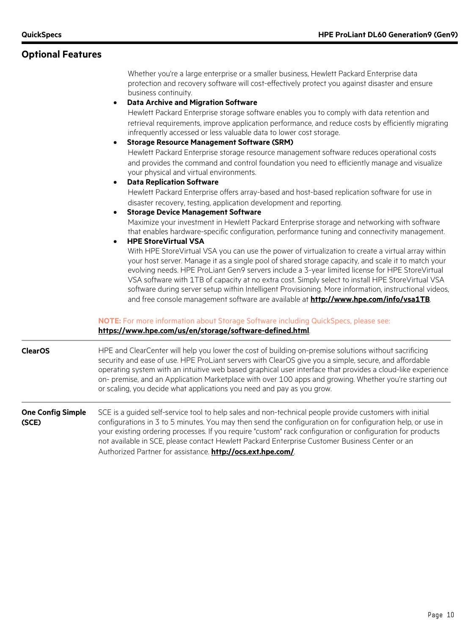## **Optional Features**

Whether you're a large enterprise or a smaller business, Hewlett Packard Enterprise data protection and recovery software will cost-effectively protect you against disaster and ensure business continuity.

#### • **Data Archive and Migration Software**

Hewlett Packard Enterprise storage software enables you to comply with data retention and retrieval requirements, improve application performance, and reduce costs by efficiently migrating infrequently accessed or less valuable data to lower cost storage.

• **Storage Resource Management Software (SRM)** Hewlett Packard Enterprise storage resource management software reduces operational costs and provides the command and control foundation you need to efficiently manage and visualize your physical and virtual environments.

#### • **Data Replication Software**

Hewlett Packard Enterprise offers array-based and host-based replication software for use in disaster recovery, testing, application development and reporting.

• **Storage Device Management Software**

Maximize your investment in Hewlett Packard Enterprise storage and networking with software that enables hardware-specific configuration, performance tuning and connectivity management.

#### • **HPE StoreVirtual VSA**

With HPE StoreVirtual VSA you can use the power of virtualization to create a virtual array within your host server. Manage it as a single pool of shared storage capacity, and scale it to match your evolving needs. HPE ProLiant Gen9 servers include a 3-year limited license for HPE StoreVirtual VSA software with 1TB of capacity at no extra cost. Simply select to install HPE StoreVirtual VSA software during server setup within Intelligent Provisioning. More information, instructional videos, and free console management software are available at **<http://www.hpe.com/info/vsa1TB>**.

#### **NOTE:** For more information about Storage Software including QuickSpecs, please see: **<https://www.hpe.com/us/en/storage/software-defined.html>**.

**ClearOS** HPE and ClearCenter will help you lower the cost of building on-premise solutions without sacrificing security and ease of use. HPE ProLiant servers with ClearOS give you a simple, secure, and affordable operating system with an intuitive web based graphical user interface that provides a cloud-like experience on- premise, and an Application Marketplace with over 100 apps and growing. Whether you're starting out or scaling, you decide what applications you need and pay as you grow.

#### **One Config Simple (SCE)** SCE is a guided self-service tool to help sales and non-technical people provide customers with initial configurations in 3 to 5 minutes. You may then send the configuration on for configuration help, or use in your existing ordering processes. If you require "custom" rack configuration or configuration for products not available in SCE, please contact Hewlett Packard Enterprise Customer Business Center or an Authorized Partner for assistance. **<http://ocs.ext.hpe.com/>**.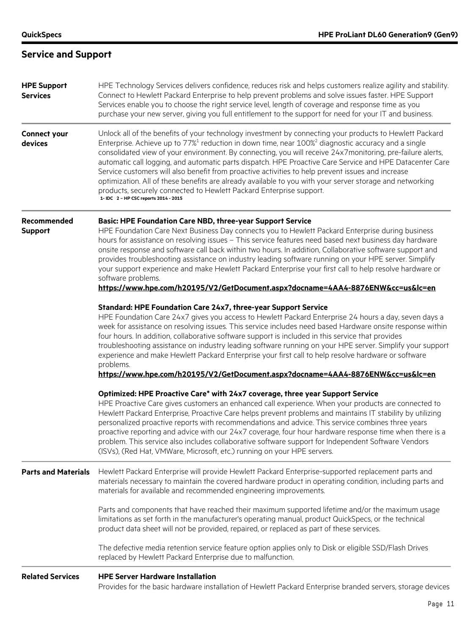## **Service and Support**

| <b>HPE Support</b><br><b>Services</b> | HPE Technology Services delivers confidence, reduces risk and helps customers realize agility and stability.<br>Connect to Hewlett Packard Enterprise to help prevent problems and solve issues faster. HPE Support<br>Services enable you to choose the right service level, length of coverage and response time as you<br>purchase your new server, giving you full entitlement to the support for need for your IT and business.                                                                                                                                                                                                                                                                                                                                                                   |
|---------------------------------------|--------------------------------------------------------------------------------------------------------------------------------------------------------------------------------------------------------------------------------------------------------------------------------------------------------------------------------------------------------------------------------------------------------------------------------------------------------------------------------------------------------------------------------------------------------------------------------------------------------------------------------------------------------------------------------------------------------------------------------------------------------------------------------------------------------|
| <b>Connect your</b><br>devices        | Unlock all of the benefits of your technology investment by connecting your products to Hewlett Packard<br>Enterprise. Achieve up to $77\%$ <sup>1</sup> reduction in down time, near $100\%$ <sup>2</sup> diagnostic accuracy and a single<br>consolidated view of your environment. By connecting, you will receive 24x7monitoring, pre-failure alerts,<br>automatic call logging, and automatic parts dispatch. HPE Proactive Care Service and HPE Datacenter Care<br>Service customers will also benefit from proactive activities to help prevent issues and increase<br>optimization. All of these benefits are already available to you with your server storage and networking<br>products, securely connected to Hewlett Packard Enterprise support.<br>1- IDC 2 - HP CSC reports 2014 - 2015 |
| Recommended<br><b>Support</b>         | <b>Basic: HPE Foundation Care NBD, three-year Support Service</b><br>HPE Foundation Care Next Business Day connects you to Hewlett Packard Enterprise during business<br>hours for assistance on resolving issues - This service features need based next business day hardware<br>onsite response and software call back within two hours. In addition, Collaborative software support and<br>provides troubleshooting assistance on industry leading software running on your HPE server. Simplify<br>your support experience and make Hewlett Packard Enterprise your first call to help resolve hardware or<br>software problems.<br>https://www.hpe.com/h20195/V2/GetDocument.aspx?docname=4AA4-8876ENW&cc=us&lc=en                                                                               |
|                                       | Standard: HPE Foundation Care 24x7, three-year Support Service<br>HPE Foundation Care 24x7 gives you access to Hewlett Packard Enterprise 24 hours a day, seven days a<br>week for assistance on resolving issues. This service includes need based Hardware onsite response within<br>four hours. In addition, collaborative software support is included in this service that provides<br>troubleshooting assistance on industry leading software running on your HPE server. Simplify your support<br>experience and make Hewlett Packard Enterprise your first call to help resolve hardware or software<br>problems.<br>https://www.hpe.com/h20195/V2/GetDocument.aspx?docname=4AA4-8876ENW&cc=us&lc=en                                                                                           |
|                                       | Optimized: HPE Proactive Care* with 24x7 coverage, three year Support Service<br>HPE Proactive Care gives customers an enhanced call experience. When your products are connected to<br>Hewlett Packard Enterprise, Proactive Care helps prevent problems and maintains IT stability by utilizing<br>personalized proactive reports with recommendations and advice. This service combines three years<br>proactive reporting and advice with our 24x7 coverage, four hour hardware response time when there is a<br>problem. This service also includes collaborative software support for Independent Software Vendors<br>(ISVs), (Red Hat, VMWare, Microsoft, etc.) running on your HPE servers.                                                                                                    |
| <b>Parts and Materials</b>            | Hewlett Packard Enterprise will provide Hewlett Packard Enterprise-supported replacement parts and<br>materials necessary to maintain the covered hardware product in operating condition, including parts and<br>materials for available and recommended engineering improvements.                                                                                                                                                                                                                                                                                                                                                                                                                                                                                                                    |
|                                       | Parts and components that have reached their maximum supported lifetime and/or the maximum usage<br>limitations as set forth in the manufacturer's operating manual, product QuickSpecs, or the technical<br>product data sheet will not be provided, repaired, or replaced as part of these services.                                                                                                                                                                                                                                                                                                                                                                                                                                                                                                 |
|                                       | The defective media retention service feature option applies only to Disk or eligible SSD/Flash Drives<br>replaced by Hewlett Packard Enterprise due to malfunction.                                                                                                                                                                                                                                                                                                                                                                                                                                                                                                                                                                                                                                   |
| <b>Related Services</b>               | <b>HPE Server Hardware Installation</b><br>Provides for the basic hardware installation of Hewlett Packard Enterprise branded servers, storage devices                                                                                                                                                                                                                                                                                                                                                                                                                                                                                                                                                                                                                                                 |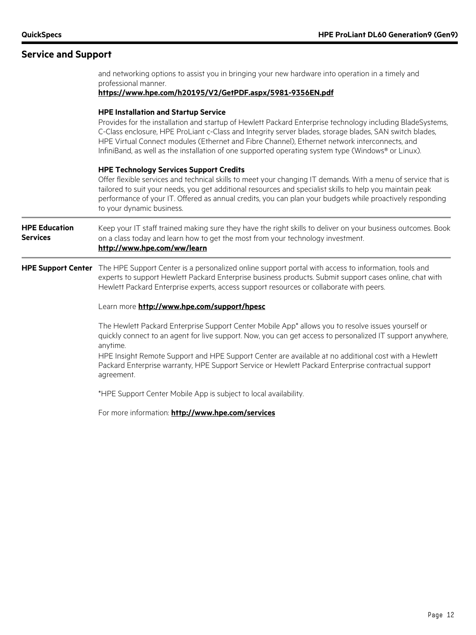## **Service and Support**

professional manner. **<https://www.hpe.com/h20195/V2/GetPDF.aspx/5981-9356EN.pdf> HPE Installation and Startup Service** Provides for the installation and startup of Hewlett Packard Enterprise technology including BladeSystems, C-Class enclosure, HPE ProLiant c-Class and Integrity server blades, storage blades, SAN switch blades, HPE Virtual Connect modules (Ethernet and Fibre Channel), Ethernet network interconnects, and InfiniBand, as well as the installation of one supported operating system type (Windows® or Linux). **HPE Technology Services Support Credits** Offer flexible services and technical skills to meet your changing IT demands. With a menu of service that is tailored to suit your needs, you get additional resources and specialist skills to help you maintain peak performance of your IT. Offered as annual credits, you can plan your budgets while proactively responding to your dynamic business. **HPE Education Services** Keep your IT staff trained making sure they have the right skills to deliver on your business outcomes. Book on a class today and learn how to get the most from your technology investment. **<http://www.hpe.com/ww/learn> HPE Support Center** The HPE Support Center is a personalized online support portal with access to information, tools and experts to support Hewlett Packard Enterprise business products. Submit support cases online, chat with Hewlett Packard Enterprise experts, access support resources or collaborate with peers. Learn more **<http://www.hpe.com/support/hpesc>** The Hewlett Packard Enterprise Support Center Mobile App\* allows you to resolve issues yourself or quickly connect to an agent for live support. Now, you can get access to personalized IT support anywhere, anytime. HPE Insight Remote Support and HPE Support Center are available at no additional cost with a Hewlett Packard Enterprise warranty, HPE Support Service or Hewlett Packard Enterprise contractual support agreement. \*HPE Support Center Mobile App is subject to local availability. For more information: **<http://www.hpe.com/services>**

and networking options to assist you in bringing your new hardware into operation in a timely and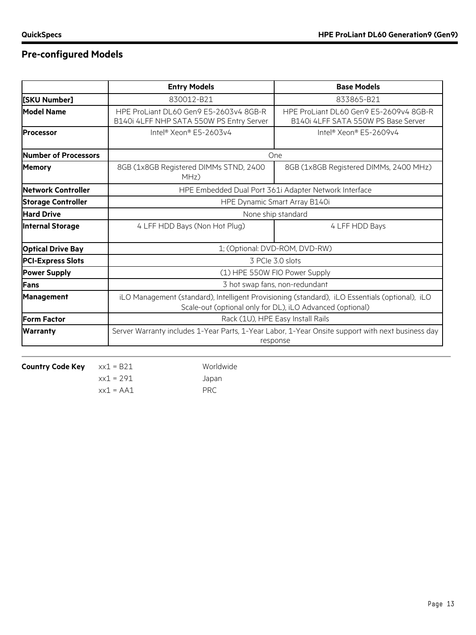## **Pre-configured Models**

|                           | <b>Entry Models</b>                                                                                                                                         | <b>Base Models</b>                                                                                            |  |
|---------------------------|-------------------------------------------------------------------------------------------------------------------------------------------------------------|---------------------------------------------------------------------------------------------------------------|--|
| [SKU Number]              | 830012-B21                                                                                                                                                  | 833865-B21                                                                                                    |  |
| <b>Model Name</b>         | HPE ProLiant DL60 Gen9 E5-2603v4 8GB-R<br>B140i 4LFF NHP SATA 550W PS Entry Server                                                                          | HPE ProLiant DL60 Gen9 E5-2609v4 8GB-R<br>B140i 4LFF SATA 550W PS Base Server                                 |  |
| <b>Processor</b>          | Intel® Xeon® E5-2603v4                                                                                                                                      | Intel® Xeon® E5-2609v4                                                                                        |  |
| Number of Processors      |                                                                                                                                                             | <b>One</b>                                                                                                    |  |
| <b>Memory</b>             | 8GB (1x8GB Registered DIMMs STND, 2400<br>MHz)                                                                                                              | 8GB (1x8GB Registered DIMMs, 2400 MHz)                                                                        |  |
| Network Controller        |                                                                                                                                                             | HPE Embedded Dual Port 361i Adapter Network Interface                                                         |  |
| <b>Storage Controller</b> | HPE Dynamic Smart Array B140i                                                                                                                               |                                                                                                               |  |
| <b>Hard Drive</b>         | None ship standard                                                                                                                                          |                                                                                                               |  |
| <b>Internal Storage</b>   | 4 LFF HDD Bays (Non Hot Plug)                                                                                                                               | 4 LFF HDD Bays                                                                                                |  |
| <b>Optical Drive Bay</b>  |                                                                                                                                                             | 1; (Optional: DVD-ROM, DVD-RW)                                                                                |  |
| <b>PCI-Express Slots</b>  |                                                                                                                                                             | 3 PCIe 3.0 slots                                                                                              |  |
| <b>Power Supply</b>       | (1) HPE 550W FIO Power Supply                                                                                                                               |                                                                                                               |  |
| Fans                      | 3 hot swap fans, non-redundant                                                                                                                              |                                                                                                               |  |
| <b>Management</b>         | iLO Management (standard), Intelligent Provisioning (standard), iLO Essentials (optional), iLO<br>Scale-out (optional only for DL), iLO Advanced (optional) |                                                                                                               |  |
| <b>Form Factor</b>        | Rack (1U), HPE Easy Install Rails                                                                                                                           |                                                                                                               |  |
| <b>Warranty</b>           |                                                                                                                                                             | Server Warranty includes 1-Year Parts, 1-Year Labor, 1-Year Onsite support with next business day<br>response |  |

**Country Code Key** xx1 = B21 Worldwide

 $xx1 = 291$  Japan

 $xx1 = AA1$  PRC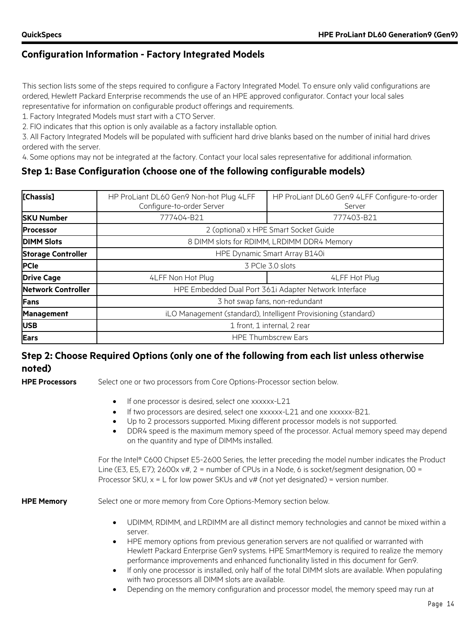## **Configuration Information - Factory Integrated Models**

This section lists some of the steps required to configure a Factory Integrated Model. To ensure only valid configurations are ordered, Hewlett Packard Enterprise recommends the use of an HPE approved configurator. Contact your local sales

representative for information on configurable product offerings and requirements.

1. Factory Integrated Models must start with a CTO Server.

2. FIO indicates that this option is only available as a factory installable option.

3. All Factory Integrated Models will be populated with sufficient hard drive blanks based on the number of initial hard drives ordered with the server.

4. Some options may not be integrated at the factory. Contact your local sales representative for additional information.

## **Step 1: Base Configuration (choose one of the following configurable models)**

| [Chassis]                 | HP ProLiant DL60 Gen9 Non-hot Plug 4LFF<br>Configure-to-order Server | HP ProLiant DL60 Gen9 4LFF Configure-to-order<br>Server |  |  |
|---------------------------|----------------------------------------------------------------------|---------------------------------------------------------|--|--|
| <b>SKU Number</b>         | 777404-B21                                                           | 777403-B21                                              |  |  |
| <b>IProcessor</b>         |                                                                      | 2 (optional) x HPE Smart Socket Guide                   |  |  |
| <b>DIMM Slots</b>         |                                                                      | 8 DIMM slots for RDIMM, LRDIMM DDR4 Memory              |  |  |
| <b>Storage Controller</b> |                                                                      | HPE Dynamic Smart Array B140i                           |  |  |
| <b>PCIe</b>               |                                                                      | 3 PCIe 3.0 slots                                        |  |  |
| <b>Drive Cage</b>         | 4LFF Non Hot Plug                                                    | 4LFF Hot Plug                                           |  |  |
| <b>Network Controller</b> |                                                                      | HPE Embedded Dual Port 361i Adapter Network Interface   |  |  |
| <b>Fans</b>               | 3 hot swap fans, non-redundant                                       |                                                         |  |  |
| <b>Management</b>         | iLO Management (standard), Intelligent Provisioning (standard)       |                                                         |  |  |
| <b>USB</b>                |                                                                      | 1 front, 1 internal, 2 rear                             |  |  |
| <b>Ears</b>               |                                                                      | <b>HPE Thumbscrew Ears</b>                              |  |  |

## **Step 2: Choose Required Options (only one of the following from each list unless otherwise noted)**

**HPE Processors** Select one or two processors from Core Options-Processor section below.

- If one processor is desired, select one xxxxxx-L21
- If two processors are desired, select one xxxxxx-L21 and one xxxxxx-B21.
- Up to 2 processors supported. Mixing different processor models is not supported.
- DDR4 speed is the maximum memory speed of the processor. Actual memory speed may depend on the quantity and type of DIMMs installed.

For the Intel® C600 Chipset E5-2600 Series, the letter preceding the model number indicates the Product Line (E3, E5, E7);  $2600x v#$ ,  $2 =$  number of CPUs in a Node, 6 is socket/segment designation,  $00 =$ Processor SKU,  $x = L$  for low power SKUs and  $v#$  (not yet designated) = version number.

**HPE Memory** Select one or more memory from Core Options-Memory section below.

- UDIMM, RDIMM, and LRDIMM are all distinct memory technologies and cannot be mixed within a server.
- HPE memory options from previous generation servers are not qualified or warranted with Hewlett Packard Enterprise Gen9 systems. HPE SmartMemory is required to realize the memory performance improvements and enhanced functionality listed in this document for Gen9.
- If only one processor is installed, only half of the total DIMM slots are available. When populating with two processors all DIMM slots are available.
- Depending on the memory configuration and processor model, the memory speed may run at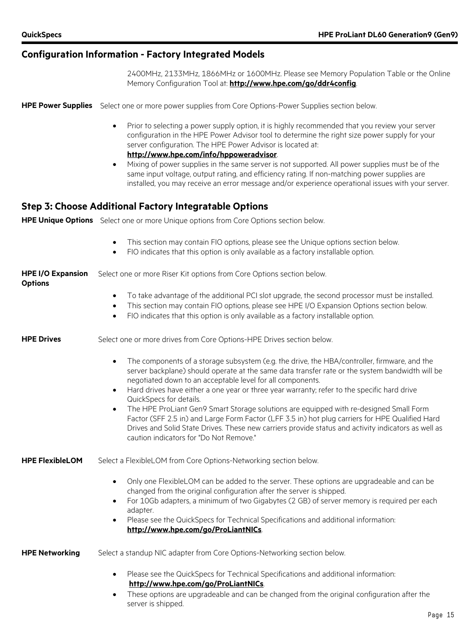## **Configuration Information - Factory Integrated Models**

server is shipped.

2400MHz, 2133MHz, 1866MHz or 1600MHz. Please see Memory Population Table or the Online Memory Configuration Tool at: **[http://www.hpe.com/go/ddr4config](http://h22195.www2.hp.com/DDR4memoryconfig/Home/Legal)**.

|                                            | HPE Power Supplies Select one or more power supplies from Core Options-Power Supplies section below.                                                                                                                                                                                                                                                                                                                                                                                                                                                                                                                                                                                                                                                                          |
|--------------------------------------------|-------------------------------------------------------------------------------------------------------------------------------------------------------------------------------------------------------------------------------------------------------------------------------------------------------------------------------------------------------------------------------------------------------------------------------------------------------------------------------------------------------------------------------------------------------------------------------------------------------------------------------------------------------------------------------------------------------------------------------------------------------------------------------|
|                                            | Prior to selecting a power supply option, it is highly recommended that you review your server<br>$\bullet$<br>configuration in the HPE Power Advisor tool to determine the right size power supply for your<br>server configuration. The HPE Power Advisor is located at:<br>http://www.hpe.com/info/hppoweradvisor.                                                                                                                                                                                                                                                                                                                                                                                                                                                         |
|                                            | Mixing of power supplies in the same server is not supported. All power supplies must be of the<br>$\bullet$<br>same input voltage, output rating, and efficiency rating. If non-matching power supplies are<br>installed, you may receive an error message and/or experience operational issues with your server.                                                                                                                                                                                                                                                                                                                                                                                                                                                            |
|                                            | <b>Step 3: Choose Additional Factory Integratable Options</b>                                                                                                                                                                                                                                                                                                                                                                                                                                                                                                                                                                                                                                                                                                                 |
|                                            | HPE Unique Options Select one or more Unique options from Core Options section below.                                                                                                                                                                                                                                                                                                                                                                                                                                                                                                                                                                                                                                                                                         |
|                                            | This section may contain FIO options, please see the Unique options section below.<br>$\bullet$<br>FIO indicates that this option is only available as a factory installable option.<br>$\bullet$                                                                                                                                                                                                                                                                                                                                                                                                                                                                                                                                                                             |
| <b>HPE I/O Expansion</b><br><b>Options</b> | Select one or more Riser Kit options from Core Options section below.                                                                                                                                                                                                                                                                                                                                                                                                                                                                                                                                                                                                                                                                                                         |
|                                            | To take advantage of the additional PCI slot upgrade, the second processor must be installed.<br>$\bullet$<br>This section may contain FIO options, please see HPE I/O Expansion Options section below.<br>$\bullet$<br>FIO indicates that this option is only available as a factory installable option.<br>$\bullet$                                                                                                                                                                                                                                                                                                                                                                                                                                                        |
| <b>HPE Drives</b>                          | Select one or more drives from Core Options-HPE Drives section below.                                                                                                                                                                                                                                                                                                                                                                                                                                                                                                                                                                                                                                                                                                         |
|                                            | The components of a storage subsystem (e.g. the drive, the HBA/controller, firmware, and the<br>$\bullet$<br>server backplane) should operate at the same data transfer rate or the system bandwidth will be<br>negotiated down to an acceptable level for all components.<br>Hard drives have either a one year or three year warranty; refer to the specific hard drive<br>$\bullet$<br>QuickSpecs for details.<br>The HPE ProLiant Gen9 Smart Storage solutions are equipped with re-designed Small Form<br>$\bullet$<br>Factor (SFF 2.5 in) and Large Form Factor (LFF 3.5 in) hot plug carriers for HPE Qualified Hard<br>Drives and Solid State Drives. These new carriers provide status and activity indicators as well as<br>caution indicators for "Do Not Remove." |
| <b>HPE FlexibleLOM</b>                     | Select a FlexibleLOM from Core Options-Networking section below.                                                                                                                                                                                                                                                                                                                                                                                                                                                                                                                                                                                                                                                                                                              |
|                                            | Only one FlexibleLOM can be added to the server. These options are upgradeable and can be<br>$\bullet$<br>changed from the original configuration after the server is shipped.<br>For 10Gb adapters, a minimum of two Gigabytes (2 GB) of server memory is required per each<br>$\bullet$<br>adapter.<br>Please see the QuickSpecs for Technical Specifications and additional information:<br>$\bullet$<br>http://www.hpe.com/go/ProLiantNICs.                                                                                                                                                                                                                                                                                                                               |
| <b>HPE Networking</b>                      | Select a standup NIC adapter from Core Options-Networking section below.                                                                                                                                                                                                                                                                                                                                                                                                                                                                                                                                                                                                                                                                                                      |
|                                            | Please see the QuickSpecs for Technical Specifications and additional information:<br>$\bullet$<br>http://www.hpe.com/go/ProLiantNICs.<br>These options are upgradeable and can be changed from the original configuration after the<br>$\bullet$                                                                                                                                                                                                                                                                                                                                                                                                                                                                                                                             |
|                                            |                                                                                                                                                                                                                                                                                                                                                                                                                                                                                                                                                                                                                                                                                                                                                                               |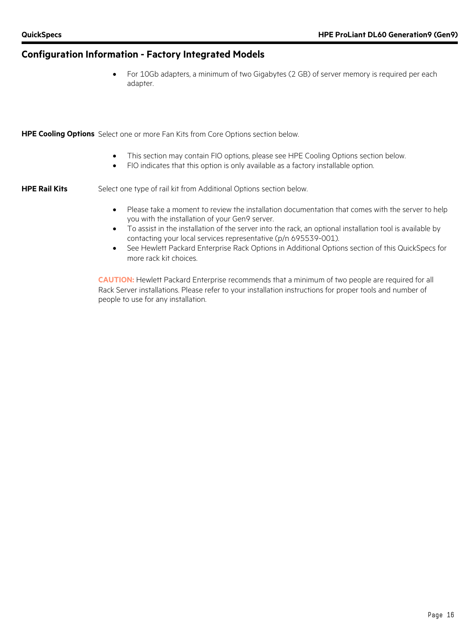#### **Configuration Information - Factory Integrated Models**

• For 10Gb adapters, a minimum of two Gigabytes (2 GB) of server memory is required per each adapter.

**HPE Cooling Options** Select one or more Fan Kits from Core Options section below.

- This section may contain FIO options, please see HPE Cooling Options section below.
- FIO indicates that this option is only available as a factory installable option.

**HPE Rail Kits** Select one type of rail kit from Additional Options section below.

- Please take a moment to review the installation documentation that comes with the server to help you with the installation of your Gen9 server.
- To assist in the installation of the server into the rack, an optional installation tool is available by contacting your local services representative (p/n 695539-001).
- See Hewlett Packard Enterprise Rack Options in Additional Options section of this QuickSpecs for more rack kit choices.

**CAUTION:** Hewlett Packard Enterprise recommends that a minimum of two people are required for all Rack Server installations. Please refer to your installation instructions for proper tools and number of people to use for any installation.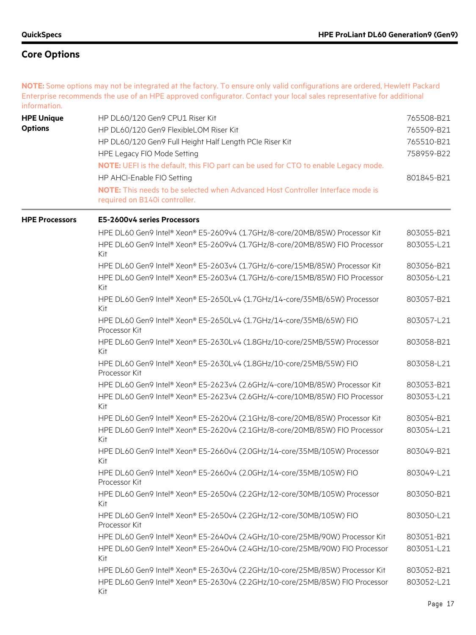**NOTE:** Some options may not be integrated at the factory. To ensure only valid configurations are ordered, Hewlett Packard Enterprise recommends the use of an HPE approved configurator. Contact your local sales representative for additional information.

| <b>HPE Unique</b><br><b>Options</b> | HP DL60/120 Gen9 CPU1 Riser Kit<br>HP DL60/120 Gen9 FlexibleLOM Riser Kit<br>HP DL60/120 Gen9 Full Height Half Length PCIe Riser Kit                                     | 765508-B21<br>765509-B21<br>765510-B21 |
|-------------------------------------|--------------------------------------------------------------------------------------------------------------------------------------------------------------------------|----------------------------------------|
|                                     | HPE Legacy FIO Mode Setting<br>NOTE: UEFI is the default, this FIO part can be used for CTO to enable Legacy mode.                                                       |                                        |
|                                     | HP AHCI-Enable FIO Setting<br><b>NOTE:</b> This needs to be selected when Advanced Host Controller Interface mode is<br>required on B140i controller.                    | 801845-B21                             |
| <b>HPE Processors</b>               | E5-2600v4 series Processors                                                                                                                                              |                                        |
|                                     | HPE DL60 Gen9 Intel® Xeon® E5-2609v4 (1.7GHz/8-core/20MB/85W) Processor Kit<br>HPE DL60 Gen9 Intel® Xeon® E5-2609v4 (1.7GHz/8-core/20MB/85W) FIO Processor               | 803055-B21<br>803055-L21               |
|                                     | Kit<br>HPE DL60 Gen9 Intel® Xeon® E5-2603v4 (1.7GHz/6-core/15MB/85W) Processor Kit<br>HPE DL60 Gen9 Intel® Xeon® E5-2603v4 (1.7GHz/6-core/15MB/85W) FIO Processor<br>Kit | 803056-B21<br>803056-L21               |
|                                     | HPE DL60 Gen9 Intel® Xeon® E5-2650Lv4 (1.7GHz/14-core/35MB/65W) Processor<br>Kit                                                                                         | 803057-B21                             |
|                                     | HPE DL60 Gen9 Intel® Xeon® E5-2650Lv4 (1.7GHz/14-core/35MB/65W) FIO<br>Processor Kit                                                                                     | 803057-L21                             |
|                                     | HPE DL60 Gen9 Intel® Xeon® E5-2630Lv4 (1.8GHz/10-core/25MB/55W) Processor<br>Kit                                                                                         | 803058-B21                             |
|                                     | HPE DL60 Gen9 Intel® Xeon® E5-2630Lv4 (1.8GHz/10-core/25MB/55W) FIO<br>Processor Kit                                                                                     | 803058-L21                             |
|                                     | HPE DL60 Gen9 Intel® Xeon® E5-2623v4 (2.6GHz/4-core/10MB/85W) Processor Kit                                                                                              | 803053-B21                             |
|                                     | HPE DL60 Gen9 Intel® Xeon® E5-2623v4 (2.6GHz/4-core/10MB/85W) FIO Processor<br>Kit                                                                                       | 803053-L21                             |
|                                     | HPE DL60 Gen9 Intel® Xeon® E5-2620v4 (2.1GHz/8-core/20MB/85W) Processor Kit                                                                                              | 803054-B21                             |
|                                     | HPE DL60 Gen9 Intel® Xeon® E5-2620v4 (2.1GHz/8-core/20MB/85W) FIO Processor<br>Kit                                                                                       | 803054-L21                             |
|                                     | HPE DL60 Gen9 Intel® Xeon® E5-2660v4 (2.0GHz/14-core/35MB/105W) Processor<br>Kit                                                                                         | 803049-B21                             |
|                                     | HPE DL60 Gen9 Intel® Xeon® E5-2660v4 (2.0GHz/14-core/35MB/105W) FIO<br>Processor Kit                                                                                     | 803049-L21                             |
|                                     | HPE DL60 Gen9 Intel® Xeon® E5-2650v4 (2.2GHz/12-core/30MB/105W) Processor<br>Kit                                                                                         | 803050-B21                             |
|                                     | HPE DL60 Gen9 Intel® Xeon® E5-2650v4 (2.2GHz/12-core/30MB/105W) FIO<br>Processor Kit                                                                                     | 803050-L21                             |
|                                     | HPE DL60 Gen9 Intel® Xeon® E5-2640v4 (2.4GHz/10-core/25MB/90W) Processor Kit                                                                                             | 803051-B21                             |
|                                     | HPE DL60 Gen9 Intel® Xeon® E5-2640v4 (2.4GHz/10-core/25MB/90W) FIO Processor<br>Kit                                                                                      | 803051-L21                             |
|                                     | HPE DL60 Gen9 Intel® Xeon® E5-2630v4 (2.2GHz/10-core/25MB/85W) Processor Kit                                                                                             | 803052-B21                             |
|                                     | HPE DL60 Gen9 Intel® Xeon® E5-2630v4 (2.2GHz/10-core/25MB/85W) FIO Processor<br>Kit                                                                                      | 803052-L21                             |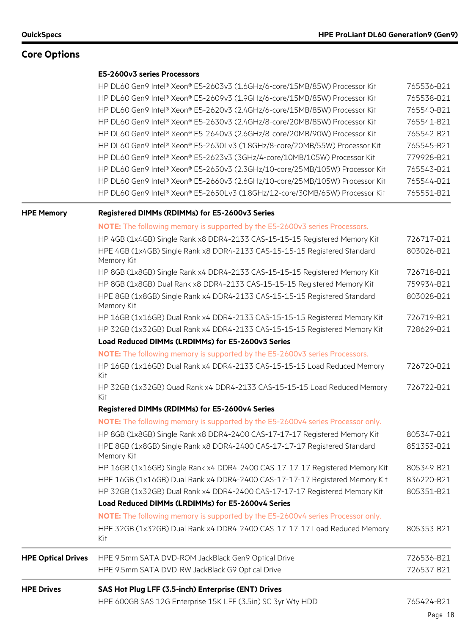#### **E5-2600v3 series Processors**

| HP DL60 Gen9 Intel® Xeon® E5-2603v3 (1.6GHz/6-core/15MB/85W) Processor Kit   | 765536-B21 |
|------------------------------------------------------------------------------|------------|
| HP DL60 Gen9 Intel® Xeon® E5-2609v3 (1.9GHz/6-core/15MB/85W) Processor Kit   | 765538-B21 |
| HP DL60 Gen9 Intel® Xeon® E5-2620v3 (2.4GHz/6-core/15MB/85W) Processor Kit   | 765540-B21 |
| HP DL60 Gen9 Intel® Xeon® E5-2630v3 (2.4GHz/8-core/20MB/85W) Processor Kit   | 765541-B21 |
| HP DL60 Gen9 Intel® Xeon® E5-2640v3 (2.6GHz/8-core/20MB/90W) Processor Kit   | 765542-B21 |
| HP DL60 Gen9 Intel® Xeon® E5-2630Lv3 (1.8GHz/8-core/20MB/55W) Processor Kit  | 765545-B21 |
| HP DL60 Gen9 Intel® Xeon® E5-2623v3 (3GHz/4-core/10MB/105W) Processor Kit    | 779928-B21 |
| HP DL60 Gen9 Intel® Xeon® E5-2650v3 (2.3GHz/10-core/25MB/105W) Processor Kit | 765543-B21 |
| HP DL60 Gen9 Intel® Xeon® E5-2660v3 (2.6GHz/10-core/25MB/105W) Processor Kit | 765544-B21 |
| HP DL60 Gen9 Intel® Xeon® E5-2650Lv3 (1.8GHz/12-core/30MB/65W) Processor Kit | 765551-B21 |

### **HPE Memory Registered DIMMs (RDIMMs) for E5-2600v3 Series**

|                           | <b>NOTE:</b> The following memory is supported by the E5-2600v3 series Processors.      |            |
|---------------------------|-----------------------------------------------------------------------------------------|------------|
|                           | HP 4GB (1x4GB) Single Rank x8 DDR4-2133 CAS-15-15-15 Registered Memory Kit              | 726717-B21 |
|                           | HPE 4GB (1x4GB) Single Rank x8 DDR4-2133 CAS-15-15-15 Registered Standard<br>Memory Kit | 803026-B21 |
|                           | HP 8GB (1x8GB) Single Rank x4 DDR4-2133 CAS-15-15-15 Registered Memory Kit              | 726718-B21 |
|                           | HP 8GB (1x8GB) Dual Rank x8 DDR4-2133 CAS-15-15-15 Registered Memory Kit                | 759934-B21 |
|                           | HPE 8GB (1x8GB) Single Rank x4 DDR4-2133 CAS-15-15-15 Registered Standard<br>Memory Kit | 803028-B21 |
|                           | HP 16GB (1x16GB) Dual Rank x4 DDR4-2133 CAS-15-15-15 Registered Memory Kit              | 726719-B21 |
|                           | HP 32GB (1x32GB) Dual Rank x4 DDR4-2133 CAS-15-15-15 Registered Memory Kit              | 728629-B21 |
|                           | Load Reduced DIMMs (LRDIMMs) for E5-2600v3 Series                                       |            |
|                           | NOTE: The following memory is supported by the E5-2600v3 series Processors.             |            |
|                           | HP 16GB (1x16GB) Dual Rank x4 DDR4-2133 CAS-15-15-15 Load Reduced Memory<br>Kit         | 726720-B21 |
|                           | HP 32GB (1x32GB) Quad Rank x4 DDR4-2133 CAS-15-15-15 Load Reduced Memory<br>Kit         | 726722-B21 |
|                           | Registered DIMMs (RDIMMs) for E5-2600v4 Series                                          |            |
|                           | NOTE: The following memory is supported by the E5-2600v4 series Processor only.         |            |
|                           | HP 8GB (1x8GB) Single Rank x8 DDR4-2400 CAS-17-17-17 Registered Memory Kit              | 805347-B21 |
|                           | HPE 8GB (1x8GB) Single Rank x8 DDR4-2400 CAS-17-17-17 Registered Standard<br>Memory Kit | 851353-B21 |
|                           | HP 16GB (1x16GB) Single Rank x4 DDR4-2400 CAS-17-17-17 Registered Memory Kit            | 805349-B21 |
|                           | HPE 16GB (1x16GB) Dual Rank x4 DDR4-2400 CAS-17-17-17 Registered Memory Kit             | 836220-B21 |
|                           | HP 32GB (1x32GB) Dual Rank x4 DDR4-2400 CAS-17-17-17 Registered Memory Kit              | 805351-B21 |
|                           | Load Reduced DIMMs (LRDIMMs) for E5-2600v4 Series                                       |            |
|                           | NOTE: The following memory is supported by the E5-2600v4 series Processor only.         |            |
|                           | HPE 32GB (1x32GB) Dual Rank x4 DDR4-2400 CAS-17-17-17 Load Reduced Memory<br>Kit        | 805353-B21 |
| <b>HPE Optical Drives</b> | HPE 9.5mm SATA DVD-ROM JackBlack Gen9 Optical Drive                                     | 726536-B21 |
|                           | HPE 9.5mm SATA DVD-RW JackBlack G9 Optical Drive                                        | 726537-B21 |
|                           |                                                                                         |            |

### **HPE Drives SAS Hot Plug LFF (3.5-inch) Enterprise (ENT) Drives** HPE 600GB SAS 12G Enterprise 15K LFF (3.5in) SC 3yr Wty HDD 765424-B21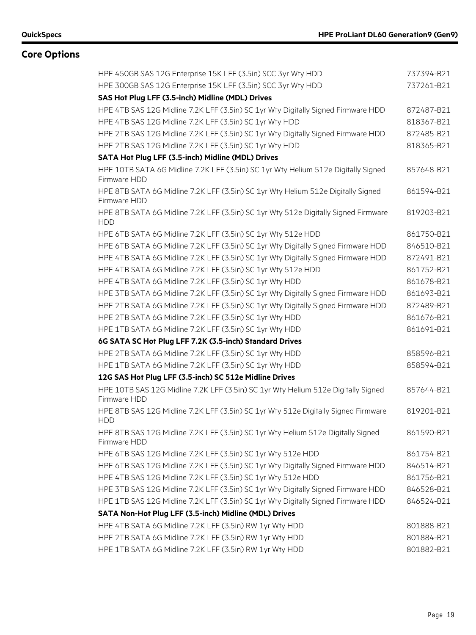| HPE 450GB SAS 12G Enterprise 15K LFF (3.5in) SCC 3yr Wty HDD                                      | 737394-B21 |
|---------------------------------------------------------------------------------------------------|------------|
| HPE 300GB SAS 12G Enterprise 15K LFF (3.5in) SCC 3yr Wty HDD                                      | 737261-B21 |
| SAS Hot Plug LFF (3.5-inch) Midline (MDL) Drives                                                  |            |
| HPE 4TB SAS 12G Midline 7.2K LFF (3.5in) SC 1yr Wty Digitally Signed Firmware HDD                 | 872487-B21 |
| HPE 4TB SAS 12G Midline 7.2K LFF (3.5in) SC 1yr Wty HDD                                           | 818367-B21 |
| HPE 2TB SAS 12G Midline 7.2K LFF (3.5in) SC 1yr Wty Digitally Signed Firmware HDD                 | 872485-B21 |
| HPE 2TB SAS 12G Midline 7.2K LFF (3.5in) SC 1yr Wty HDD                                           | 818365-B21 |
| SATA Hot Plug LFF (3.5-inch) Midline (MDL) Drives                                                 |            |
| HPE 10TB SATA 6G Midline 7.2K LFF (3.5in) SC 1yr Wty Helium 512e Digitally Signed<br>Firmware HDD | 857648-B21 |
| HPE 8TB SATA 6G Midline 7.2K LFF (3.5in) SC 1yr Wty Helium 512e Digitally Signed<br>Firmware HDD  | 861594-B21 |
| HPE 8TB SATA 6G Midline 7.2K LFF (3.5in) SC 1yr Wty 512e Digitally Signed Firmware<br><b>HDD</b>  | 819203-B21 |
| HPE 6TB SATA 6G Midline 7.2K LFF (3.5in) SC 1yr Wty 512e HDD                                      | 861750-B21 |
| HPE 6TB SATA 6G Midline 7.2K LFF (3.5in) SC 1yr Wty Digitally Signed Firmware HDD                 | 846510-B21 |
| HPE 4TB SATA 6G Midline 7.2K LFF (3.5in) SC 1yr Wty Digitally Signed Firmware HDD                 | 872491-B21 |
| HPE 4TB SATA 6G Midline 7.2K LFF (3.5in) SC 1yr Wty 512e HDD                                      | 861752-B21 |
| HPE 4TB SATA 6G Midline 7.2K LFF (3.5in) SC 1yr Wty HDD                                           | 861678-B21 |
| HPE 3TB SATA 6G Midline 7.2K LFF (3.5in) SC 1yr Wty Digitally Signed Firmware HDD                 | 861693-B21 |
| HPE 2TB SATA 6G Midline 7.2K LFF (3.5in) SC 1yr Wty Digitally Signed Firmware HDD                 | 872489-B21 |
| HPE 2TB SATA 6G Midline 7.2K LFF (3.5in) SC 1yr Wty HDD                                           | 861676-B21 |
| HPE 1TB SATA 6G Midline 7.2K LFF (3.5in) SC 1yr Wty HDD                                           | 861691-B21 |
| 6G SATA SC Hot Plug LFF 7.2K (3.5-inch) Standard Drives                                           |            |
| HPE 2TB SATA 6G Midline 7.2K LFF (3.5in) SC 1yr Wty HDD                                           | 858596-B21 |
| HPE 1TB SATA 6G Midline 7.2K LFF (3.5in) SC 1yr Wty HDD                                           | 858594-B21 |
| 12G SAS Hot Plug LFF (3.5-inch) SC 512e Midline Drives                                            |            |
| HPE 10TB SAS 12G Midline 7.2K LFF (3.5in) SC 1yr Wty Helium 512e Digitally Signed<br>Firmware HDD | 857644-B21 |
| HPE 8TB SAS 12G Midline 7.2K LFF (3.5in) SC 1yr Wty 512e Digitally Signed Firmware<br><b>HDD</b>  | 819201-B21 |
| HPE 8TB SAS 12G Midline 7.2K LFF (3.5in) SC 1yr Wty Helium 512e Digitally Signed<br>Firmware HDD  | 861590-B21 |
| HPE 6TB SAS 12G Midline 7.2K LFF (3.5in) SC 1yr Wty 512e HDD                                      | 861754-B21 |
| HPE 6TB SAS 12G Midline 7.2K LFF (3.5in) SC 1yr Wty Digitally Signed Firmware HDD                 | 846514-B21 |
| HPE 4TB SAS 12G Midline 7.2K LFF (3.5in) SC 1yr Wty 512e HDD                                      | 861756-B21 |
| HPE 3TB SAS 12G Midline 7.2K LFF (3.5in) SC 1yr Wty Digitally Signed Firmware HDD                 | 846528-B21 |
| HPE 1TB SAS 12G Midline 7.2K LFF (3.5in) SC 1yr Wty Digitally Signed Firmware HDD                 | 846524-B21 |
| SATA Non-Hot Plug LFF (3.5-inch) Midline (MDL) Drives                                             |            |
| HPE 4TB SATA 6G Midline 7.2K LFF (3.5in) RW 1yr Wty HDD                                           | 801888-B21 |
| HPE 2TB SATA 6G Midline 7.2K LFF (3.5in) RW 1yr Wty HDD                                           | 801884-B21 |
| HPE 1TB SATA 6G Midline 7.2K LFF (3.5in) RW 1yr Wty HDD                                           | 801882-B21 |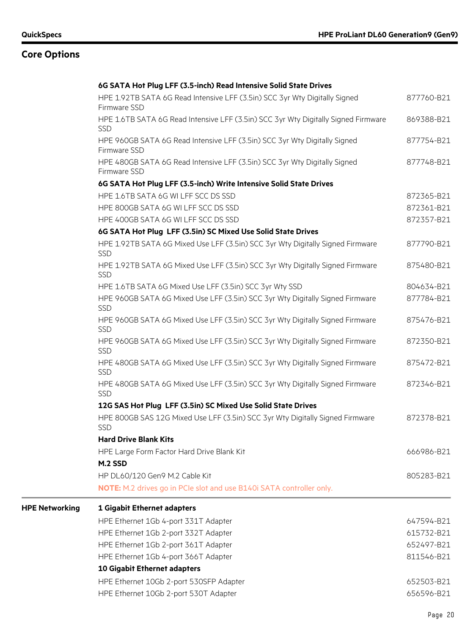**HPE** Networking

| HPE 1.92TB SATA 6G Read Intensive LFF (3.5in) SCC 3yr Wty Digitally Signed<br>Firmware SSD   | 877760-B21 |
|----------------------------------------------------------------------------------------------|------------|
| HPE 1.6TB SATA 6G Read Intensive LFF (3.5in) SCC 3yr Wty Digitally Signed Firmware<br>SSD    | 869388-B21 |
| HPE 960GB SATA 6G Read Intensive LFF (3.5in) SCC 3yr Wty Digitally Signed<br>Firmware SSD    | 877754-B21 |
| HPE 480GB SATA 6G Read Intensive LFF (3.5in) SCC 3yr Wty Digitally Signed<br>Firmware SSD    | 877748-B21 |
| 6G SATA Hot Plug LFF (3.5-inch) Write Intensive Solid State Drives                           |            |
| HPE 1.6TB SATA 6G WI LFF SCC DS SSD                                                          | 872365-B21 |
| HPE 800GB SATA 6G WI LFF SCC DS SSD                                                          | 872361-B21 |
| HPE 400GB SATA 6G WI LFF SCC DS SSD                                                          | 872357-B21 |
| 6G SATA Hot Plug LFF (3.5in) SC Mixed Use Solid State Drives                                 |            |
| HPE 1.92TB SATA 6G Mixed Use LFF (3.5in) SCC 3yr Wty Digitally Signed Firmware<br><b>SSD</b> | 877790-B21 |
| HPE 1.92TB SATA 6G Mixed Use LFF (3.5in) SCC 3yr Wty Digitally Signed Firmware<br><b>SSD</b> | 875480-B21 |
| HPE 1.6TB SATA 6G Mixed Use LFF (3.5in) SCC 3yr Wty SSD                                      | 804634-B21 |
| HPE 960GB SATA 6G Mixed Use LFF (3.5in) SCC 3yr Wty Digitally Signed Firmware<br><b>SSD</b>  | 877784-B21 |
| HPE 960GB SATA 6G Mixed Use LFF (3.5in) SCC 3yr Wty Digitally Signed Firmware<br>SSD         | 875476-B21 |
| HPE 960GB SATA 6G Mixed Use LFF (3.5in) SCC 3yr Wty Digitally Signed Firmware<br><b>SSD</b>  | 872350-B21 |
| HPE 480GB SATA 6G Mixed Use LFF (3.5in) SCC 3yr Wty Digitally Signed Firmware<br>SSD         | 875472-B21 |
| HPE 480GB SATA 6G Mixed Use LFF (3.5in) SCC 3yr Wty Digitally Signed Firmware<br>SSD         | 872346-B21 |
| 12G SAS Hot Plug LFF (3.5in) SC Mixed Use Solid State Drives                                 |            |
| HPE 800GB SAS 12G Mixed Use LFF (3.5in) SCC 3yr Wty Digitally Signed Firmware<br>SSD         | 872378-B21 |
| <b>Hard Drive Blank Kits</b>                                                                 |            |
| HPE Large Form Factor Hard Drive Blank Kit                                                   | 666986-B21 |
| M.2 SSD                                                                                      |            |
| HP DL60/120 Gen9 M.2 Cable Kit                                                               | 805283-B21 |
| NOTE: M.2 drives go in PCIe slot and use B140i SATA controller only.                         |            |
| 1 Gigabit Ethernet adapters                                                                  |            |
| HPE Ethernet 1Gb 4-port 331T Adapter                                                         | 647594-B21 |
| HPE Ethernet 1Gb 2-port 332T Adapter                                                         | 615732-B21 |
| HPE Ethernet 1Gb 2-port 361T Adapter                                                         | 652497-B21 |

HPE Ethernet 1Gb 4-port 366T Adapter 811546-B21 **10 Gigabit Ethernet adapters** HPE Ethernet 10Gb 2-port 530SFP Adapter 652503-B21 HPE Ethernet 10Gb 2-port 530T Adapter 656596-B21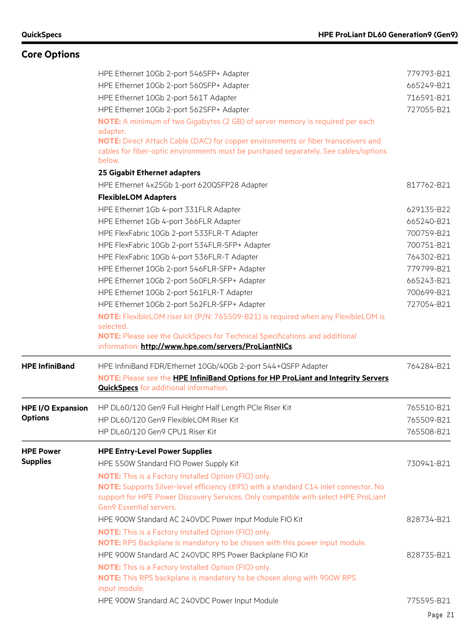|                          | HPE Ethernet 10Gb 2-port 546SFP+ Adapter                                                                                                                                            | 779793-B21 |
|--------------------------|-------------------------------------------------------------------------------------------------------------------------------------------------------------------------------------|------------|
|                          | HPE Ethernet 10Gb 2-port 560SFP+ Adapter                                                                                                                                            | 665249-B21 |
|                          | HPE Ethernet 10Gb 2-port 561T Adapter                                                                                                                                               | 716591-B21 |
|                          | HPE Ethernet 10Gb 2-port 562SFP+ Adapter                                                                                                                                            | 727055-B21 |
|                          | NOTE: A minimum of two Gigabytes (2 GB) of server memory is required per each<br>adapter.                                                                                           |            |
|                          | NOTE: Direct Attach Cable (DAC) for copper environments or fiber transceivers and<br>cables for fiber-optic environments must be purchased separately. See cables/options<br>below. |            |
|                          | 25 Gigabit Ethernet adapters                                                                                                                                                        |            |
|                          | HPE Ethernet 4x25Gb 1-port 620QSFP28 Adapter                                                                                                                                        | 817762-B21 |
|                          | <b>FlexibleLOM Adapters</b>                                                                                                                                                         |            |
|                          | HPE Ethernet 1Gb 4-port 331FLR Adapter                                                                                                                                              | 629135-B22 |
|                          | HPE Ethernet 1Gb 4-port 366FLR Adapter                                                                                                                                              | 665240-B21 |
|                          | HPE FlexFabric 10Gb 2-port 533FLR-T Adapter                                                                                                                                         | 700759-B21 |
|                          | HPE FlexFabric 10Gb 2-port 534FLR-SFP+ Adapter                                                                                                                                      | 700751-B21 |
|                          | HPE FlexFabric 10Gb 4-port 536FLR-T Adapter                                                                                                                                         | 764302-B21 |
|                          | HPE Ethernet 10Gb 2-port 546FLR-SFP+ Adapter                                                                                                                                        | 779799-B21 |
|                          | HPE Ethernet 10Gb 2-port 560FLR-SFP+ Adapter                                                                                                                                        | 665243-B21 |
|                          | HPE Ethernet 10Gb 2-port 561FLR-T Adapter                                                                                                                                           | 700699-B21 |
|                          | HPE Ethernet 10Gb 2-port 562FLR-SFP+ Adapter                                                                                                                                        | 727054-B21 |
|                          | NOTE: FlexibleLOM riser kit (P/N: 765509-B21) is required when any FlexibleLOM is                                                                                                   |            |
|                          | selected.                                                                                                                                                                           |            |
|                          | NOTE: Please see the QuickSpecs for Technical Specifications and additional<br>information: http://www.hpe.com/servers/ProLiantNICs.                                                |            |
| <b>HPE InfiniBand</b>    | HPE InfiniBand FDR/Ethernet 10Gb/40Gb 2-port 544+QSFP Adapter                                                                                                                       | 764284-B21 |
|                          | NOTE: Please see the HPE InfiniBand Options for HP ProLiant and Integrity Servers                                                                                                   |            |
|                          | <b>QuickSpecs</b> for additional information.                                                                                                                                       |            |
| <b>HPE I/O Expansion</b> | HP DL60/120 Gen9 Full Height Half Length PCIe Riser Kit                                                                                                                             | 765510-B21 |
| <b>Options</b>           | HP DL60/120 Gen9 FlexibleLOM Riser Kit                                                                                                                                              | 765509-B21 |
|                          | HP DL60/120 Gen9 CPU1 Riser Kit                                                                                                                                                     | 765508-B21 |
| <b>HPE Power</b>         | <b>HPE Entry-Level Power Supplies</b>                                                                                                                                               |            |
| <b>Supplies</b>          | HPE 550W Standard FIO Power Supply Kit                                                                                                                                              | 730941-B21 |
|                          | <b>NOTE:</b> This is a Factory Installed Option (FIO) only.                                                                                                                         |            |
|                          | NOTE: Supports Silver-level efficiency (89%) with a standard C14 inlet connector. No                                                                                                |            |
|                          | support for HPE Power Discovery Services. Only compatible with select HPE ProLiant<br>Gen9 Essential servers.                                                                       |            |
|                          | HPE 900W Standard AC 240VDC Power Input Module FIO Kit                                                                                                                              | 828734-B21 |
|                          |                                                                                                                                                                                     |            |
|                          | <b>NOTE:</b> This is a Factory Installed Option (FIO) only.<br>NOTE: RPS Backplane is mandatory to be chosen with this power input module.                                          |            |
|                          | HPE 900W Standard AC 240VDC RPS Power Backplane FIO Kit                                                                                                                             | 828735-B21 |
|                          | <b>NOTE:</b> This is a Factory Installed Option (FIO) only.                                                                                                                         |            |
|                          | NOTE: This RPS backplane is mandatory to be chosen along with 900W RPS                                                                                                              |            |
|                          | input module.                                                                                                                                                                       |            |
|                          | HPE 900W Standard AC 240VDC Power Input Module                                                                                                                                      | 775595-B21 |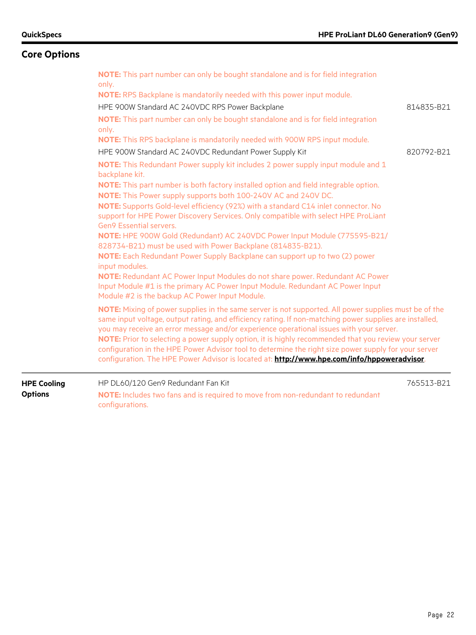configurations.

## **Core Options**

| <b>HPE Cooling</b><br><b>Options</b> | HP DL60/120 Gen9 Redundant Fan Kit<br>NOTE: Includes two fans and is required to move from non-redundant to redundant                                                                                                                                                                                                                                                                                                                                                                                                                                                                                                                                                                                                                                                                                                                                                                                                                                                                           | 765513-B21 |
|--------------------------------------|-------------------------------------------------------------------------------------------------------------------------------------------------------------------------------------------------------------------------------------------------------------------------------------------------------------------------------------------------------------------------------------------------------------------------------------------------------------------------------------------------------------------------------------------------------------------------------------------------------------------------------------------------------------------------------------------------------------------------------------------------------------------------------------------------------------------------------------------------------------------------------------------------------------------------------------------------------------------------------------------------|------------|
|                                      | NOTE: Mixing of power supplies in the same server is not supported. All power supplies must be of the<br>same input voltage, output rating, and efficiency rating. If non-matching power supplies are installed,<br>you may receive an error message and/or experience operational issues with your server.<br>NOTE: Prior to selecting a power supply option, it is highly recommended that you review your server<br>configuration in the HPE Power Advisor tool to determine the right size power supply for your server<br>configuration. The HPE Power Advisor is located at: http://www.hpe.com/info/hppoweradvisor.                                                                                                                                                                                                                                                                                                                                                                      |            |
|                                      | HPE 900W Standard AC 240VDC Redundant Power Supply Kit<br>NOTE: This Redundant Power supply kit includes 2 power supply input module and 1<br>backplane kit.<br>NOTE: This part number is both factory installed option and field integrable option.<br>NOTE: This Power supply supports both 100-240V AC and 240V DC.<br>NOTE: Supports Gold-level efficiency (92%) with a standard C14 inlet connector. No<br>support for HPE Power Discovery Services. Only compatible with select HPE ProLiant<br>Gen9 Essential servers.<br>NOTE: HPE 900W Gold (Redundant) AC 240VDC Power Input Module (775595-B21/<br>828734-B21) must be used with Power Backplane (814835-B21).<br>NOTE: Each Redundant Power Supply Backplane can support up to two (2) power<br>input modules.<br>NOTE: Redundant AC Power Input Modules do not share power. Redundant AC Power<br>Input Module #1 is the primary AC Power Input Module. Redundant AC Power Input<br>Module #2 is the backup AC Power Input Module. | 820792-B21 |
|                                      | only.<br><b>NOTE:</b> RPS Backplane is mandatorily needed with this power input module.<br>HPE 900W Standard AC 240VDC RPS Power Backplane<br>NOTE: This part number can only be bought standalone and is for field integration<br>only.<br><b>NOTE:</b> This RPS backplane is mandatorily needed with 900W RPS input module.                                                                                                                                                                                                                                                                                                                                                                                                                                                                                                                                                                                                                                                                   | 814835-B21 |
|                                      | NOTE: This part number can only be bought standalone and is for field integration                                                                                                                                                                                                                                                                                                                                                                                                                                                                                                                                                                                                                                                                                                                                                                                                                                                                                                               |            |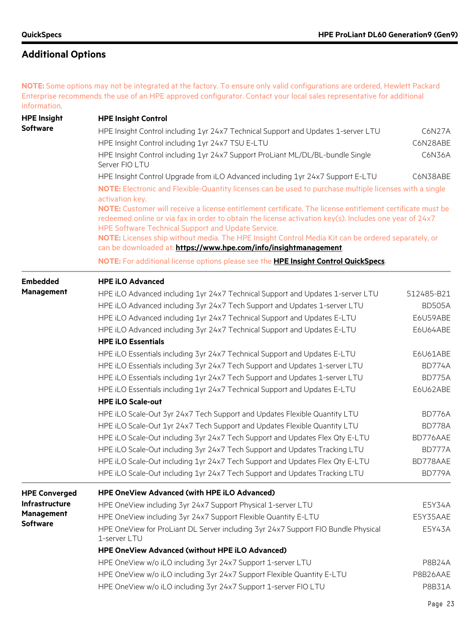**NOTE:** Some options may not be integrated at the factory. To ensure only valid configurations are ordered, Hewlett Packard Enterprise recommends the use of an HPE approved configurator. Contact your local sales representative for additional information.

| <b>HPE Insight</b>    | <b>HPE Insight Control</b>                                                                                                                                                                                                                                                                                                                                                                                                                            |               |  |
|-----------------------|-------------------------------------------------------------------------------------------------------------------------------------------------------------------------------------------------------------------------------------------------------------------------------------------------------------------------------------------------------------------------------------------------------------------------------------------------------|---------------|--|
| <b>Software</b>       | HPE Insight Control including 1yr 24x7 Technical Support and Updates 1-server LTU                                                                                                                                                                                                                                                                                                                                                                     | C6N27A        |  |
|                       | HPE Insight Control including 1yr 24x7 TSU E-LTU                                                                                                                                                                                                                                                                                                                                                                                                      | C6N28ABE      |  |
|                       | HPE Insight Control including 1yr 24x7 Support ProLiant ML/DL/BL-bundle Single<br>Server FIO LTU                                                                                                                                                                                                                                                                                                                                                      | C6N36A        |  |
|                       | HPE Insight Control Upgrade from iLO Advanced including 1yr 24x7 Support E-LTU                                                                                                                                                                                                                                                                                                                                                                        | C6N38ABE      |  |
|                       | NOTE: Electronic and Flexible-Quantity licenses can be used to purchase multiple licenses with a single<br>activation key.                                                                                                                                                                                                                                                                                                                            |               |  |
|                       | NOTE: Customer will receive a license entitlement certificate. The license entitlement certificate must be<br>redeemed online or via fax in order to obtain the license activation key(s). Includes one year of 24x7<br>HPE Software Technical Support and Update Service.<br>NOTE: Licenses ship without media. The HPE Insight Control Media Kit can be ordered separately, or<br>can be downloaded at: https://www.hpe.com/info/insightmanagement. |               |  |
|                       | NOTE: For additional license options please see the <b>HPE Insight Control QuickSpecs</b> .                                                                                                                                                                                                                                                                                                                                                           |               |  |
| <b>Embedded</b>       | <b>HPE iLO Advanced</b>                                                                                                                                                                                                                                                                                                                                                                                                                               |               |  |
| <b>Management</b>     | HPE iLO Advanced including 1yr 24x7 Technical Support and Updates 1-server LTU                                                                                                                                                                                                                                                                                                                                                                        | 512485-B21    |  |
|                       | HPE iLO Advanced including 3yr 24x7 Tech Support and Updates 1-server LTU                                                                                                                                                                                                                                                                                                                                                                             | <b>BD505A</b> |  |
|                       | HPE iLO Advanced including 1yr 24x7 Technical Support and Updates E-LTU                                                                                                                                                                                                                                                                                                                                                                               | E6U59ABE      |  |
|                       | HPE iLO Advanced including 3yr 24x7 Technical Support and Updates E-LTU                                                                                                                                                                                                                                                                                                                                                                               | E6U64ABE      |  |
|                       | <b>HPE iLO Essentials</b>                                                                                                                                                                                                                                                                                                                                                                                                                             |               |  |
|                       | HPE iLO Essentials including 3yr 24x7 Technical Support and Updates E-LTU                                                                                                                                                                                                                                                                                                                                                                             | E6U61ABE      |  |
|                       | HPE iLO Essentials including 3yr 24x7 Tech Support and Updates 1-server LTU                                                                                                                                                                                                                                                                                                                                                                           | <b>BD774A</b> |  |
|                       | HPE iLO Essentials including 1yr 24x7 Tech Support and Updates 1-server LTU                                                                                                                                                                                                                                                                                                                                                                           | BD775A        |  |
|                       | HPE iLO Essentials including 1yr 24x7 Technical Support and Updates E-LTU                                                                                                                                                                                                                                                                                                                                                                             | E6U62ABE      |  |
|                       | <b>HPE iLO Scale-out</b>                                                                                                                                                                                                                                                                                                                                                                                                                              |               |  |
|                       | HPE iLO Scale-Out 3yr 24x7 Tech Support and Updates Flexible Quantity LTU                                                                                                                                                                                                                                                                                                                                                                             | BD776A        |  |
|                       | HPE iLO Scale-Out 1yr 24x7 Tech Support and Updates Flexible Quantity LTU                                                                                                                                                                                                                                                                                                                                                                             | BD778A        |  |
|                       | HPE iLO Scale-Out including 3yr 24x7 Tech Support and Updates Flex Qty E-LTU                                                                                                                                                                                                                                                                                                                                                                          | BD776AAE      |  |
|                       | HPE iLO Scale-Out including 3yr 24x7 Tech Support and Updates Tracking LTU                                                                                                                                                                                                                                                                                                                                                                            | BD777A        |  |
|                       | HPE iLO Scale-Out including 1yr 24x7 Tech Support and Updates Flex Qty E-LTU                                                                                                                                                                                                                                                                                                                                                                          | BD778AAE      |  |
|                       | HPE iLO Scale-Out including 1yr 24x7 Tech Support and Updates Tracking LTU                                                                                                                                                                                                                                                                                                                                                                            | BD779A        |  |
| <b>HPE Converged</b>  | HPE OneView Advanced (with HPE iLO Advanced)                                                                                                                                                                                                                                                                                                                                                                                                          |               |  |
| <b>Infrastructure</b> | HPE OneView including 3yr 24x7 Support Physical 1-server LTU                                                                                                                                                                                                                                                                                                                                                                                          | E5Y34A        |  |
| <b>Management</b>     | HPE OneView including 3yr 24x7 Support Flexible Quantity E-LTU                                                                                                                                                                                                                                                                                                                                                                                        | E5Y35AAE      |  |
| <b>Software</b>       | HPE OneView for ProLiant DL Server including 3yr 24x7 Support FIO Bundle Physical<br>1-server LTU                                                                                                                                                                                                                                                                                                                                                     | E5Y43A        |  |
|                       | HPE OneView Advanced (without HPE iLO Advanced)                                                                                                                                                                                                                                                                                                                                                                                                       |               |  |
|                       | HPE OneView w/o iLO including 3yr 24x7 Support 1-server LTU                                                                                                                                                                                                                                                                                                                                                                                           | P8B24A        |  |
|                       | HPE OneView w/o iLO including 3yr 24x7 Support Flexible Quantity E-LTU                                                                                                                                                                                                                                                                                                                                                                                | P8B26AAE      |  |
|                       | HPE OneView w/o iLO including 3yr 24x7 Support 1-server FIO LTU                                                                                                                                                                                                                                                                                                                                                                                       | P8B31A        |  |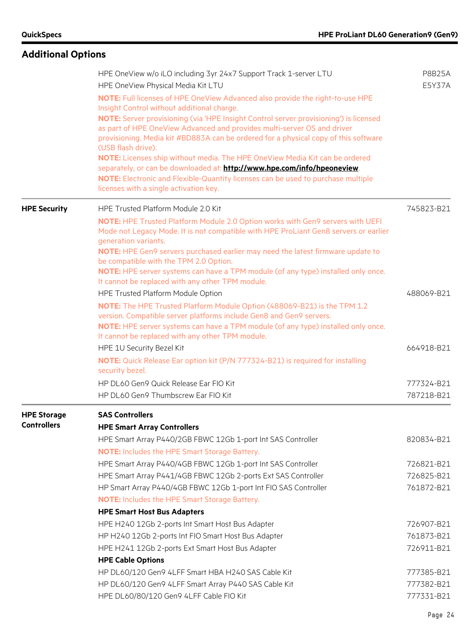|                                          | HPE OneView w/o iLO including 3yr 24x7 Support Track 1-server LTU<br>HPE OneView Physical Media Kit LTU                                                                                                                                                                                                                                                      | <b>P8B25A</b><br>E5Y37A |
|------------------------------------------|--------------------------------------------------------------------------------------------------------------------------------------------------------------------------------------------------------------------------------------------------------------------------------------------------------------------------------------------------------------|-------------------------|
|                                          | NOTE: Full licenses of HPE OneView Advanced also provide the right-to-use HPE<br>Insight Control without additional charge.                                                                                                                                                                                                                                  |                         |
|                                          | NOTE: Server provisioning (via 'HPE Insight Control server provisioning') is licensed<br>as part of HPE OneView Advanced and provides multi-server OS and driver<br>provisioning. Media kit #BD883A can be ordered for a physical copy of this software<br>(USB flash drive).<br>NOTE: Licenses ship without media. The HPE OneView Media Kit can be ordered |                         |
|                                          | separately, or can be downloaded at: http://www.hpe.com/info/hpeoneview.<br>NOTE: Electronic and Flexible-Quantity licenses can be used to purchase multiple<br>licenses with a single activation key.                                                                                                                                                       |                         |
| <b>HPE Security</b>                      | HPE Trusted Platform Module 2.0 Kit                                                                                                                                                                                                                                                                                                                          | 745823-B21              |
|                                          | NOTE: HPE Trusted Platform Module 2.0 Option works with Gen9 servers with UEFI<br>Mode not Legacy Mode. It is not compatible with HPE ProLiant Gen8 servers or earlier<br>generation variants.<br>NOTE: HPE Gen9 servers purchased earlier may need the latest firmware update to                                                                            |                         |
|                                          | be compatible with the TPM 2.0 Option.<br>NOTE: HPE server systems can have a TPM module (of any type) installed only once.<br>It cannot be replaced with any other TPM module.                                                                                                                                                                              |                         |
|                                          | HPE Trusted Platform Module Option                                                                                                                                                                                                                                                                                                                           | 488069-B21              |
|                                          | NOTE: The HPE Trusted Platform Module Option (488069-B21) is the TPM 1.2<br>version. Compatible server platforms include Gen8 and Gen9 servers.<br>NOTE: HPE server systems can have a TPM module (of any type) installed only once.<br>It cannot be replaced with any other TPM module.                                                                     |                         |
|                                          | HPE 1U Security Bezel Kit                                                                                                                                                                                                                                                                                                                                    | 664918-B21              |
|                                          | NOTE: Quick Release Ear option kit (P/N 777324-B21) is required for installing<br>security bezel.                                                                                                                                                                                                                                                            |                         |
|                                          | HP DL60 Gen9 Quick Release Ear FIO Kit                                                                                                                                                                                                                                                                                                                       | 777324-B21              |
|                                          | HP DL60 Gen9 Thumbscrew Ear FIO Kit                                                                                                                                                                                                                                                                                                                          | 787218-B21              |
| <b>HPE Storage</b><br><b>Controllers</b> | <b>SAS Controllers</b><br><b>HPE Smart Array Controllers</b>                                                                                                                                                                                                                                                                                                 |                         |
|                                          | HPE Smart Array P440/2GB FBWC 12Gb 1-port Int SAS Controller                                                                                                                                                                                                                                                                                                 | 820834-B21              |
|                                          | <b>NOTE:</b> Includes the HPE Smart Storage Battery.                                                                                                                                                                                                                                                                                                         |                         |
|                                          | HPE Smart Array P440/4GB FBWC 12Gb 1-port Int SAS Controller                                                                                                                                                                                                                                                                                                 | 726821-B21              |
|                                          | HPE Smart Array P441/4GB FBWC 12Gb 2-ports Ext SAS Controller                                                                                                                                                                                                                                                                                                | 726825-B21              |
|                                          | HP Smart Array P440/4GB FBWC 12Gb 1-port Int FIO SAS Controller                                                                                                                                                                                                                                                                                              | 761872-B21              |
|                                          | <b>NOTE:</b> Includes the HPE Smart Storage Battery.                                                                                                                                                                                                                                                                                                         |                         |
|                                          | <b>HPE Smart Host Bus Adapters</b>                                                                                                                                                                                                                                                                                                                           |                         |
|                                          | HPE H240 12Gb 2-ports Int Smart Host Bus Adapter                                                                                                                                                                                                                                                                                                             | 726907-B21              |
|                                          | HP H240 12Gb 2-ports Int FIO Smart Host Bus Adapter                                                                                                                                                                                                                                                                                                          | 761873-B21              |
|                                          | HPE H241 12Gb 2-ports Ext Smart Host Bus Adapter                                                                                                                                                                                                                                                                                                             | 726911-B21              |
|                                          | <b>HPE Cable Options</b>                                                                                                                                                                                                                                                                                                                                     |                         |
|                                          | HP DL60/120 Gen9 4LFF Smart HBA H240 SAS Cable Kit                                                                                                                                                                                                                                                                                                           | 777385-B21              |
|                                          | HP DL60/120 Gen9 4LFF Smart Array P440 SAS Cable Kit                                                                                                                                                                                                                                                                                                         | 777382-B21              |
|                                          | HPE DL60/80/120 Gen9 4LFF Cable FIO Kit                                                                                                                                                                                                                                                                                                                      | 777331-B21              |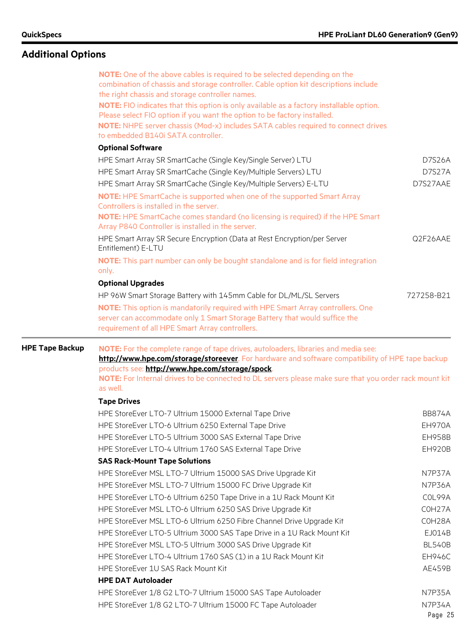|                        | NOTE: One of the above cables is required to be selected depending on the<br>combination of chassis and storage controller. Cable option kit descriptions include<br>the right chassis and storage controller names.<br>NOTE: FIO indicates that this option is only available as a factory installable option.<br>Please select FIO option if you want the option to be factory installed.<br>NOTE: NHPE server chassis (Mod-x) includes SATA cables required to connect drives<br>to embedded B140i SATA controller. |                     |  |  |  |  |
|------------------------|------------------------------------------------------------------------------------------------------------------------------------------------------------------------------------------------------------------------------------------------------------------------------------------------------------------------------------------------------------------------------------------------------------------------------------------------------------------------------------------------------------------------|---------------------|--|--|--|--|
|                        | <b>Optional Software</b>                                                                                                                                                                                                                                                                                                                                                                                                                                                                                               |                     |  |  |  |  |
|                        | HPE Smart Array SR SmartCache (Single Key/Single Server) LTU                                                                                                                                                                                                                                                                                                                                                                                                                                                           | D7S26A              |  |  |  |  |
|                        | HPE Smart Array SR SmartCache (Single Key/Multiple Servers) LTU                                                                                                                                                                                                                                                                                                                                                                                                                                                        | <b>D7S27A</b>       |  |  |  |  |
|                        | HPE Smart Array SR SmartCache (Single Key/Multiple Servers) E-LTU                                                                                                                                                                                                                                                                                                                                                                                                                                                      | D7S27AAE            |  |  |  |  |
|                        | <b>NOTE:</b> HPE SmartCache is supported when one of the supported Smart Array<br>Controllers is installed in the server.                                                                                                                                                                                                                                                                                                                                                                                              |                     |  |  |  |  |
|                        | NOTE: HPE SmartCache comes standard (no licensing is required) if the HPE Smart<br>Array P840 Controller is installed in the server.                                                                                                                                                                                                                                                                                                                                                                                   |                     |  |  |  |  |
|                        | HPE Smart Array SR Secure Encryption (Data at Rest Encryption/per Server<br>Entitlement) E-LTU                                                                                                                                                                                                                                                                                                                                                                                                                         | Q2F26AAE            |  |  |  |  |
|                        | NOTE: This part number can only be bought standalone and is for field integration<br>only.                                                                                                                                                                                                                                                                                                                                                                                                                             |                     |  |  |  |  |
|                        | <b>Optional Upgrades</b>                                                                                                                                                                                                                                                                                                                                                                                                                                                                                               |                     |  |  |  |  |
|                        | HP 96W Smart Storage Battery with 145mm Cable for DL/ML/SL Servers                                                                                                                                                                                                                                                                                                                                                                                                                                                     | 727258-B21          |  |  |  |  |
|                        | NOTE: This option is mandatorily required with HPE Smart Array controllers. One<br>server can accommodate only 1 Smart Storage Battery that would suffice the<br>requirement of all HPE Smart Array controllers.                                                                                                                                                                                                                                                                                                       |                     |  |  |  |  |
| <b>HPE Tape Backup</b> | NOTE: For the complete range of tape drives, autoloaders, libraries and media see:<br>http://www.hpe.com/storage/storeever. For hardware and software compatibility of HPE tape backup<br>products see: http://www.hpe.com/storage/spock.<br>NOTE: For Internal drives to be connected to DL servers please make sure that you order rack mount kit<br>as well.                                                                                                                                                        |                     |  |  |  |  |
|                        | <b>Tape Drives</b>                                                                                                                                                                                                                                                                                                                                                                                                                                                                                                     |                     |  |  |  |  |
|                        | HPE StoreEver LTO-7 Ultrium 15000 External Tape Drive                                                                                                                                                                                                                                                                                                                                                                                                                                                                  | <b>BB874A</b>       |  |  |  |  |
|                        | HPE StoreEver LTO-6 Ultrium 6250 External Tape Drive                                                                                                                                                                                                                                                                                                                                                                                                                                                                   | EH970A              |  |  |  |  |
|                        | HPE StoreEver LTO-5 Ultrium 3000 SAS External Tape Drive                                                                                                                                                                                                                                                                                                                                                                                                                                                               | <b>EH958B</b>       |  |  |  |  |
|                        | HPE StoreEver LTO-4 Ultrium 1760 SAS External Tape Drive                                                                                                                                                                                                                                                                                                                                                                                                                                                               | <b>EH920B</b>       |  |  |  |  |
|                        | <b>SAS Rack-Mount Tape Solutions</b>                                                                                                                                                                                                                                                                                                                                                                                                                                                                                   |                     |  |  |  |  |
|                        | HPE StoreEver MSL LTO-7 Ultrium 15000 SAS Drive Upgrade Kit                                                                                                                                                                                                                                                                                                                                                                                                                                                            | N7P37A              |  |  |  |  |
|                        | HPE StoreEver MSL LTO-7 Ultrium 15000 FC Drive Upgrade Kit                                                                                                                                                                                                                                                                                                                                                                                                                                                             | N7P36A              |  |  |  |  |
|                        | HPE StoreEver LTO-6 Ultrium 6250 Tape Drive in a 1U Rack Mount Kit                                                                                                                                                                                                                                                                                                                                                                                                                                                     | COL99A              |  |  |  |  |
|                        | HPE StoreEver MSL LTO-6 Ultrium 6250 SAS Drive Upgrade Kit                                                                                                                                                                                                                                                                                                                                                                                                                                                             | COH <sub>27</sub> A |  |  |  |  |
|                        | HPE StoreEver MSL LTO-6 Ultrium 6250 Fibre Channel Drive Upgrade Kit                                                                                                                                                                                                                                                                                                                                                                                                                                                   | COH28A              |  |  |  |  |
|                        | HPE StoreEver LTO-5 Ultrium 3000 SAS Tape Drive in a 1U Rack Mount Kit                                                                                                                                                                                                                                                                                                                                                                                                                                                 | EJ014B              |  |  |  |  |
|                        | HPE StoreEver MSL LTO-5 Ultrium 3000 SAS Drive Upgrade Kit                                                                                                                                                                                                                                                                                                                                                                                                                                                             | <b>BL540B</b>       |  |  |  |  |
|                        | HPE StoreEver LTO-4 Ultrium 1760 SAS (1) in a 1U Rack Mount Kit                                                                                                                                                                                                                                                                                                                                                                                                                                                        | <b>EH946C</b>       |  |  |  |  |
|                        | HPE StoreEver 1U SAS Rack Mount Kit                                                                                                                                                                                                                                                                                                                                                                                                                                                                                    | AE459B              |  |  |  |  |
|                        | <b>HPE DAT Autoloader</b>                                                                                                                                                                                                                                                                                                                                                                                                                                                                                              |                     |  |  |  |  |
|                        | HPE StoreEver 1/8 G2 LTO-7 Ultrium 15000 SAS Tape Autoloader                                                                                                                                                                                                                                                                                                                                                                                                                                                           | N7P35A              |  |  |  |  |
|                        | HPE StoreEver 1/8 G2 LTO-7 Ultrium 15000 FC Tape Autoloader                                                                                                                                                                                                                                                                                                                                                                                                                                                            | N7P34A<br>Page 25   |  |  |  |  |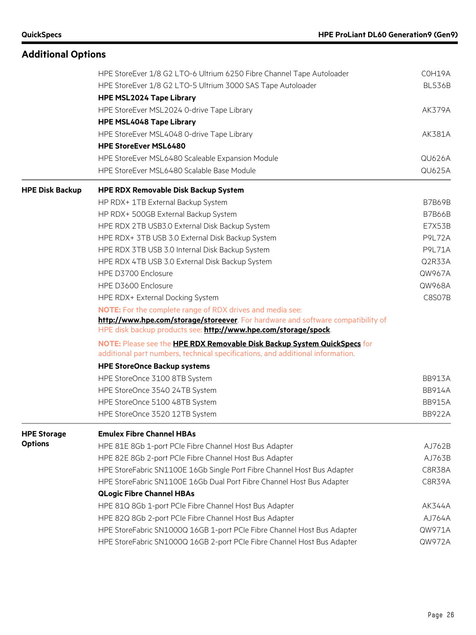|                        | HPE StoreEver 1/8 G2 LTO-6 Ultrium 6250 Fibre Channel Tape Autoloader                                                                                      | COH19A        |
|------------------------|------------------------------------------------------------------------------------------------------------------------------------------------------------|---------------|
|                        | HPE StoreEver 1/8 G2 LTO-5 Ultrium 3000 SAS Tape Autoloader                                                                                                | <b>BL536B</b> |
|                        | <b>HPE MSL2024 Tape Library</b>                                                                                                                            |               |
|                        | HPE StoreEver MSL2024 0-drive Tape Library                                                                                                                 | <b>AK379A</b> |
|                        | <b>HPE MSL4048 Tape Library</b>                                                                                                                            |               |
|                        | HPE StoreEver MSL4048 0-drive Tape Library                                                                                                                 | AK381A        |
|                        | <b>HPE StoreEver MSL6480</b>                                                                                                                               |               |
|                        | HPE StoreEver MSL6480 Scaleable Expansion Module                                                                                                           | <b>QU626A</b> |
|                        | HPE StoreEver MSL6480 Scalable Base Module                                                                                                                 | QU625A        |
| <b>HPE Disk Backup</b> | <b>HPE RDX Removable Disk Backup System</b>                                                                                                                |               |
|                        | HP RDX+ 1TB External Backup System                                                                                                                         | <b>B7B69B</b> |
|                        | HP RDX+ 500GB External Backup System                                                                                                                       | <b>B7B66B</b> |
|                        | HPE RDX 2TB USB3.0 External Disk Backup System                                                                                                             | <b>E7X53B</b> |
|                        | HPE RDX+ 3TB USB 3.0 External Disk Backup System                                                                                                           | <b>P9L72A</b> |
|                        | HPE RDX 3TB USB 3.0 Internal Disk Backup System                                                                                                            | <b>P9L71A</b> |
|                        | HPE RDX 4TB USB 3.0 External Disk Backup System                                                                                                            | Q2R33A        |
|                        | HPE D3700 Enclosure                                                                                                                                        | QW967A        |
|                        | HPE D3600 Enclosure                                                                                                                                        | QW968A        |
|                        | HPE RDX+ External Docking System                                                                                                                           | <b>C8S07B</b> |
|                        | <b>NOTE:</b> For the complete range of RDX drives and media see:                                                                                           |               |
|                        | http://www.hpe.com/storage/storeever. For hardware and software compatibility of                                                                           |               |
|                        | HPE disk backup products see: http://www.hpe.com/storage/spock.                                                                                            |               |
|                        | NOTE: Please see the HPE RDX Removable Disk Backup System QuickSpecs for<br>additional part numbers, technical specifications, and additional information. |               |
|                        | <b>HPE StoreOnce Backup systems</b>                                                                                                                        |               |
|                        | HPE StoreOnce 3100 8TB System                                                                                                                              | <b>BB913A</b> |
|                        | HPE StoreOnce 3540 24TB System                                                                                                                             | <b>BB914A</b> |
|                        | HPE StoreOnce 5100 48TB System                                                                                                                             | <b>BB915A</b> |
|                        | HPE StoreOnce 3520 12TB System                                                                                                                             | <b>BB922A</b> |
| <b>HPE Storage</b>     | <b>Emulex Fibre Channel HBAs</b>                                                                                                                           |               |
| <b>Options</b>         | HPE 81E 8Gb 1-port PCIe Fibre Channel Host Bus Adapter                                                                                                     | AJ762B        |
|                        | HPE 82E 8Gb 2-port PCIe Fibre Channel Host Bus Adapter                                                                                                     | AJ763B        |
|                        | HPE StoreFabric SN1100E 16Gb Single Port Fibre Channel Host Bus Adapter                                                                                    | C8R38A        |
|                        | HPE StoreFabric SN1100E 16Gb Dual Port Fibre Channel Host Bus Adapter                                                                                      | C8R39A        |
|                        | <b>QLogic Fibre Channel HBAs</b>                                                                                                                           |               |
|                        | HPE 81Q 8Gb 1-port PCIe Fibre Channel Host Bus Adapter                                                                                                     | AK344A        |
|                        | HPE 82Q 8Gb 2-port PCIe Fibre Channel Host Bus Adapter                                                                                                     | AJ764A        |
|                        | HPE StoreFabric SN1000Q 16GB 1-port PCIe Fibre Channel Host Bus Adapter                                                                                    | QW971A        |
|                        | HPE StoreFabric SN1000Q 16GB 2-port PCIe Fibre Channel Host Bus Adapter                                                                                    | QW972A        |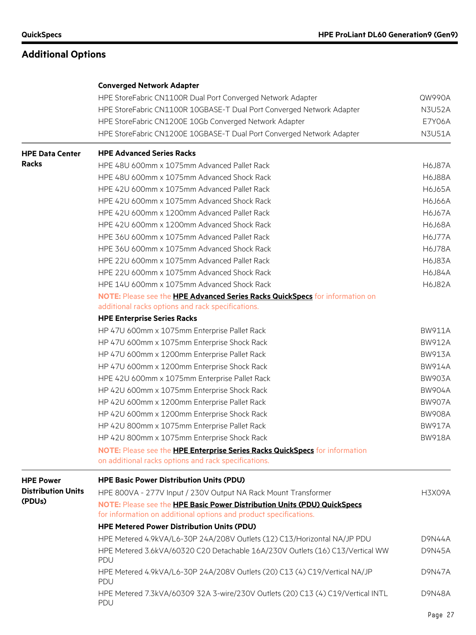|                           | <b>Converged Network Adapter</b>                                                       |               |  |  |  |  |
|---------------------------|----------------------------------------------------------------------------------------|---------------|--|--|--|--|
|                           | HPE StoreFabric CN1100R Dual Port Converged Network Adapter                            | QW990A        |  |  |  |  |
|                           | HPE StoreFabric CN1100R 10GBASE-T Dual Port Converged Network Adapter                  | <b>N3U52A</b> |  |  |  |  |
|                           | HPE StoreFabric CN1200E 10Gb Converged Network Adapter                                 | <b>E7Y06A</b> |  |  |  |  |
|                           | HPE StoreFabric CN1200E 10GBASE-T Dual Port Converged Network Adapter                  | <b>N3U51A</b> |  |  |  |  |
| <b>HPE Data Center</b>    | <b>HPE Advanced Series Racks</b>                                                       |               |  |  |  |  |
| <b>Racks</b>              | HPE 48U 600mm x 1075mm Advanced Pallet Rack                                            | <b>H6J87A</b> |  |  |  |  |
|                           | HPE 48U 600mm x 1075mm Advanced Shock Rack                                             | <b>H6J88A</b> |  |  |  |  |
|                           | HPE 42U 600mm x 1075mm Advanced Pallet Rack                                            | <b>H6J65A</b> |  |  |  |  |
|                           | HPE 42U 600mm x 1075mm Advanced Shock Rack                                             | <b>H6J66A</b> |  |  |  |  |
|                           | HPE 42U 600mm x 1200mm Advanced Pallet Rack                                            | <b>H6J67A</b> |  |  |  |  |
|                           | HPE 42U 600mm x 1200mm Advanced Shock Rack                                             |               |  |  |  |  |
|                           | HPE 36U 600mm x 1075mm Advanced Pallet Rack                                            | <b>H6J77A</b> |  |  |  |  |
|                           | HPE 36U 600mm x 1075mm Advanced Shock Rack                                             | <b>H6J78A</b> |  |  |  |  |
|                           | HPE 22U 600mm x 1075mm Advanced Pallet Rack                                            | <b>H6J83A</b> |  |  |  |  |
|                           | HPE 22U 600mm x 1075mm Advanced Shock Rack                                             | <b>H6J84A</b> |  |  |  |  |
|                           | HPE 14U 600mm x 1075mm Advanced Shock Rack                                             | <b>H6J82A</b> |  |  |  |  |
|                           | NOTE: Please see the HPE Advanced Series Racks QuickSpecs for information on           |               |  |  |  |  |
|                           | additional racks options and rack specifications.                                      |               |  |  |  |  |
|                           | <b>HPE Enterprise Series Racks</b>                                                     |               |  |  |  |  |
|                           | HP 47U 600mm x 1075mm Enterprise Pallet Rack                                           | <b>BW911A</b> |  |  |  |  |
|                           | HP 47U 600mm x 1075mm Enterprise Shock Rack                                            | <b>BW912A</b> |  |  |  |  |
|                           | HP 47U 600mm x 1200mm Enterprise Pallet Rack                                           |               |  |  |  |  |
|                           | HP 47U 600mm x 1200mm Enterprise Shock Rack                                            |               |  |  |  |  |
|                           | HPE 42U 600mm x 1075mm Enterprise Pallet Rack                                          |               |  |  |  |  |
|                           | HP 42U 600mm x 1075mm Enterprise Shock Rack                                            | <b>BW904A</b> |  |  |  |  |
|                           | HP 42U 600mm x 1200mm Enterprise Pallet Rack                                           | <b>BW907A</b> |  |  |  |  |
|                           | HP 42U 600mm x 1200mm Enterprise Shock Rack                                            | <b>BW908A</b> |  |  |  |  |
|                           | HP 42U 800mm x 1075mm Enterprise Pallet Rack                                           | <b>BW917A</b> |  |  |  |  |
|                           | HP 42U 800mm x 1075mm Enterprise Shock Rack                                            | <b>BW918A</b> |  |  |  |  |
|                           | NOTE: Please see the HPE Enterprise Series Racks QuickSpecs for information            |               |  |  |  |  |
|                           | on additional racks options and rack specifications.                                   |               |  |  |  |  |
| <b>HPE Power</b>          | <b>HPE Basic Power Distribution Units (PDU)</b>                                        |               |  |  |  |  |
| <b>Distribution Units</b> | HPE 800VA - 277V Input / 230V Output NA Rack Mount Transformer                         | H3X09A        |  |  |  |  |
| (PDUs)                    | NOTE: Please see the HPE Basic Power Distribution Units (PDU) QuickSpecs               |               |  |  |  |  |
|                           | for information on additional options and product specifications.                      |               |  |  |  |  |
|                           | <b>HPE Metered Power Distribution Units (PDU)</b>                                      |               |  |  |  |  |
|                           | HPE Metered 4.9kVA/L6-30P 24A/208V Outlets (12) C13/Horizontal NA/JP PDU               | D9N44A        |  |  |  |  |
|                           | HPE Metered 3.6kVA/60320 C20 Detachable 16A/230V Outlets (16) C13/Vertical WW<br>PDU   | <b>D9N45A</b> |  |  |  |  |
|                           | HPE Metered 4.9kVA/L6-30P 24A/208V Outlets (20) C13 (4) C19/Vertical NA/JP<br>PDU      | <b>D9N47A</b> |  |  |  |  |
|                           | HPE Metered 7.3kVA/60309 32A 3-wire/230V Outlets (20) C13 (4) C19/Vertical INTL<br>PDU | <b>D9N48A</b> |  |  |  |  |
|                           |                                                                                        | Page 27       |  |  |  |  |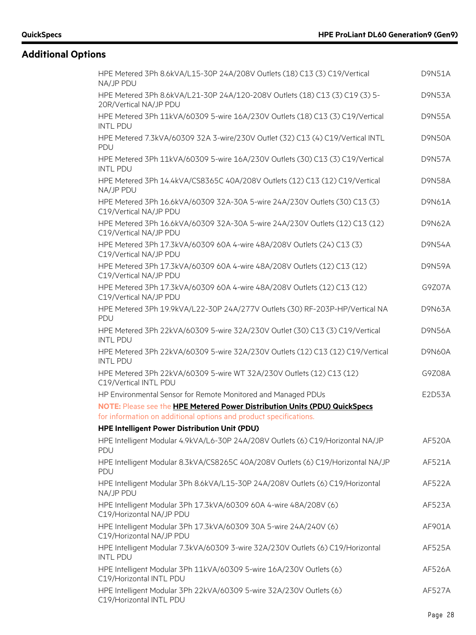| HPE Metered 3Ph 8.6kVA/L15-30P 24A/208V Outlets (18) C13 (3) C19/Vertical<br>NA/JP PDU                | <b>D9N51A</b> |
|-------------------------------------------------------------------------------------------------------|---------------|
| HPE Metered 3Ph 8.6kVA/L21-30P 24A/120-208V Outlets (18) C13 (3) C19 (3) 5-<br>20R/Vertical NA/JP PDU | <b>D9N53A</b> |
| HPE Metered 3Ph 11kVA/60309 5-wire 16A/230V Outlets (18) C13 (3) C19/Vertical<br><b>INTL PDU</b>      | <b>D9N55A</b> |
| HPE Metered 7.3kVA/60309 32A 3-wire/230V Outlet (32) C13 (4) C19/Vertical INTL<br>PDU                 | <b>D9N50A</b> |
| HPE Metered 3Ph 11kVA/60309 5-wire 16A/230V Outlets (30) C13 (3) C19/Vertical<br><b>INTL PDU</b>      | <b>D9N57A</b> |
| HPE Metered 3Ph 14.4kVA/CS8365C 40A/208V Outlets (12) C13 (12) C19/Vertical<br>NA/JP PDU              | <b>D9N58A</b> |
| HPE Metered 3Ph 16.6kVA/60309 32A-30A 5-wire 24A/230V Outlets (30) C13 (3)<br>C19/Vertical NA/JP PDU  | <b>D9N61A</b> |
| HPE Metered 3Ph 16.6kVA/60309 32A-30A 5-wire 24A/230V Outlets (12) C13 (12)<br>C19/Vertical NA/JP PDU | D9N62A        |
| HPE Metered 3Ph 17.3kVA/60309 60A 4-wire 48A/208V Outlets (24) C13 (3)<br>C19/Vertical NA/JP PDU      | <b>D9N54A</b> |
| HPE Metered 3Ph 17.3kVA/60309 60A 4-wire 48A/208V Outlets (12) C13 (12)<br>C19/Vertical NA/JP PDU     | <b>D9N59A</b> |
| HPE Metered 3Ph 17.3kVA/60309 60A 4-wire 48A/208V Outlets (12) C13 (12)<br>C19/Vertical NA/JP PDU     | G9Z07A        |
| HPE Metered 3Ph 19.9kVA/L22-30P 24A/277V Outlets (30) RF-203P-HP/Vertical NA<br>PDU                   | D9N63A        |
| HPE Metered 3Ph 22kVA/60309 5-wire 32A/230V Outlet (30) C13 (3) C19/Vertical<br><b>INTL PDU</b>       | <b>D9N56A</b> |
| HPE Metered 3Ph 22kVA/60309 5-wire 32A/230V Outlets (12) C13 (12) C19/Vertical<br><b>INTL PDU</b>     | <b>D9N60A</b> |
| HPE Metered 3Ph 22kVA/60309 5-wire WT 32A/230V Outlets (12) C13 (12)<br>C19/Vertical INTL PDU         | G9Z08A        |
| HP Environmental Sensor for Remote Monitored and Managed PDUs                                         | E2D53A        |
| NOTE: Please see the HPE Metered Power Distribution Units (PDU) QuickSpecs                            |               |
| for information on additional options and product specifications.                                     |               |
| HPE Intelligent Power Distribution Unit (PDU)                                                         |               |
| HPE Intelligent Modular 4.9kVA/L6-30P 24A/208V Outlets (6) C19/Horizontal NA/JP<br>PDU                | AF520A        |
| HPE Intelligent Modular 8.3kVA/CS8265C 40A/208V Outlets (6) C19/Horizontal NA/JP<br>PDU               | AF521A        |
| HPE Intelligent Modular 3Ph 8.6kVA/L15-30P 24A/208V Outlets (6) C19/Horizontal<br>NA/JP PDU           | AF522A        |
| HPE Intelligent Modular 3Ph 17.3kVA/60309 60A 4-wire 48A/208V (6)<br>C19/Horizontal NA/JP PDU         | AF523A        |
| HPE Intelligent Modular 3Ph 17.3kVA/60309 30A 5-wire 24A/240V (6)<br>C19/Horizontal NA/JP PDU         | AF901A        |
| HPE Intelligent Modular 7.3kVA/60309 3-wire 32A/230V Outlets (6) C19/Horizontal<br><b>INTL PDU</b>    | AF525A        |
| HPE Intelligent Modular 3Ph 11kVA/60309 5-wire 16A/230V Outlets (6)<br>C19/Horizontal INTL PDU        | AF526A        |
| HPE Intelligent Modular 3Ph 22kVA/60309 5-wire 32A/230V Outlets (6)<br>C19/Horizontal INTL PDU        | AF527A        |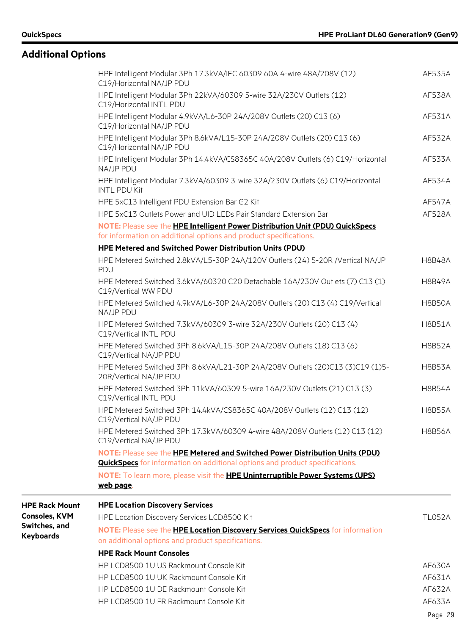|                                       | HPE Intelligent Modular 3Ph 17.3kVA/IEC 60309 60A 4-wire 48A/208V (12)<br>C19/Horizontal NA/JP PDU                                                                  | AF535A        |
|---------------------------------------|---------------------------------------------------------------------------------------------------------------------------------------------------------------------|---------------|
|                                       | HPE Intelligent Modular 3Ph 22kVA/60309 5-wire 32A/230V Outlets (12)<br>C19/Horizontal INTL PDU                                                                     | AF538A        |
|                                       | HPE Intelligent Modular 4.9kVA/L6-30P 24A/208V Outlets (20) C13 (6)<br>C19/Horizontal NA/JP PDU                                                                     | AF531A        |
|                                       | HPE Intelligent Modular 3Ph 8.6kVA/L15-30P 24A/208V Outlets (20) C13 (6)<br>C19/Horizontal NA/JP PDU                                                                | AF532A        |
|                                       | HPE Intelligent Modular 3Ph 14.4kVA/CS8365C 40A/208V Outlets (6) C19/Horizontal<br>NA/JP PDU                                                                        | AF533A        |
|                                       | HPE Intelligent Modular 7.3kVA/60309 3-wire 32A/230V Outlets (6) C19/Horizontal<br><b>INTL PDU Kit</b>                                                              | AF534A        |
|                                       | HPE 5xC13 Intelligent PDU Extension Bar G2 Kit                                                                                                                      | AF547A        |
|                                       | HPE 5xC13 Outlets Power and UID LEDs Pair Standard Extension Bar                                                                                                    | AF528A        |
|                                       | NOTE: Please see the HPE Intelligent Power Distribution Unit (PDU) QuickSpecs<br>for information on additional options and product specifications.                  |               |
|                                       | <b>HPE Metered and Switched Power Distribution Units (PDU)</b>                                                                                                      |               |
|                                       | HPE Metered Switched 2.8kVA/L5-30P 24A/120V Outlets (24) 5-20R /Vertical NA/JP<br>PDU                                                                               | <b>H8B48A</b> |
|                                       | HPE Metered Switched 3.6kVA/60320 C20 Detachable 16A/230V Outlets (7) C13 (1)<br>C19/Vertical WW PDU                                                                | <b>H8B49A</b> |
|                                       | HPE Metered Switched 4.9kVA/L6-30P 24A/208V Outlets (20) C13 (4) C19/Vertical<br>NA/JP PDU                                                                          | <b>H8B50A</b> |
|                                       | HPE Metered Switched 7.3kVA/60309 3-wire 32A/230V Outlets (20) C13 (4)<br>C19/Vertical INTL PDU                                                                     | <b>H8B51A</b> |
|                                       | HPE Metered Switched 3Ph 8.6kVA/L15-30P 24A/208V Outlets (18) C13 (6)<br>C19/Vertical NA/JP PDU                                                                     | <b>H8B52A</b> |
|                                       | HPE Metered Switched 3Ph 8.6kVA/L21-30P 24A/208V Outlets (20)C13 (3)C19 (1)5-<br>20R/Vertical NA/JP PDU                                                             | <b>H8B53A</b> |
|                                       | HPE Metered Switched 3Ph 11kVA/60309 5-wire 16A/230V Outlets (21) C13 (3)<br>C19/Vertical INTL PDU                                                                  | <b>H8B54A</b> |
|                                       | HPE Metered Switched 3Ph 14.4kVA/CS8365C 40A/208V Outlets (12) C13 (12)<br>C19/Vertical NA/JP PDU                                                                   | <b>H8B55A</b> |
|                                       | HPE Metered Switched 3Ph 17.3kVA/60309 4-wire 48A/208V Outlets (12) C13 (12)<br>C19/Vertical NA/JP PDU                                                              | <b>H8B56A</b> |
|                                       | NOTE: Please see the HPE Metered and Switched Power Distribution Units (PDU)<br><b>QuickSpecs</b> for information on additional options and product specifications. |               |
|                                       | NOTE: To learn more, please visit the <b>HPE Uninterruptible Power Systems (UPS)</b><br>web page.                                                                   |               |
| <b>HPE Rack Mount</b>                 | <b>HPE Location Discovery Services</b>                                                                                                                              |               |
| <b>Consoles, KVM</b><br>Switches, and | HPE Location Discovery Services LCD8500 Kit                                                                                                                         | <b>TL052A</b> |
| <b>Keyboards</b>                      | NOTE: Please see the <b>HPE Location Discovery Services QuickSpecs</b> for information<br>on additional options and product specifications.                         |               |
|                                       | <b>HPE Rack Mount Consoles</b>                                                                                                                                      |               |
|                                       | HP LCD8500 1U US Rackmount Console Kit                                                                                                                              | AF630A        |
|                                       | HP LCD8500 1U UK Rackmount Console Kit                                                                                                                              | AF631A        |
|                                       | HP LCD8500 1U DE Rackmount Console Kit                                                                                                                              | AF632A        |
|                                       | HP LCD8500 1U FR Rackmount Console Kit                                                                                                                              | AF633A        |
|                                       |                                                                                                                                                                     | Page 29       |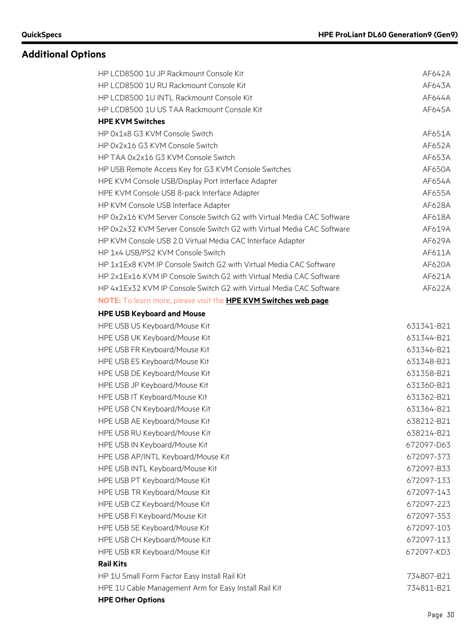| HP LCD8500 1U JP Rackmount Console Kit                                 | AF642A     |
|------------------------------------------------------------------------|------------|
| HP LCD8500 1U RU Rackmount Console Kit                                 | AF643A     |
| HP LCD8500 1U INTL Rackmount Console Kit                               | AF644A     |
| HP LCD8500 1U US TAA Rackmount Console Kit                             | AF645A     |
| <b>HPE KVM Switches</b>                                                |            |
| HP 0x1x8 G3 KVM Console Switch                                         | AF651A     |
| HP 0x2x16 G3 KVM Console Switch                                        | AF652A     |
| HP TAA 0x2x16 G3 KVM Console Switch                                    | AF653A     |
| HP USB Remote Access Key for G3 KVM Console Switches                   | AF650A     |
| HPE KVM Console USB/Display Port Interface Adapter                     | AF654A     |
| HPE KVM Console USB 8-pack Interface Adapter                           | AF655A     |
| HP KVM Console USB Interface Adapter                                   | AF628A     |
| HP 0x2x16 KVM Server Console Switch G2 with Virtual Media CAC Software | AF618A     |
| HP 0x2x32 KVM Server Console Switch G2 with Virtual Media CAC Software | AF619A     |
| HP KVM Console USB 2.0 Virtual Media CAC Interface Adapter             | AF629A     |
| HP 1x4 USB/PS2 KVM Console Switch                                      | AF611A     |
| HP 1x1Ex8 KVM IP Console Switch G2 with Virtual Media CAC Software     | AF620A     |
| HP 2x1Ex16 KVM IP Console Switch G2 with Virtual Media CAC Software    | AF621A     |
| HP 4x1Ex32 KVM IP Console Switch G2 with Virtual Media CAC Software    | AF622A     |
| NOTE: To learn more, please visit the HPE KVM Switches web page.       |            |
| <b>HPE USB Keyboard and Mouse</b>                                      |            |
| HPE USB US Keyboard/Mouse Kit                                          | 631341-B21 |
| HPE USB UK Keyboard/Mouse Kit                                          | 631344-B21 |
| HPE USB FR Keyboard/Mouse Kit                                          | 631346-B21 |
| HPE USB ES Keyboard/Mouse Kit                                          | 631348-B21 |
| HPE USB DE Keyboard/Mouse Kit                                          | 631358-B21 |
| HPE USB JP Keyboard/Mouse Kit                                          | 631360-B21 |
| HPE USB IT Keyboard/Mouse Kit                                          | 631362-B21 |
| HPE USB CN Keyboard/Mouse Kit                                          | 631364-B21 |
| HPE USB AE Keyboard/Mouse Kit                                          | 638212-B21 |
| HPE USB RU Keyboard/Mouse Kit                                          | 638214-B21 |
| HPE USB IN Keyboard/Mouse Kit                                          | 672097-D63 |
| HPE USB AP/INTL Keyboard/Mouse Kit                                     | 672097-373 |
| HPE USB INTL Keyboard/Mouse Kit                                        | 672097-B33 |
| HPE USB PT Keyboard/Mouse Kit                                          | 672097-133 |
| HPE USB TR Keyboard/Mouse Kit                                          | 672097-143 |
| HPE USB CZ Keyboard/Mouse Kit                                          | 672097-223 |
| HPE USB FI Keyboard/Mouse Kit                                          | 672097-353 |
| HPE USB SE Keyboard/Mouse Kit                                          | 672097-103 |
| HPE USB CH Keyboard/Mouse Kit                                          | 672097-113 |
| HPE USB KR Keyboard/Mouse Kit                                          | 672097-KD3 |
| <b>Rail Kits</b>                                                       |            |
| HP 1U Small Form Factor Easy Install Rail Kit                          | 734807-B21 |
| HPE 1U Cable Management Arm for Easy Install Rail Kit                  | 734811-B21 |
| <b>HPE Other Options</b>                                               |            |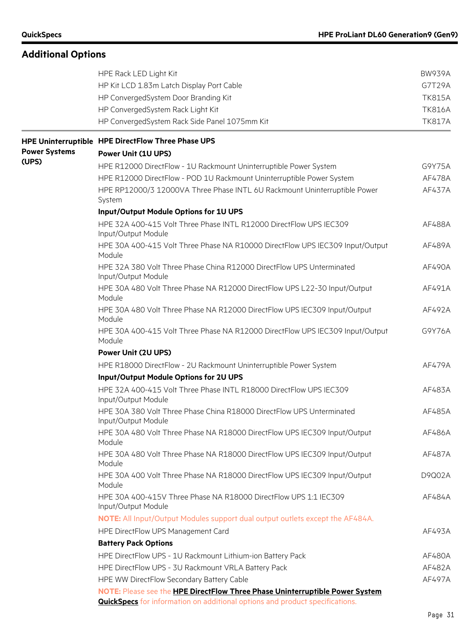|                      | HPE Rack LED Light Kit                                                                                                                                              | <b>BW939A</b> |  |  |  |  |  |
|----------------------|---------------------------------------------------------------------------------------------------------------------------------------------------------------------|---------------|--|--|--|--|--|
|                      | HP Kit LCD 1.83m Latch Display Port Cable                                                                                                                           | G7T29A        |  |  |  |  |  |
|                      | HP ConvergedSystem Door Branding Kit                                                                                                                                | <b>TK815A</b> |  |  |  |  |  |
|                      | HP ConvergedSystem Rack Light Kit                                                                                                                                   | <b>TK816A</b> |  |  |  |  |  |
|                      | HP ConvergedSystem Rack Side Panel 1075mm Kit                                                                                                                       | <b>TK817A</b> |  |  |  |  |  |
|                      | HPE Uninterruptible HPE DirectFlow Three Phase UPS                                                                                                                  |               |  |  |  |  |  |
| <b>Power Systems</b> | <b>Power Unit (1U UPS)</b>                                                                                                                                          |               |  |  |  |  |  |
| (UPS)                | HPE R12000 DirectFlow - 1U Rackmount Uninterruptible Power System                                                                                                   | G9Y75A        |  |  |  |  |  |
|                      | HPE R12000 DirectFlow - POD 1U Rackmount Uninterruptible Power System                                                                                               | AF478A        |  |  |  |  |  |
|                      | HPE RP12000/3 12000VA Three Phase INTL 6U Rackmount Uninterruptible Power<br>System                                                                                 | AF437A        |  |  |  |  |  |
|                      | Input/Output Module Options for 1U UPS                                                                                                                              |               |  |  |  |  |  |
|                      | HPE 32A 400-415 Volt Three Phase INTL R12000 DirectFlow UPS IEC309<br>Input/Output Module                                                                           | AF488A        |  |  |  |  |  |
|                      | HPE 30A 400-415 Volt Three Phase NA R10000 DirectFlow UPS IEC309 Input/Output<br>Module                                                                             | AF489A        |  |  |  |  |  |
|                      | HPE 32A 380 Volt Three Phase China R12000 DirectFlow UPS Unterminated<br>Input/Output Module                                                                        | AF490A        |  |  |  |  |  |
|                      | HPE 30A 480 Volt Three Phase NA R12000 DirectFlow UPS L22-30 Input/Output<br>Module                                                                                 | AF491A        |  |  |  |  |  |
|                      | HPE 30A 480 Volt Three Phase NA R12000 DirectFlow UPS IEC309 Input/Output<br>Module                                                                                 | AF492A        |  |  |  |  |  |
|                      | HPE 30A 400-415 Volt Three Phase NA R12000 DirectFlow UPS IEC309 Input/Output<br>Module                                                                             | G9Y76A        |  |  |  |  |  |
|                      | <b>Power Unit (2U UPS)</b>                                                                                                                                          |               |  |  |  |  |  |
|                      | HPE R18000 DirectFlow - 2U Rackmount Uninterruptible Power System                                                                                                   | AF479A        |  |  |  |  |  |
|                      | Input/Output Module Options for 2U UPS                                                                                                                              |               |  |  |  |  |  |
|                      | HPE 32A 400-415 Volt Three Phase INTL R18000 DirectFlow UPS IEC309<br>Input/Output Module                                                                           | AF483A        |  |  |  |  |  |
|                      | HPE 30A 380 Volt Three Phase China R18000 DirectFlow UPS Unterminated<br>Input/Output Module                                                                        | AF485A        |  |  |  |  |  |
|                      | HPE 30A 480 Volt Three Phase NA R18000 DirectFlow UPS IEC309 Input/Output<br>Module                                                                                 | AF486A        |  |  |  |  |  |
|                      | HPE 30A 480 Volt Three Phase NA R18000 DirectFlow UPS IEC309 Input/Output<br>Module                                                                                 | AF487A        |  |  |  |  |  |
|                      | HPE 30A 400 Volt Three Phase NA R18000 DirectFlow UPS IEC309 Input/Output<br>Module                                                                                 | D9Q02A        |  |  |  |  |  |
|                      | HPE 30A 400-415V Three Phase NA R18000 DirectFlow UPS 1:1 IEC309<br>Input/Output Module                                                                             | AF484A        |  |  |  |  |  |
|                      | NOTE: All Input/Output Modules support dual output outlets except the AF484A.                                                                                       |               |  |  |  |  |  |
|                      | HPE DirectFlow UPS Management Card                                                                                                                                  | AF493A        |  |  |  |  |  |
|                      | <b>Battery Pack Options</b>                                                                                                                                         |               |  |  |  |  |  |
|                      | HPE DirectFlow UPS - 1U Rackmount Lithium-ion Battery Pack                                                                                                          | AF480A        |  |  |  |  |  |
|                      | HPE DirectFlow UPS - 3U Rackmount VRLA Battery Pack                                                                                                                 | AF482A        |  |  |  |  |  |
|                      | HPE WW DirectFlow Secondary Battery Cable                                                                                                                           | AF497A        |  |  |  |  |  |
|                      | NOTE: Please see the HPE DirectFlow Three Phase Uninterruptible Power System<br><b>QuickSpecs</b> for information on additional options and product specifications. |               |  |  |  |  |  |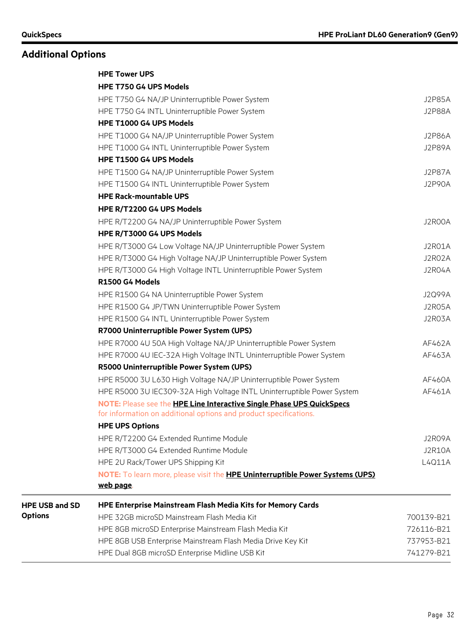|                       | <b>HPE Tower UPS</b>                                                                 |               |
|-----------------------|--------------------------------------------------------------------------------------|---------------|
|                       | HPE T750 G4 UPS Models                                                               |               |
|                       | HPE T750 G4 NA/JP Uninterruptible Power System                                       | <b>J2P85A</b> |
|                       | HPE T750 G4 INTL Uninterruptible Power System                                        | <b>J2P88A</b> |
|                       | HPE T1000 G4 UPS Models                                                              |               |
|                       | HPE T1000 G4 NA/JP Uninterruptible Power System                                      | <b>J2P86A</b> |
|                       | HPE T1000 G4 INTL Uninterruptible Power System                                       | J2P89A        |
|                       | HPE T1500 G4 UPS Models                                                              |               |
|                       | HPE T1500 G4 NA/JP Uninterruptible Power System                                      | <b>J2P87A</b> |
|                       | HPE T1500 G4 INTL Uninterruptible Power System                                       | J2P90A        |
|                       | <b>HPE Rack-mountable UPS</b>                                                        |               |
|                       | HPE R/T2200 G4 UPS Models                                                            |               |
|                       | HPE R/T2200 G4 NA/JP Uninterruptible Power System                                    | J2R00A        |
|                       | HPE R/T3000 G4 UPS Models                                                            |               |
|                       | HPE R/T3000 G4 Low Voltage NA/JP Uninterruptible Power System                        | J2R01A        |
|                       | HPE R/T3000 G4 High Voltage NA/JP Uninterruptible Power System                       | J2R02A        |
|                       | HPE R/T3000 G4 High Voltage INTL Uninterruptible Power System                        | J2R04A        |
|                       | R1500 G4 Models                                                                      |               |
|                       | HPE R1500 G4 NA Uninterruptible Power System                                         | J2Q99A        |
|                       | HPE R1500 G4 JP/TWN Uninterruptible Power System                                     | J2R05A        |
|                       | HPE R1500 G4 INTL Uninterruptible Power System                                       | J2R03A        |
|                       | R7000 Uninterruptible Power System (UPS)                                             |               |
|                       | HPE R7000 4U 50A High Voltage NA/JP Uninterruptible Power System                     | AF462A        |
|                       | HPE R7000 4U IEC-32A High Voltage INTL Uninterruptible Power System                  | AF463A        |
|                       | R5000 Uninterruptible Power System (UPS)                                             |               |
|                       | HPE R5000 3U L630 High Voltage NA/JP Uninterruptible Power System                    | AF460A        |
|                       | HPE R5000 3U IEC309-32A High Voltage INTL Uninterruptible Power System               | AF461A        |
|                       | NOTE: Please see the HPE Line Interactive Single Phase UPS QuickSpecs                |               |
|                       | for information on additional options and product specifications.                    |               |
|                       | <b>HPE UPS Options</b>                                                               |               |
|                       | HPE R/T2200 G4 Extended Runtime Module                                               | J2R09A        |
|                       | HPE R/T3000 G4 Extended Runtime Module                                               | <b>J2R10A</b> |
|                       | HPE 2U Rack/Tower UPS Shipping Kit                                                   | L4Q11A        |
|                       | NOTE: To learn more, please visit the <b>HPE Uninterruptible Power Systems (UPS)</b> |               |
|                       | web page.                                                                            |               |
| <b>HPE USB and SD</b> | <b>HPE Enterprise Mainstream Flash Media Kits for Memory Cards</b>                   |               |
| <b>Options</b>        | HPE 32GB microSD Mainstream Flash Media Kit                                          | 700139-B21    |
|                       | HPE 8GB microSD Enterprise Mainstream Flash Media Kit                                | 726116-B21    |
|                       | HPE 8GB USB Enterprise Mainstream Flash Media Drive Key Kit                          | 737953-B21    |
|                       | HPE Dual 8GB microSD Enterprise Midline USB Kit                                      | 741279-B21    |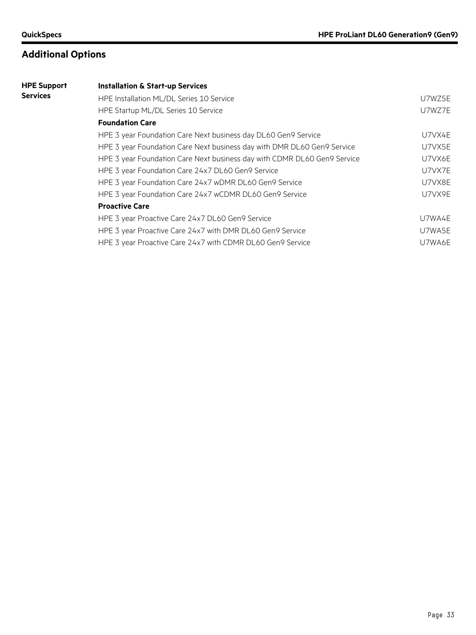| <b>HPE Support</b> | <b>Installation &amp; Start-up Services</b>                              |        |  |  |  |  |
|--------------------|--------------------------------------------------------------------------|--------|--|--|--|--|
| <b>Services</b>    | HPE Installation ML/DL Series 10 Service                                 | U7WZ5E |  |  |  |  |
|                    | HPE Startup ML/DL Series 10 Service                                      | U7WZ7E |  |  |  |  |
|                    | <b>Foundation Care</b>                                                   |        |  |  |  |  |
|                    | HPE 3 year Foundation Care Next business day DL60 Gen9 Service           | U7VX4E |  |  |  |  |
|                    | HPE 3 year Foundation Care Next business day with DMR DL60 Gen9 Service  | U7VX5E |  |  |  |  |
|                    | HPE 3 year Foundation Care Next business day with CDMR DL60 Gen9 Service | U7VX6E |  |  |  |  |
|                    | HPE 3 year Foundation Care 24x7 DL60 Gen9 Service                        | U7VX7E |  |  |  |  |
|                    | HPE 3 year Foundation Care 24x7 wDMR DL60 Gen9 Service                   | U7VX8E |  |  |  |  |
|                    | HPE 3 year Foundation Care 24x7 wCDMR DL60 Gen9 Service                  | U7VX9E |  |  |  |  |
|                    | <b>Proactive Care</b>                                                    |        |  |  |  |  |
|                    | HPE 3 year Proactive Care 24x7 DL60 Gen9 Service                         | U7WA4E |  |  |  |  |
|                    | HPE 3 year Proactive Care 24x7 with DMR DL60 Gen9 Service                | U7WA5E |  |  |  |  |
|                    | HPE 3 year Proactive Care 24x7 with CDMR DL60 Gen9 Service               | U7WA6E |  |  |  |  |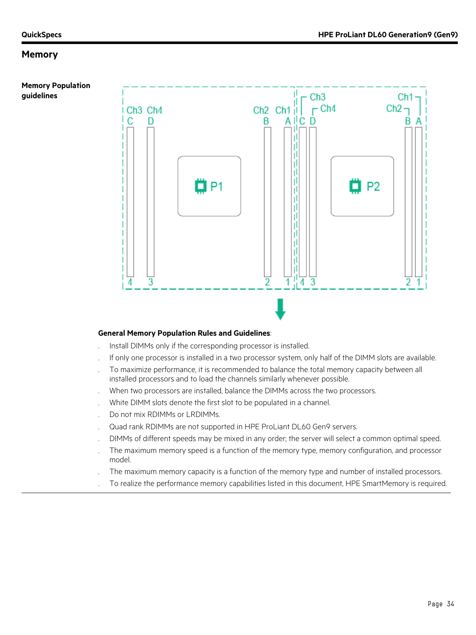**guidelines**

**Memory Population** 



#### **General Memory Population Rules and Guidelines**:

- . Install DIMMs only if the corresponding processor is installed.
- . If only one processor is installed in a two processor system, only half of the DIMM slots are available.
- . To maximize performance, it is recommended to balance the total memory capacity between all installed processors and to load the channels similarly whenever possible.
- . When two processors are installed, balance the DIMMs across the two processors.
- . White DIMM slots denote the first slot to be populated in a channel.
- . Do not mix RDIMMs or LRDIMMs.
- . Quad rank RDIMMs are not supported in HPE ProLiant DL60 Gen9 servers.
- . DIMMs of different speeds may be mixed in any order; the server will select a common optimal speed.
- . The maximum memory speed is a function of the memory type, memory configuration, and processor model.
- . The maximum memory capacity is a function of the memory type and number of installed processors.
- . To realize the performance memory capabilities listed in this document, HPE SmartMemory is required.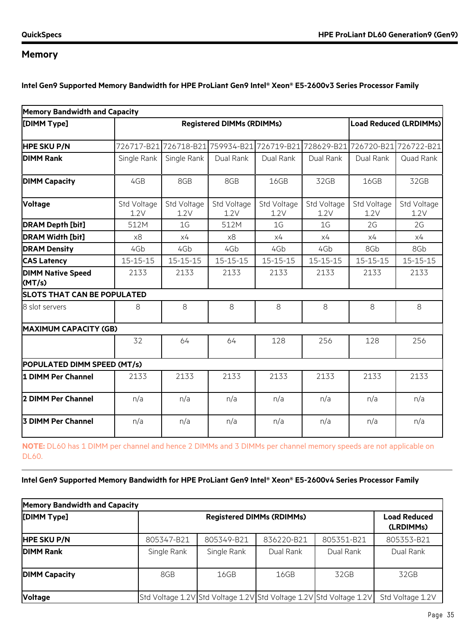**Intel Gen9 Supported Memory Bandwidth for HPE ProLiant Gen9 Intel® Xeon® E5-2600v3 Series Processor Family**

| <b>Memory Bandwidth and Capacity</b> |                                  |                                             |                     |                     |                     |                               |                     |  |
|--------------------------------------|----------------------------------|---------------------------------------------|---------------------|---------------------|---------------------|-------------------------------|---------------------|--|
| [DIMM Type]                          | <b>Registered DIMMs (RDIMMs)</b> |                                             |                     |                     |                     | <b>Load Reduced (LRDIMMs)</b> |                     |  |
| <b>HPE SKU P/N</b>                   |                                  | 726717-B21 726718-B21 759934-B21 726719-B21 |                     |                     |                     | 728629-B21 726720-B21         | 726722-B21          |  |
| <b>DIMM Rank</b>                     | Single Rank                      | Single Rank                                 | Dual Rank           | Dual Rank           | Dual Rank           | Dual Rank                     | Quad Rank           |  |
| <b>DIMM Capacity</b>                 | 4GB                              | 8GB                                         | 8GB                 | 16GB                | 32GB                | 16GB                          | 32GB                |  |
| <b>Voltage</b>                       | Std Voltage<br>1.2V              | Std Voltage<br>1.2V                         | Std Voltage<br>1.2V | Std Voltage<br>1.2V | Std Voltage<br>1.2V | Std Voltage<br>1.2V           | Std Voltage<br>1.2V |  |
| <b>DRAM Depth [bit]</b>              | 512M                             | 1 <sub>G</sub>                              | 512M                | 1 <sub>G</sub>      | 1 <sub>G</sub>      | 2G                            | 2G                  |  |
| <b>DRAM Width [bit]</b>              | x8                               | x4                                          | x8                  | x4                  | x4                  | x4                            | x4                  |  |
| <b>DRAM Density</b>                  | 4Gb                              | 4Gb                                         | 4Gb                 | 4Gb                 | 4Gb                 | 8Gb                           | 8Gb                 |  |
| <b>CAS Latency</b>                   | $15 - 15 - 15$                   | $15 - 15 - 15$                              | $15 - 15 - 15$      | $15 - 15 - 15$      | $15 - 15 - 15$      | $15 - 15 - 15$                | $15 - 15 - 15$      |  |
| <b>DIMM Native Speed</b><br>(MT/s)   | 2133                             | 2133                                        | 2133                | 2133                | 2133                | 2133                          | 2133                |  |
| <b>SLOTS THAT CAN BE POPULATED</b>   |                                  |                                             |                     |                     |                     |                               |                     |  |
| 8 slot servers                       | 8                                | 8                                           | 8                   | 8                   | 8                   | 8                             | 8                   |  |
| <b>MAXIMUM CAPACITY (GB)</b>         |                                  |                                             |                     |                     |                     |                               |                     |  |
|                                      | 32                               | 64                                          | 64                  | 128                 | 256                 | 128                           | 256                 |  |
| POPULATED DIMM SPEED (MT/s)          |                                  |                                             |                     |                     |                     |                               |                     |  |
| 1 DIMM Per Channel                   | 2133                             | 2133                                        | 2133                | 2133                | 2133                | 2133                          | 2133                |  |
| 2 DIMM Per Channel                   | n/a                              | n/a                                         | n/a                 | n/a                 | n/a                 | n/a                           | n/a                 |  |
| <b>3 DIMM Per Channel</b>            | n/a                              | n/a                                         | n/a                 | n/a                 | n/a                 | n/a                           | n/a                 |  |

**NOTE:** DL60 has 1 DIMM per channel and hence 2 DIMMs and 3 DIMMs per channel memory speeds are not applicable on DL60.

#### **Intel Gen9 Supported Memory Bandwidth for HPE ProLiant Gen9 Intel® Xeon® E5-2600v4 Series Processor Family**

| <b>Memory Bandwidth and Capacity</b> |             |                                                                     |            |            |                  |  |  |
|--------------------------------------|-------------|---------------------------------------------------------------------|------------|------------|------------------|--|--|
| [DIMM Type]                          |             | <b>Registered DIMMs (RDIMMs)</b>                                    |            |            |                  |  |  |
| <b>HPE SKU P/N</b>                   | 805347-B21  | 805349-B21                                                          | 836220-B21 | 805351-B21 | 805353-B21       |  |  |
| <b>DIMM Rank</b>                     | Single Rank | Single Rank                                                         | Dual Rank  | Dual Rank  | Dual Rank        |  |  |
| <b>DIMM Capacity</b>                 | 8GB         | 16GB                                                                | 16GB       | 32GB       | 32GB             |  |  |
| <b>Voltage</b>                       |             | Std Voltage 1.2V Std Voltage 1.2V Std Voltage 1.2V Std Voltage 1.2V |            |            | Std Voltage 1.2V |  |  |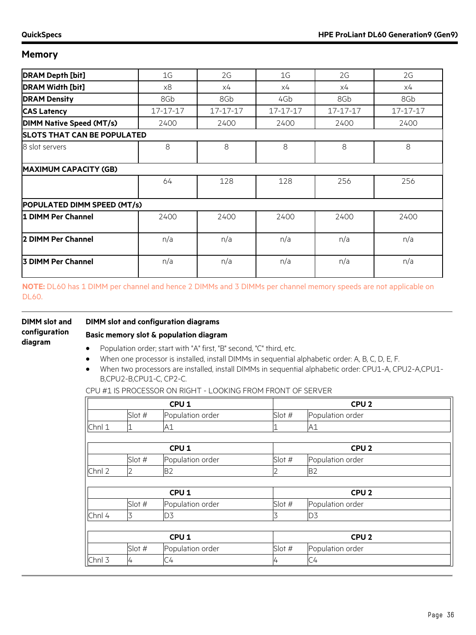| <b>DRAM Depth [bit]</b>            | 1G       | 2G       | 1 <sub>G</sub> | 2G       | 2G       |  |  |
|------------------------------------|----------|----------|----------------|----------|----------|--|--|
| <b>DRAM Width [bit]</b>            | x8       | х4       | х4             | х4       | х4       |  |  |
| <b>DRAM Density</b>                | 8Gb      | 8Gb      | 4Gb            | 8Gb      | 8Gb      |  |  |
| <b>CAS Latency</b>                 | 17-17-17 | 17-17-17 | 17-17-17       | 17-17-17 | 17-17-17 |  |  |
| <b>DIMM Native Speed (MT/s)</b>    | 2400     | 2400     | 2400           | 2400     | 2400     |  |  |
| <b>SLOTS THAT CAN BE POPULATED</b> |          |          |                |          |          |  |  |
| 8 slot servers                     | 8        | 8        | 8              | 8        | 8        |  |  |
| <b>MAXIMUM CAPACITY (GB)</b>       |          |          |                |          |          |  |  |
|                                    | 64       | 128      | 128            | 256      | 256      |  |  |
| POPULATED DIMM SPEED (MT/s)        |          |          |                |          |          |  |  |
| 1 DIMM Per Channel                 | 2400     | 2400     | 2400           | 2400     | 2400     |  |  |
| 2 DIMM Per Channel                 | n/a      | n/a      | n/a            | n/a      | n/a      |  |  |
| 3 DIMM Per Channel                 | n/a      | n/a      | n/a            | n/a      | n/a      |  |  |
|                                    |          |          |                |          |          |  |  |

**NOTE:** DL60 has 1 DIMM per channel and hence 2 DIMMs and 3 DIMMs per channel memory speeds are not applicable on DL60.

| <b>DIMM</b> slot and     | <b>DIMM</b> slot and configuration diagrams |  |  |
|--------------------------|---------------------------------------------|--|--|
| configuration<br>diagram | Basic memory slot & population diagra       |  |  |
|                          | Population order; start with "A" first, "   |  |  |

#### **Basic memory slot & population diagram**

- th "A" first, "B" second, "C" third, etc.
- When one processor is installed, install DIMMs in sequential alphabetic order: A, B, C, D, E, F.
- When two processors are installed, install DIMMs in sequential alphabetic order: CPU1-A, CPU2-A,CPU1- B,CPU2-B,CPU1-C, CP2-C.

| CPU <sub>1</sub> |                |                  | CPU <sub>2</sub> |                  |  |
|------------------|----------------|------------------|------------------|------------------|--|
|                  | Slot #         | Population order | Slot #           | Population order |  |
| Chnl 1           | '1             | A1               |                  | A1               |  |
|                  |                |                  |                  |                  |  |
|                  |                | CPU <sub>1</sub> |                  | CPU <sub>2</sub> |  |
|                  | Slot #         | Population order | Slot #           | Population order |  |
| Chnl 2           | $\overline{2}$ | <b>B2</b>        | 2                | <b>B2</b>        |  |
|                  |                |                  |                  |                  |  |
|                  |                | CPU <sub>1</sub> |                  | CPU <sub>2</sub> |  |
|                  | Slot #         | Population order | Slot #           | Population order |  |
| Chnl 4           | 3              | D <sub>3</sub>   | 3                | D <sub>3</sub>   |  |
|                  |                |                  |                  |                  |  |
| CPU <sub>1</sub> |                |                  | CPU <sub>2</sub> |                  |  |
|                  | Slot #         | Population order | Slot #           | Population order |  |
| Chnl 3           | 4              | C <sub>4</sub>   | 4                | C <sub>4</sub>   |  |

CPU #1 IS PROCESSOR ON RIGHT - LOOKING FROM FRONT OF SERVER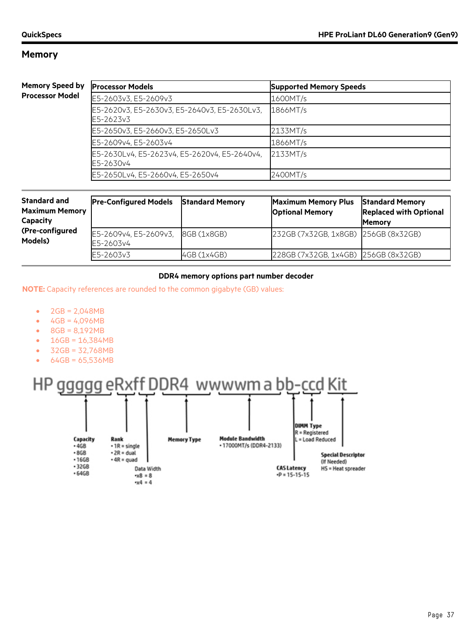#### **Memory Spee Processor Mo**

| d by | <b>Processor Models</b>                                   | <b>Supported Memory Speeds</b> |
|------|-----------------------------------------------------------|--------------------------------|
| del  | E5-2603v3, E5-2609v3                                      | 1600MT/s                       |
|      | E5-2620v3, E5-2630v3, E5-2640v3, E5-2630Lv3,<br>E5-2623v3 | 1866MT/s                       |
|      | E5-2650v3, E5-2660v3, E5-2650Lv3                          | 2133MT/s                       |
|      | E5-2609v4, E5-2603v4                                      | 1866MT/s                       |
|      | E5-2630Lv4, E5-2623v4, E5-2620v4, E5-2640v4,<br>E5-2630v4 | 2133MT/s                       |
|      | E5-2650Lv4, E5-2660v4, E5-2650v4                          | 2400MT/s                       |

| <b>Standard and</b><br><b>Maximum Memory</b><br><b>Capacity</b><br>(Pre-configured<br>Models) | <b>Pre-Configured Models</b>       | <b>Standard Memory</b> | <b>Maximum Memory Plus</b><br><b>Optional Memory</b> | <b>Standard Memory</b><br><b>Replaced with Optional</b><br><b>IMemory</b> |
|-----------------------------------------------------------------------------------------------|------------------------------------|------------------------|------------------------------------------------------|---------------------------------------------------------------------------|
|                                                                                               | E5-2609v4, E5-2609v3,<br>E5-2603v4 | 8GB (1x8GB)            | 232GB (7x32GB, 1x8GB) 256GB (8x32GB)                 |                                                                           |
|                                                                                               | E5-2603v3                          | 4GB (1x4GB)            | 228GB (7x32GB, 1x4GB) 256GB (8x32GB)                 |                                                                           |

#### **DDR4 memory options part number decoder**

**NOTE:** Capacity references are rounded to the common gigabyte (GB) values:

- $2GB = 2,048MB$
- $4GB = 4,096MB$
- 8GB = 8,192MB
- $16GB = 16,384MB$
- 32GB = 32,768MB
- 64GB = 65,536MB

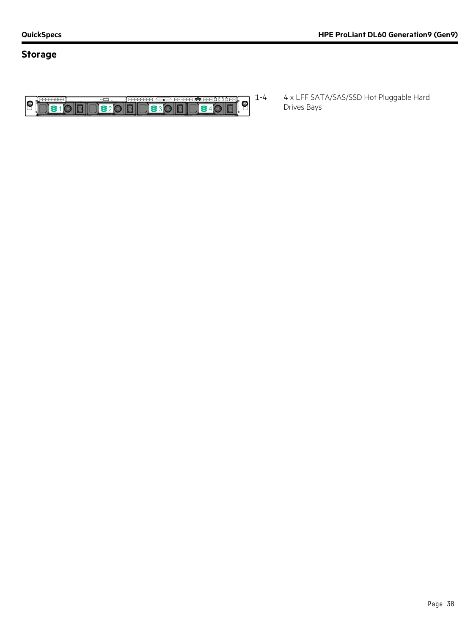## **Storage**



1-4 4 x LFF SATA/SAS/SSD Hot Pluggable Hard Drives Bays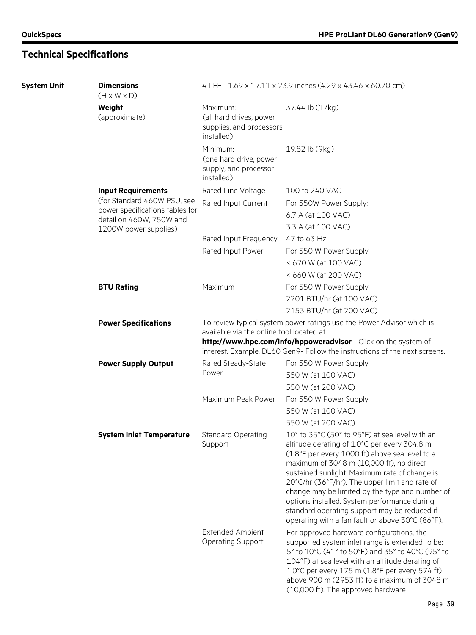| <b>System Unit</b> | <b>Dimensions</b><br>$(H \times W \times D)$      | 4 LFF - 1.69 x 17.11 x 23.9 inches (4.29 x 43.46 x 60.70 cm)                                                                                                                                                                                                        |                                                                                                                                                                                                                                                                                                                                                                                                                                                                                                        |  |
|--------------------|---------------------------------------------------|---------------------------------------------------------------------------------------------------------------------------------------------------------------------------------------------------------------------------------------------------------------------|--------------------------------------------------------------------------------------------------------------------------------------------------------------------------------------------------------------------------------------------------------------------------------------------------------------------------------------------------------------------------------------------------------------------------------------------------------------------------------------------------------|--|
|                    | Weight<br>(approximate)                           | Maximum:<br>(all hard drives, power<br>supplies, and processors<br>installed)                                                                                                                                                                                       | 37.44 lb (17kg)                                                                                                                                                                                                                                                                                                                                                                                                                                                                                        |  |
|                    |                                                   | Minimum:<br>(one hard drive, power<br>supply, and processor<br>installed)                                                                                                                                                                                           | 19.82 lb (9kg)                                                                                                                                                                                                                                                                                                                                                                                                                                                                                         |  |
|                    | <b>Input Requirements</b>                         | Rated Line Voltage                                                                                                                                                                                                                                                  | 100 to 240 VAC                                                                                                                                                                                                                                                                                                                                                                                                                                                                                         |  |
|                    | (for Standard 460W PSU, see                       | Rated Input Current                                                                                                                                                                                                                                                 | For 550W Power Supply:                                                                                                                                                                                                                                                                                                                                                                                                                                                                                 |  |
|                    | power specifications tables for                   |                                                                                                                                                                                                                                                                     | 6.7 A (at 100 VAC)                                                                                                                                                                                                                                                                                                                                                                                                                                                                                     |  |
|                    | detail on 460W, 750W and<br>1200W power supplies) |                                                                                                                                                                                                                                                                     | 3.3 A (at 100 VAC)                                                                                                                                                                                                                                                                                                                                                                                                                                                                                     |  |
|                    |                                                   | Rated Input Frequency                                                                                                                                                                                                                                               | 47 to 63 Hz                                                                                                                                                                                                                                                                                                                                                                                                                                                                                            |  |
|                    |                                                   | Rated Input Power                                                                                                                                                                                                                                                   | For 550 W Power Supply:                                                                                                                                                                                                                                                                                                                                                                                                                                                                                |  |
|                    |                                                   |                                                                                                                                                                                                                                                                     | < 670 W (at 100 VAC)                                                                                                                                                                                                                                                                                                                                                                                                                                                                                   |  |
|                    |                                                   |                                                                                                                                                                                                                                                                     | < 660 W (at 200 VAC)                                                                                                                                                                                                                                                                                                                                                                                                                                                                                   |  |
|                    | <b>BTU Rating</b>                                 | Maximum                                                                                                                                                                                                                                                             | For 550 W Power Supply:                                                                                                                                                                                                                                                                                                                                                                                                                                                                                |  |
|                    |                                                   |                                                                                                                                                                                                                                                                     | 2201 BTU/hr (at 100 VAC)                                                                                                                                                                                                                                                                                                                                                                                                                                                                               |  |
|                    |                                                   |                                                                                                                                                                                                                                                                     | 2153 BTU/hr (at 200 VAC)                                                                                                                                                                                                                                                                                                                                                                                                                                                                               |  |
|                    | <b>Power Specifications</b>                       | To review typical system power ratings use the Power Advisor which is<br>available via the online tool located at:<br>http://www.hpe.com/info/hppoweradvisor - Click on the system of<br>interest. Example: DL60 Gen9- Follow the instructions of the next screens. |                                                                                                                                                                                                                                                                                                                                                                                                                                                                                                        |  |
|                    | <b>Power Supply Output</b>                        | Rated Steady-State                                                                                                                                                                                                                                                  | For 550 W Power Supply:                                                                                                                                                                                                                                                                                                                                                                                                                                                                                |  |
|                    |                                                   | Power                                                                                                                                                                                                                                                               | 550 W (at 100 VAC)                                                                                                                                                                                                                                                                                                                                                                                                                                                                                     |  |
|                    |                                                   |                                                                                                                                                                                                                                                                     | 550 W (at 200 VAC)                                                                                                                                                                                                                                                                                                                                                                                                                                                                                     |  |
|                    |                                                   | Maximum Peak Power                                                                                                                                                                                                                                                  | For 550 W Power Supply:                                                                                                                                                                                                                                                                                                                                                                                                                                                                                |  |
|                    |                                                   |                                                                                                                                                                                                                                                                     | 550 W (at 100 VAC)                                                                                                                                                                                                                                                                                                                                                                                                                                                                                     |  |
|                    |                                                   |                                                                                                                                                                                                                                                                     | 550 W (at 200 VAC)                                                                                                                                                                                                                                                                                                                                                                                                                                                                                     |  |
|                    | <b>System Inlet Temperature</b>                   | <b>Standard Operating</b><br>Support                                                                                                                                                                                                                                | 10° to 35°C (50° to 95°F) at sea level with an<br>altitude derating of 1.0°C per every 304.8 m<br>(1.8°F per every 1000 ft) above sea level to a<br>maximum of 3048 m (10,000 ft), no direct<br>sustained sunlight. Maximum rate of change is<br>20°C/hr (36°F/hr). The upper limit and rate of<br>change may be limited by the type and number of<br>options installed. System performance during<br>standard operating support may be reduced if<br>operating with a fan fault or above 30°C (86°F). |  |
|                    |                                                   | <b>Extended Ambient</b><br><b>Operating Support</b>                                                                                                                                                                                                                 | For approved hardware configurations, the<br>supported system inlet range is extended to be:<br>5° to 10°C (41° to 50°F) and 35° to 40°C (95° to<br>104°F) at sea level with an altitude derating of<br>1.0°C per every 175 m (1.8°F per every 574 ft)<br>above 900 m (2953 ft) to a maximum of 3048 m<br>(10,000 ft). The approved hardware                                                                                                                                                           |  |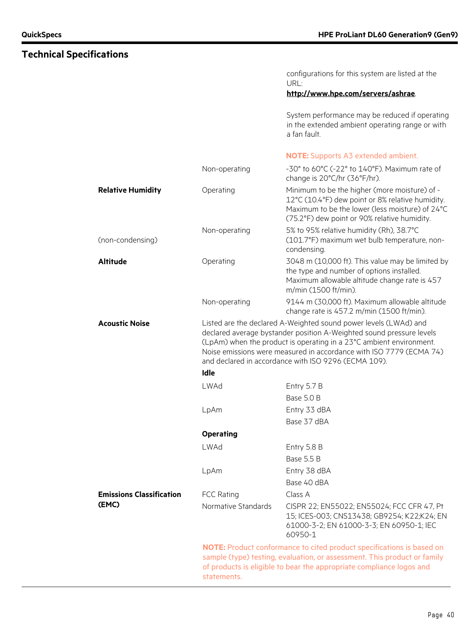configurations for this system are listed at the URL:

#### **<http://www.hpe.com/servers/ashrae>**.

System performance may be reduced if operating in the extended ambient operating range or with a fan fault.

#### **NOTE:** Supports A3 extended ambient.

|                                 | Non-operating                                                                                                                                                                                                                                                                                                                                  | -30° to 60°C (-22° to 140°F). Maximum rate of<br>change is 20°C/hr (36°F/hr).                                                                                                                        |  |  |
|---------------------------------|------------------------------------------------------------------------------------------------------------------------------------------------------------------------------------------------------------------------------------------------------------------------------------------------------------------------------------------------|------------------------------------------------------------------------------------------------------------------------------------------------------------------------------------------------------|--|--|
| <b>Relative Humidity</b>        | Operating                                                                                                                                                                                                                                                                                                                                      | Minimum to be the higher (more moisture) of -<br>12°C (10.4°F) dew point or 8% relative humidity.<br>Maximum to be the lower (less moisture) of 24°C<br>(75.2°F) dew point or 90% relative humidity. |  |  |
| (non-condensing)                | Non-operating                                                                                                                                                                                                                                                                                                                                  | 5% to 95% relative humidity (Rh), 38.7°C<br>(101.7°F) maximum wet bulb temperature, non-<br>condensing.                                                                                              |  |  |
| <b>Altitude</b>                 | Operating                                                                                                                                                                                                                                                                                                                                      | 3048 m (10,000 ft). This value may be limited by<br>the type and number of options installed.<br>Maximum allowable altitude change rate is 457<br>m/min (1500 ft/min).                               |  |  |
|                                 | Non-operating                                                                                                                                                                                                                                                                                                                                  | 9144 m (30,000 ft). Maximum allowable altitude<br>change rate is 457.2 m/min (1500 ft/min).                                                                                                          |  |  |
| <b>Acoustic Noise</b>           | Listed are the declared A-Weighted sound power levels (LWAd) and<br>declared average bystander position A-Weighted sound pressure levels<br>(LpAm) when the product is operating in a 23°C ambient environment.<br>Noise emissions were measured in accordance with ISO 7779 (ECMA 74)<br>and declared in accordance with ISO 9296 (ECMA 109). |                                                                                                                                                                                                      |  |  |
|                                 | Idle                                                                                                                                                                                                                                                                                                                                           |                                                                                                                                                                                                      |  |  |
|                                 | <b>LWAd</b>                                                                                                                                                                                                                                                                                                                                    | Entry 5.7 B                                                                                                                                                                                          |  |  |
|                                 |                                                                                                                                                                                                                                                                                                                                                | Base 5.0 B                                                                                                                                                                                           |  |  |
|                                 | LpAm                                                                                                                                                                                                                                                                                                                                           | Entry 33 dBA                                                                                                                                                                                         |  |  |
|                                 |                                                                                                                                                                                                                                                                                                                                                | Base 37 dBA                                                                                                                                                                                          |  |  |
|                                 | <b>Operating</b>                                                                                                                                                                                                                                                                                                                               |                                                                                                                                                                                                      |  |  |
|                                 | <b>LWAd</b>                                                                                                                                                                                                                                                                                                                                    | Entry 5.8 B                                                                                                                                                                                          |  |  |
|                                 |                                                                                                                                                                                                                                                                                                                                                | Base 5.5 B                                                                                                                                                                                           |  |  |
|                                 | LpAm                                                                                                                                                                                                                                                                                                                                           | Entry 38 dBA                                                                                                                                                                                         |  |  |
|                                 |                                                                                                                                                                                                                                                                                                                                                | Base 40 dBA                                                                                                                                                                                          |  |  |
| <b>Emissions Classification</b> | <b>FCC Rating</b>                                                                                                                                                                                                                                                                                                                              | Class A                                                                                                                                                                                              |  |  |
| (EMC)                           | Normative Standards                                                                                                                                                                                                                                                                                                                            | CISPR 22; EN55022; EN55024; FCC CFR 47, Pt<br>15; ICES-003; CNS13438; GB9254; K22;K24; EN<br>61000-3-2; EN 61000-3-3; EN 60950-1; IEC<br>60950-1                                                     |  |  |
|                                 | NOTE: Product conformance to cited product specifications is based on<br>sample (type) testing, evaluation, or assessment. This product or family<br>of products is eligible to bear the appropriate compliance logos and<br>statements.                                                                                                       |                                                                                                                                                                                                      |  |  |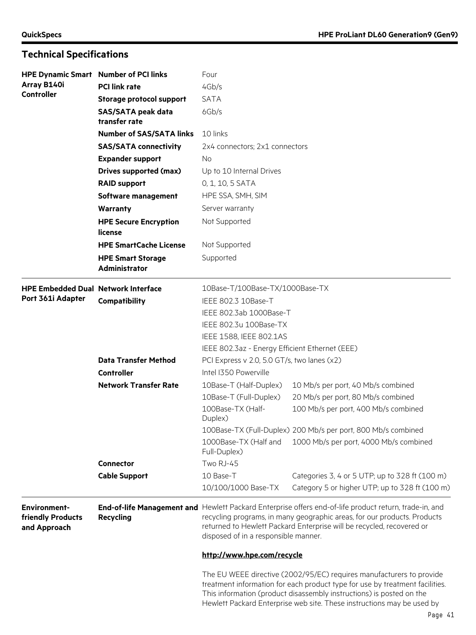| <b>HPE Dynamic Smart Number of PCI links</b><br>Four     |                                            |                                                                                                                                                                                                                                                                                                     |                                                                                                                                                                                                                                                                                                        |  |  |
|----------------------------------------------------------|--------------------------------------------|-----------------------------------------------------------------------------------------------------------------------------------------------------------------------------------------------------------------------------------------------------------------------------------------------------|--------------------------------------------------------------------------------------------------------------------------------------------------------------------------------------------------------------------------------------------------------------------------------------------------------|--|--|
| Array B140i                                              | <b>PCI link rate</b>                       | 4Gb/s                                                                                                                                                                                                                                                                                               |                                                                                                                                                                                                                                                                                                        |  |  |
| <b>Controller</b>                                        | <b>Storage protocol support</b>            | <b>SATA</b>                                                                                                                                                                                                                                                                                         |                                                                                                                                                                                                                                                                                                        |  |  |
|                                                          | <b>SAS/SATA peak data</b><br>transfer rate | 6Gb/s                                                                                                                                                                                                                                                                                               |                                                                                                                                                                                                                                                                                                        |  |  |
|                                                          | <b>Number of SAS/SATA links</b>            | 10 links                                                                                                                                                                                                                                                                                            |                                                                                                                                                                                                                                                                                                        |  |  |
|                                                          | <b>SAS/SATA connectivity</b>               | 2x4 connectors; 2x1 connectors                                                                                                                                                                                                                                                                      |                                                                                                                                                                                                                                                                                                        |  |  |
|                                                          | <b>Expander support</b>                    | No.<br>Up to 10 Internal Drives                                                                                                                                                                                                                                                                     |                                                                                                                                                                                                                                                                                                        |  |  |
|                                                          | <b>Drives supported (max)</b>              |                                                                                                                                                                                                                                                                                                     |                                                                                                                                                                                                                                                                                                        |  |  |
|                                                          | <b>RAID support</b>                        | 0, 1, 10, 5 SATA                                                                                                                                                                                                                                                                                    |                                                                                                                                                                                                                                                                                                        |  |  |
|                                                          | Software management                        | HPE SSA, SMH, SIM                                                                                                                                                                                                                                                                                   |                                                                                                                                                                                                                                                                                                        |  |  |
|                                                          | <b>Warranty</b>                            | Server warranty                                                                                                                                                                                                                                                                                     |                                                                                                                                                                                                                                                                                                        |  |  |
|                                                          | <b>HPE Secure Encryption</b><br>license    | Not Supported                                                                                                                                                                                                                                                                                       |                                                                                                                                                                                                                                                                                                        |  |  |
|                                                          | <b>HPE SmartCache License</b>              | Not Supported                                                                                                                                                                                                                                                                                       |                                                                                                                                                                                                                                                                                                        |  |  |
|                                                          | <b>HPE Smart Storage</b><br>Administrator  | Supported                                                                                                                                                                                                                                                                                           |                                                                                                                                                                                                                                                                                                        |  |  |
| <b>HPE Embedded Dual Network Interface</b>               |                                            | 10Base-T/100Base-TX/1000Base-TX                                                                                                                                                                                                                                                                     |                                                                                                                                                                                                                                                                                                        |  |  |
| Port 361i Adapter                                        | Compatibility                              | IEEE 802.3 10Base-T                                                                                                                                                                                                                                                                                 |                                                                                                                                                                                                                                                                                                        |  |  |
|                                                          |                                            | IEEE 802.3ab 1000Base-T                                                                                                                                                                                                                                                                             |                                                                                                                                                                                                                                                                                                        |  |  |
|                                                          |                                            | IEEE 802.3u 100Base-TX                                                                                                                                                                                                                                                                              |                                                                                                                                                                                                                                                                                                        |  |  |
|                                                          |                                            | IEEE 1588, IEEE 802.1AS                                                                                                                                                                                                                                                                             |                                                                                                                                                                                                                                                                                                        |  |  |
|                                                          |                                            | IEEE 802.3az - Energy Efficient Ethernet (EEE)                                                                                                                                                                                                                                                      |                                                                                                                                                                                                                                                                                                        |  |  |
|                                                          | <b>Data Transfer Method</b>                | PCI Express v 2.0, 5.0 GT/s, two lanes (x2)                                                                                                                                                                                                                                                         |                                                                                                                                                                                                                                                                                                        |  |  |
|                                                          | Controller                                 | Intel I350 Powerville                                                                                                                                                                                                                                                                               |                                                                                                                                                                                                                                                                                                        |  |  |
|                                                          | <b>Network Transfer Rate</b>               | 10Base-T (Half-Duplex)                                                                                                                                                                                                                                                                              | 10 Mb/s per port, 40 Mb/s combined                                                                                                                                                                                                                                                                     |  |  |
|                                                          |                                            | 10Base-T (Full-Duplex)                                                                                                                                                                                                                                                                              | 20 Mb/s per port, 80 Mb/s combined                                                                                                                                                                                                                                                                     |  |  |
|                                                          |                                            | 100Base-TX (Half-<br>Duplex)                                                                                                                                                                                                                                                                        | 100 Mb/s per port, 400 Mb/s combined                                                                                                                                                                                                                                                                   |  |  |
|                                                          |                                            |                                                                                                                                                                                                                                                                                                     | 100Base-TX (Full-Duplex) 200 Mb/s per port, 800 Mb/s combined                                                                                                                                                                                                                                          |  |  |
|                                                          |                                            | 1000Base-TX (Half and<br>Full-Duplex)                                                                                                                                                                                                                                                               | 1000 Mb/s per port, 4000 Mb/s combined                                                                                                                                                                                                                                                                 |  |  |
|                                                          | <b>Connector</b>                           | Two RJ-45                                                                                                                                                                                                                                                                                           |                                                                                                                                                                                                                                                                                                        |  |  |
|                                                          | <b>Cable Support</b>                       | 10 Base-T                                                                                                                                                                                                                                                                                           | Categories 3, 4 or 5 UTP; up to 328 ft (100 m)                                                                                                                                                                                                                                                         |  |  |
|                                                          |                                            | 10/100/1000 Base-TX                                                                                                                                                                                                                                                                                 | Category 5 or higher UTP; up to 328 ft (100 m)                                                                                                                                                                                                                                                         |  |  |
| <b>Environment-</b><br>friendly Products<br>and Approach | <b>Recycling</b>                           | End-of-life Management and Hewlett Packard Enterprise offers end-of-life product return, trade-in, and<br>recycling programs, in many geographic areas, for our products. Products<br>returned to Hewlett Packard Enterprise will be recycled, recovered or<br>disposed of in a responsible manner. |                                                                                                                                                                                                                                                                                                        |  |  |
|                                                          |                                            | http://www.hpe.com/recycle                                                                                                                                                                                                                                                                          |                                                                                                                                                                                                                                                                                                        |  |  |
|                                                          |                                            |                                                                                                                                                                                                                                                                                                     | The EU WEEE directive (2002/95/EC) requires manufacturers to provide<br>treatment information for each product type for use by treatment facilities.<br>This information (product disassembly instructions) is posted on the<br>Hewlett Packard Enterprise web site. These instructions may be used by |  |  |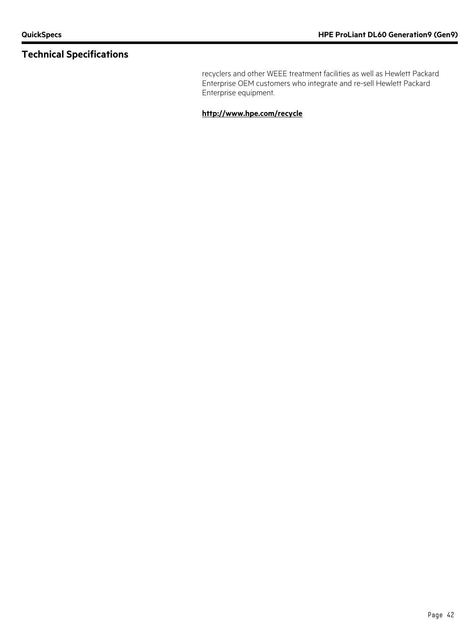recyclers and other WEEE treatment facilities as well as Hewlett Packard Enterprise OEM customers who integrate and re-sell Hewlett Packard Enterprise equipment.

**<http://www.hpe.com/recycle>**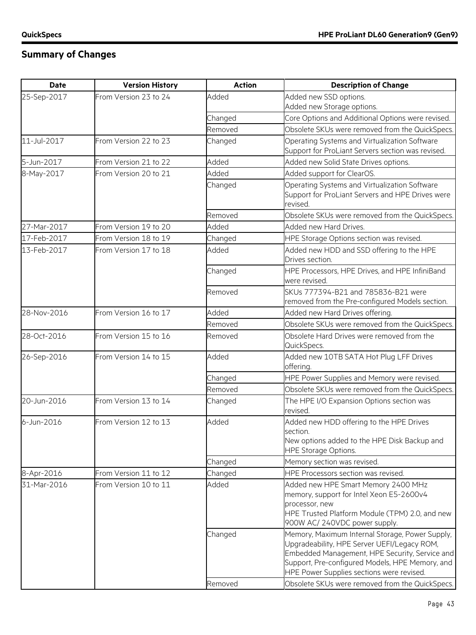## **Summary of Changes**

| <b>Date</b> | <b>Version History</b> | <b>Action</b>      | <b>Description of Change</b>                                                                                                                                                                                                                                                                        |
|-------------|------------------------|--------------------|-----------------------------------------------------------------------------------------------------------------------------------------------------------------------------------------------------------------------------------------------------------------------------------------------------|
| 25-Sep-2017 | From Version 23 to 24  | Added              | Added new SSD options.                                                                                                                                                                                                                                                                              |
|             |                        |                    | Added new Storage options.                                                                                                                                                                                                                                                                          |
|             |                        | Changed            | Core Options and Additional Options were revised.                                                                                                                                                                                                                                                   |
|             |                        | Removed            | Obsolete SKUs were removed from the QuickSpecs.                                                                                                                                                                                                                                                     |
| 11-Jul-2017 | From Version 22 to 23  | Changed            | Operating Systems and Virtualization Software<br>Support for ProLiant Servers section was revised.                                                                                                                                                                                                  |
| 5-Jun-2017  | From Version 21 to 22  | Added              | Added new Solid State Drives options.                                                                                                                                                                                                                                                               |
| 8-May-2017  | From Version 20 to 21  | Added              | Added support for ClearOS.                                                                                                                                                                                                                                                                          |
|             |                        | Changed            | Operating Systems and Virtualization Software<br>Support for ProLiant Servers and HPE Drives were<br>revised.                                                                                                                                                                                       |
|             |                        | Removed            | Obsolete SKUs were removed from the QuickSpecs.                                                                                                                                                                                                                                                     |
| 27-Mar-2017 | From Version 19 to 20  | Added              | Added new Hard Drives.                                                                                                                                                                                                                                                                              |
| 17-Feb-2017 | From Version 18 to 19  | Changed            | HPE Storage Options section was revised.                                                                                                                                                                                                                                                            |
| 13-Feb-2017 | From Version 17 to 18  | Added              | Added new HDD and SSD offering to the HPE<br>Drives section.                                                                                                                                                                                                                                        |
|             |                        | Changed            | HPE Processors, HPE Drives, and HPE InfiniBand<br>were revised.                                                                                                                                                                                                                                     |
|             |                        | Removed            | SKUs 777394-B21 and 785836-B21 were<br>removed from the Pre-configured Models section.                                                                                                                                                                                                              |
| 28-Nov-2016 | From Version 16 to 17  | Added              | Added new Hard Drives offering.                                                                                                                                                                                                                                                                     |
|             |                        | Removed            | Obsolete SKUs were removed from the QuickSpecs.                                                                                                                                                                                                                                                     |
| 28-Oct-2016 | From Version 15 to 16  | Removed            | Obsolete Hard Drives were removed from the<br>QuickSpecs.                                                                                                                                                                                                                                           |
| 26-Sep-2016 | From Version 14 to 15  | Added              | Added new 10TB SATA Hot Plug LFF Drives<br>offering.                                                                                                                                                                                                                                                |
|             |                        | Changed            | HPE Power Supplies and Memory were revised.                                                                                                                                                                                                                                                         |
|             |                        | Removed            | Obsolete SKUs were removed from the QuickSpecs.                                                                                                                                                                                                                                                     |
| 20-Jun-2016 | From Version 13 to 14  | Changed            | The HPE I/O Expansion Options section was<br>revised.                                                                                                                                                                                                                                               |
| 6-Jun-2016  | From Version 12 to 13  | Added              | Added new HDD offering to the HPE Drives<br>section.<br>New options added to the HPE Disk Backup and<br><b>HPE Storage Options.</b>                                                                                                                                                                 |
|             |                        | Changed            | Memory section was revised.                                                                                                                                                                                                                                                                         |
| 8-Apr-2016  | From Version 11 to 12  | Changed            | HPE Processors section was revised.                                                                                                                                                                                                                                                                 |
| 31-Mar-2016 | From Version 10 to 11  | Added              | Added new HPE Smart Memory 2400 MHz<br>memory, support for Intel Xeon E5-2600v4<br>processor, new<br>HPE Trusted Platform Module (TPM) 2.0, and new<br>900W AC/ 240VDC power supply.                                                                                                                |
|             |                        | Changed<br>Removed | Memory, Maximum Internal Storage, Power Supply,<br>Upgradeability, HPE Server UEFI/Legacy ROM,<br>Embedded Management, HPE Security, Service and<br>Support, Pre-configured Models, HPE Memory, and<br>HPE Power Supplies sections were revised.<br>Obsolete SKUs were removed from the QuickSpecs. |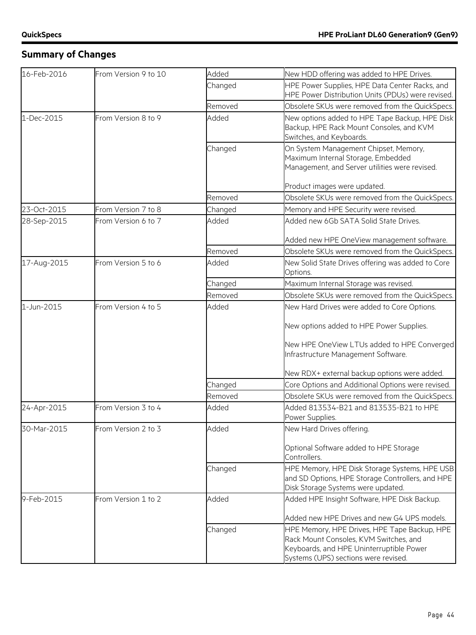## **Summary of Changes**

| 16-Feb-2016 | From Version 9 to 10 | Added   | New HDD offering was added to HPE Drives.                                                                                                                                  |
|-------------|----------------------|---------|----------------------------------------------------------------------------------------------------------------------------------------------------------------------------|
|             |                      | Changed | HPE Power Supplies, HPE Data Center Racks, and<br>HPE Power Distribution Units (PDUs) were revised.                                                                        |
|             |                      | Removed | Obsolete SKUs were removed from the QuickSpecs.                                                                                                                            |
| 1-Dec-2015  | From Version 8 to 9  | Added   | New options added to HPE Tape Backup, HPE Disk<br>Backup, HPE Rack Mount Consoles, and KVM<br>Switches, and Keyboards.                                                     |
|             |                      | Changed | On System Management Chipset, Memory,<br>Maximum Internal Storage, Embedded<br>Management, and Server utilities were revised.                                              |
|             |                      |         | Product images were updated.                                                                                                                                               |
|             |                      | Removed | Obsolete SKUs were removed from the QuickSpecs.                                                                                                                            |
| 23-Oct-2015 | From Version 7 to 8  | Changed | Memory and HPE Security were revised.                                                                                                                                      |
| 28-Sep-2015 | From Version 6 to 7  | Added   | Added new 6Gb SATA Solid State Drives.                                                                                                                                     |
|             |                      |         | Added new HPE OneView management software.                                                                                                                                 |
|             |                      | Removed | Obsolete SKUs were removed from the QuickSpecs.                                                                                                                            |
| 17-Aug-2015 | From Version 5 to 6  | Added   | New Solid State Drives offering was added to Core<br>Options.                                                                                                              |
|             |                      | Changed | Maximum Internal Storage was revised.                                                                                                                                      |
|             |                      | Removed | Obsolete SKUs were removed from the QuickSpecs.                                                                                                                            |
| 1-Jun-2015  | From Version 4 to 5  | Added   | New Hard Drives were added to Core Options.                                                                                                                                |
|             |                      |         | New options added to HPE Power Supplies.                                                                                                                                   |
|             |                      |         | New HPE OneView LTUs added to HPE Converged<br>Infrastructure Management Software.                                                                                         |
|             |                      |         | New RDX+ external backup options were added.                                                                                                                               |
|             |                      | Changed | Core Options and Additional Options were revised.                                                                                                                          |
|             |                      | Removed | Obsolete SKUs were removed from the QuickSpecs.                                                                                                                            |
| 24-Apr-2015 | From Version 3 to 4  | Added   | Added 813534-B21 and 813535-B21 to HPE<br>Power Supplies.                                                                                                                  |
| 30-Mar-2015 | From Version 2 to 3  | Added   | New Hard Drives offering.                                                                                                                                                  |
|             |                      |         | Optional Software added to HPE Storage<br>Controllers.                                                                                                                     |
|             |                      | Changed | HPE Memory, HPE Disk Storage Systems, HPE USB<br>and SD Options, HPE Storage Controllers, and HPE<br>Disk Storage Systems were updated.                                    |
| 9-Feb-2015  | From Version 1 to 2  | Added   | Added HPE Insight Software, HPE Disk Backup.                                                                                                                               |
|             |                      |         | Added new HPE Drives and new G4 UPS models.                                                                                                                                |
|             |                      | Changed | HPE Memory, HPE Drives, HPE Tape Backup, HPE<br>Rack Mount Consoles, KVM Switches, and<br>Keyboards, and HPE Uninterruptible Power<br>Systems (UPS) sections were revised. |